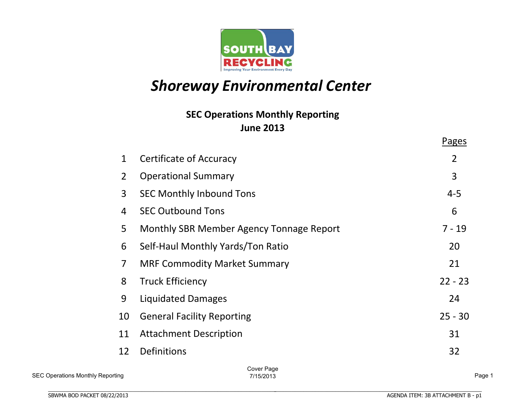

# **Shoreway Environmental Center**

# **June%2013 SEC Operations Monthly Reporting**

|                |                                          | Pages          |
|----------------|------------------------------------------|----------------|
| $\mathbf{1}$   | Certificate of Accuracy                  | $\overline{2}$ |
| $\overline{2}$ | <b>Operational Summary</b>               | 3              |
| 3              | <b>SEC Monthly Inbound Tons</b>          | $4 - 5$        |
| 4              | <b>SEC Outbound Tons</b>                 | 6              |
| 5              | Monthly SBR Member Agency Tonnage Report | $7 - 19$       |
| 6              | Self-Haul Monthly Yards/Ton Ratio        | 20             |
| $\overline{7}$ | <b>MRF Commodity Market Summary</b>      | 21             |
| 8              | <b>Truck Efficiency</b>                  | $22 - 23$      |
| 9              | <b>Liquidated Damages</b>                | 24             |
| 10             | <b>General Facility Reporting</b>        | $25 - 30$      |
| 11             | <b>Attachment Description</b>            | 31             |
| 12             | <b>Definitions</b>                       | 32             |
|                | Cover Page                               |                |

Cover Page 7/15/2013 Page 1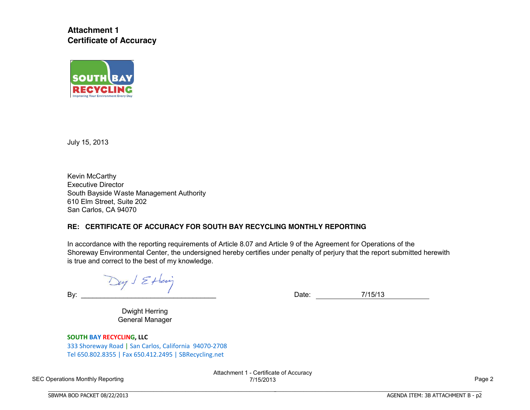**Attachment 1 Certificate of Accuracy**



July 15, 2013

Kevin McCarthy Executive Director South Bayside Waste Management Authority 610 Elm Street, Suite 202 San Carlos, CA 94070

### **RE: CERTIFICATE OF ACCURACY FOR SOUTH BAY RECYCLING MONTHLY REPORTING**

In accordance with the reporting requirements of Article 8.07 and Article 9 of the Agreement for Operations of the Shoreway Environmental Center, the undersigned hereby certifies under penalty of perjury that the report submitted herewith is true and correct to the best of my knowledge.

Day J Ettering

By: 2008. External particular contract to the Date: 2011/15/13

BBBBBBBBBBBBBBBBBBBBBBBBBBBBBBBBBBBBBBBBBBBBBBBBBBBBBBBBBBBBBBBBBBBBBBB

Dwight Herring General Manager

**SOUTH BAY RECYCLING, LLC** 333 Shoreway Road | San Carlos, California 94070-2708

Tel.650.802.8355 | Fax.650.412.2495 | SBRecycling.net

BBBBBBBBBBBBBBBBBBBBBBBBBBBBBBBBBBBBBBBBBBBBBBBBBBBBBBBBBBBBBBBBBBBBBBBBBBBBBB

SEC Operations Monthly Reporting

Attachment 1 - Certificate of Accuracy 7/15/2013 Page 2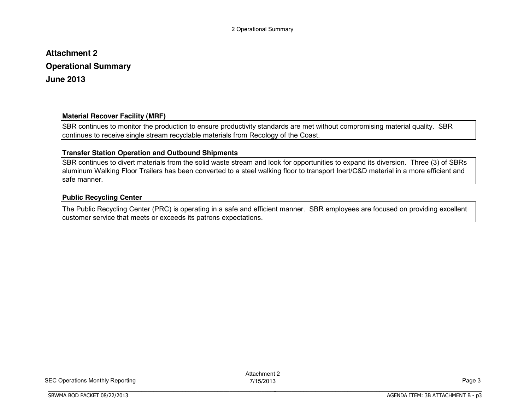# **Attachment 2 Operational Summary June 2013**

### **Material Recover Facility (MRF)**

SBR continues to monitor the production to ensure productivity standards are met without compromising material quality. SBR continues to receive single stream recyclable materials from Recology of the Coast.

### **Transfer Station Operation and Outbound Shipments**

BBBBBBBBBBBBBBBBBBBBBBBBBBBBBBBBBBBBBBBBBBBBBBBBBBBBBBBBBBBBBBBBBBBBBBBBBBBBBB

SBR continues to divert materials from the solid waste stream and look for opportunities to expand its diversion. Three (3) of SBRs aluminum Walking Floor Trailers has been converted to a steel walking floor to transport Inert/C&D material in a more efficient and safe manner.

### **Public Recycling Center**

The Public Recycling Center (PRC) is operating in a safe and efficient manner. SBR employees are focused on providing excellent customer service that meets or exceeds its patrons expectations.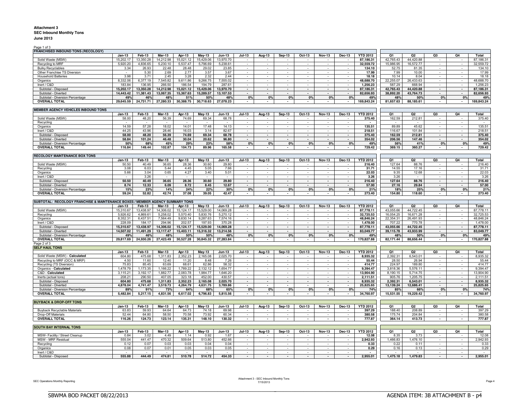#### **Attachment 3 SEC Inbound Monthly Tons June 2013**

Page 1 of 3

| Page 1 or a                                                                   |               |           |               |             |               |                          |                          |                          |                             |          |               |                          |                          |           |                |                          |              |            |
|-------------------------------------------------------------------------------|---------------|-----------|---------------|-------------|---------------|--------------------------|--------------------------|--------------------------|-----------------------------|----------|---------------|--------------------------|--------------------------|-----------|----------------|--------------------------|--------------|------------|
| <b>FRANCHISED INBOUND TONS (RECOLOGY)</b>                                     |               |           |               |             |               |                          |                          |                          |                             |          |               |                          |                          |           |                |                          |              |            |
|                                                                               | $Jan-13$      | $Feb-13$  | $Mar-13$      | Apr-13      | $May-13$      | $Jun-13$                 | $Jul-13$                 | Aug-13                   | $Sep-13$                    | $Oct-13$ | <b>Nov-13</b> | $Dec-13$                 | <b>YTD 2012</b>          | <b>O1</b> | Q2             | Q3                       | Q4           | Total      |
| Solid Waste (MSW)                                                             | 15.202.17     | 13.350.28 | 14.212.98     | 15,021.12   | 15.429.06     | 13.970.70                | $\sim$                   |                          |                             |          |               |                          | 87,186.31                | 42.765.43 | 44,420.88      |                          | $\sim$       | 87.186.31  |
| Recycling to MRF                                                              | 5,920.20      | 4,836.65  | 5,230.10      | 5,537.47    | 5,796.69      | 5,238.61                 | $\sim$                   | $\sim$                   | $\sim$                      | $\sim$   | $\sim$        | $\overline{\phantom{a}}$ | 32,559.72                | 15,986.95 | 16,572.77      | $\overline{\phantom{a}}$ | $\sim$       | 32,559.72  |
| <b>Bulky Recyclables</b>                                                      | 3.34          | 26.93     | 22.48         | 28.48       | 29.02         | 23.85                    | $\sim$                   | $\sim$                   | $\sim$                      | $\sim$   | $\sim$        | $\sim$                   | 134.10                   | 52.75     | 81.35          | $\sim$                   | $\sim$       | 134.10     |
| Other Franchise TS Diversion                                                  | $\sim$        | 5.30      | 2.69          | 2.77        | 3.57          | 3.67                     | $\sim$                   | $\sim$                   | $\sim$                      | $\sim$   | $\sim$        | $\sim$                   | 17.99                    | 7.99      | 10.00          | $\sim$                   | $\sim$       | 17.99      |
| <b>Household Batteries</b>                                                    | 3.98          | 3.71      | 2.45          | 3.28        | 2.32          | 2.44                     | $\sim$                   | $\sim$                   | $\sim$                      | $\sim$   | $\sim$        | $\sim$                   | 18.18                    | 10.14     | 8.04           | $\sim$                   | $\sim$       | 18.18      |
|                                                                               |               |           |               |             |               |                          |                          |                          |                             |          |               |                          |                          |           |                |                          |              |            |
| Organics                                                                      | 8,332.06      | 6,377.19  | 7,545.82      | 9,611.86    | 9,266.75      | 7,555.02                 | $\sim$                   | $\sim$                   | $\sim$                      | $\sim$   | $\sim$        | $\sim$                   | 48,688.70                | 22,255.07 | 26,433.63      | $\sim$                   | $\sim$       | 48,688.70  |
| Inert / C&D                                                                   | 183.84        | 136.95    | 266.50        | 186.54      | 194.79        | 287.61                   | $\sim$                   | $\overline{\phantom{a}}$ | $\sim$                      | $\sim$   | $\sim$        | $\sim$                   | 1,256.23                 | 587.29    | 668.94         | $\overline{\phantom{a}}$ | $\sim$       | 1,256.23   |
| Subtotal - Disposed                                                           | 15,202.17     | 13,350.28 | 14,212.98     | 15,021.12   | 15,429.06     | 13.970.70                | $\sim$                   | $\overline{\phantom{a}}$ | $\sim$                      | $\sim$   | $\sim$        | $\sim$                   | 87,186.31                | 42,765.43 | 44,420.88      | $\sim$                   | $\sim$       | 87,186.31  |
| Subtotal - Diverted                                                           | 14,443.42     | 11,381.43 | 13,067.35     | 15,367.63   | 15,289.57     | 13,107.53                | $\sim$                   | $\sim$                   | $\sim$                      | $\sim$   | $\sim$        | $\overline{a}$           | 82,656.93                | 38,892.20 | 43,764.73      | $\sim$                   | $\sim$       | 82,656.93  |
| Subtotal - Diversion Percentage                                               | 49%           | 46%       | 48%           | 51%         | 50%           | 48%                      | 0%                       | 0%                       | 0%                          | 0%       | 0%            | 0%                       | 49%                      | 48%       | 50%            | 0%                       | 0%           | 49%        |
| <b>OVERALL TOTAL</b>                                                          | 29.645.59     | 24.731.71 | 27.280.33     | 30,388.75   | 30.718.63     | 27.078.23                |                          | $\sim$                   | $\sim$                      |          |               |                          | 169,843.24               | 81,657.63 | 88,185.61      | $\sim$                   | $\sim$       | 169,843.24 |
|                                                                               |               |           |               |             |               |                          |                          |                          |                             |          |               |                          |                          |           |                |                          |              |            |
| MEMBER AGENCY VEHICLES INBOUND TONS                                           |               |           |               |             |               |                          |                          |                          |                             |          |               |                          |                          |           |                |                          |              |            |
|                                                                               | $Jan-13$      | Feb-13    | $Mar-13$      | Apr-13      |               | <b>Jun-13</b>            | $Jul-13$                 |                          |                             | Oct-13   | <b>Nov-13</b> | Dec-13                   | <b>YTD 2012</b>          | Q1        | Q <sub>2</sub> | Q3                       | Q4           | Total      |
|                                                                               |               |           |               |             | <b>May-13</b> |                          |                          | Aug-13                   | <b>Sep-13</b>               |          |               |                          |                          |           |                |                          |              |            |
| Solid Waste (MSW)                                                             | 58.00         | 48.20     | 56.39         | 74.69       | 69.34         | 68.78                    |                          |                          |                             |          |               |                          | 375.40                   | 162.59    | 212.81         |                          | $\sim$       | 375.40     |
| Recycling                                                                     |               |           |               |             |               |                          | $\sim$                   | $\sim$                   | $\mathcal{L}_{\mathcal{A}}$ | $\sim$   | $\sim$        | $\sim$                   |                          |           |                | $\sim$                   | $\sim$       |            |
| Organics                                                                      | 14.59         | 57.28     | 18.02         | 14.01       | 17.48         | 14.13                    | $\sim$                   | $\sim$                   |                             |          | $\sim$        |                          | 135.51                   | 89.89     | 45.62          | ÷,                       | $\sim$       | 135.51     |
| Inert / C&D                                                                   | 44.25         | 43.96     | 28.46         | 16.03       | 3.14          | 82.67                    | $\sim$                   | $\sim$                   | $\sim$                      | $\sim$   | $\sim$        | $\sim$                   | 218.51                   | 116.67    | 101.84         | $\sim$                   | $\sim$       | 218.51     |
| Subtotal - Disposed                                                           | 58.00         | 48.20     | 56.39         | 74.69       | 69.34         | 68.78                    | $\sim$                   | $\sim$                   | $\sim$                      | $\sim$   | $\sim$        | $\sim$                   | 375.40                   | 162.59    | 212.81         | $\sim$                   | $\sim$       | 375.40     |
| Subtotal - Diverted                                                           | 58.84         | 101.24    | 46.48         | 30.04       | 20.62         | 96.80                    | $\sim$                   | $\sim$                   | $\overline{\phantom{a}}$    | $\sim$   | $\sim$        | $\sim$                   | 354.02                   | 206.56    | 147.46         | $\sim$                   | $\sim$       | 354.02     |
| Subtotal - Diversion Percentage                                               | 50%           | 68%       | 45%           | 29%         | 23%           | 58%                      | 0%                       | 0%                       | 0%                          | 0%       | 0%            | 0%                       | 49%                      | 56%       | 41%            | 0%                       | 0%           | 49%        |
|                                                                               |               |           |               |             |               |                          |                          |                          |                             |          |               |                          |                          |           |                |                          |              |            |
| <b>OVERALL TOTAL</b>                                                          | 116.84        | 149.44    | 102.87        | 104.73      | 89.96         | 165.58                   |                          |                          |                             |          |               |                          | 729.42                   | 369.15    | 360.27         |                          |              | 729.42     |
|                                                                               |               |           |               |             |               |                          |                          |                          |                             |          |               |                          |                          |           |                |                          |              |            |
| <b>RECOLOGY MAINTENANCE BOX TONS</b>                                          |               |           |               |             |               |                          |                          |                          |                             |          |               |                          |                          |           |                |                          |              |            |
|                                                                               | <b>Jan-13</b> | Feb-13    | Mar-13        | Apr-13      | May-13        | Jun-13                   | $Jul-13$                 | Aug-13                   | Sep-13                      | Oct-13   | <b>Nov-13</b> | <b>Dec-13</b>            | <b>YTD 2012</b>          | Q1        | Q <sub>2</sub> | Q3                       | Q4           | Total      |
| Solid Waste (MSW)                                                             | 50.50         | 40.49     | 36.65         | 28.36       | 30.60         | 29.80                    |                          |                          |                             |          |               |                          | 216.40                   | 127.64    | 88.76          |                          | $\sim$       | 216.40     |
| Recycling                                                                     | 3.08          | 6.03      | 5.44          | 4.45        | 5.05          | 7.66                     | $\sim$                   | $\sim$                   | $\sim$                      | $\sim$   | $\sim$        | $\sim$                   | 31.71                    | 14.55     | 17.16          | $\sim$                   | $\sim$       | 31.71      |
| Organics                                                                      | 5.66          | 3.04      | 0.65          | 4.27        | 3.40          | 5.01                     | $\sim$                   | $\mathbf{r}$             | $\sim$                      | $\sim$   | $\sim$        | $\sim$                   | 22.03                    | 9.35      | 12.68          | $\sim$                   | $\sim$       | 22.03      |
|                                                                               |               |           |               |             |               |                          |                          | ÷.                       |                             |          |               |                          |                          |           |                |                          |              |            |
| Inert / C&D                                                                   |               | 3.26      |               |             |               |                          | $\sim$                   |                          |                             |          | $\sim$        | $\sim$                   | 3.26                     | 3.26      |                |                          | $\sim$       | 3.26       |
| Subtotal - Disposed                                                           | 50.50         | 40.49     | 36.65         | 28.36       | 30.60         | 29.80                    | $\sim$                   | $\blacksquare$           | $\overline{a}$              | $\sim$   | $\sim$        | $\overline{a}$           | 216.40                   | 127.64    | 88.76          | $\blacksquare$           | $\sim$       | 216.40     |
| Subtotal - Diverted                                                           | 8.74          | 12.33     | 6.09          | 8.72        | 8.45          | 12.67                    | $\overline{\phantom{a}}$ | $\mathbf{r}$             | $\overline{a}$              | $\sim$   | $\sim$        | $\overline{\phantom{a}}$ | 57.00                    | 27.16     | 29.84          | $\overline{\phantom{a}}$ | $\sim$       | 57.00      |
| Subtotal - Diversion Percentage                                               | 15%           | 23%       | 14%           | 24%         | 22%           | 30%                      | 0%                       | 0%                       | 0%                          | 0%       | 0%            | 0%                       | 21%                      | 18%       | 25%            | 0%                       | 0%           | 21%        |
| <b>OVERALL TOTAL</b>                                                          | 59.24         | 52.82     | 42.74         | 37.08       | 39.05         | 42.47                    |                          |                          |                             |          |               | $\sim$                   | 273.40                   | 154.80    | 118.60         |                          | $\sim$       | 273.40     |
|                                                                               |               |           |               |             |               |                          |                          |                          |                             |          |               |                          |                          |           |                |                          |              |            |
| SUBTOTAL: RECOLOGY FRANCHISE & MAINTENANCE BOXES / MEMBER AGENCY SUMMARY TONS |               |           |               |             |               |                          |                          |                          |                             |          |               |                          |                          |           |                |                          |              |            |
|                                                                               | Jan-13        | Feb-13    | <b>Mar-13</b> | Apr-13      | <b>May-13</b> | <b>Jun-13</b>            | <b>Jul-13</b>            | Aug-13                   | <b>Sep-13</b>               | $Oct-13$ | <b>Nov-13</b> | $Dec-13$                 | <b>YTD 2012</b>          | Q1        | Q <sub>2</sub> | Q3                       | Q4           | Total      |
| Solid Waste (MSW)                                                             | 15,310.67     | 13,438.97 | 14,306.02     | 15, 124. 17 | 15,529.00     | 14,069.28                |                          |                          |                             |          |               |                          | 87,778.11                | 43,055.66 | 44,722.45      | $\sim$                   | $\sim$       | 87,778.11  |
|                                                                               |               |           |               |             |               |                          |                          |                          |                             |          |               |                          |                          |           |                |                          |              |            |
| Recycling                                                                     | 5,926.62      | 4,869.61  | 5,258.02      | 5,570.40    | 5,830.76      | 5,270.12                 | $\sim$                   | $\sim$                   | $\sim$                      | $\sim$   | $\sim$        | $\sim$                   | 32,725.53                | 16,054.25 | 16,671.28      | $\sim$                   | $\sim$       | 32,725.53  |
| Organics                                                                      | 8,352.31      | 6,437.51  | 7,564.49      | 9,630.14    | 9,287.63      | 7,574.16                 | $\mathbf{r}$             | $\mathbf{r}$             | $\sim$                      | $\sim$   | $\sim$        |                          | 48,846.24                | 22,354.31 | 26,491.93      | $\sim$                   | $\sim$       | 48,846.24  |
| Inert / C&D                                                                   | 228.09        | 184.17    | 294.96        | 202.57      | 197.93        | 370.28                   | $\sim$                   | $\mathbf{r}$             | $\sim$                      | $\sim$   | $\sim$        | $\sim$                   | 1,478.00                 | 707.22    | 770.78         | $\sim$                   | $\sim$       | 1,478.00   |
| Subtotal - Disposed                                                           | 15,310.67     | 13,438.97 | 14,306.02     | 15,124.17   | 15,529.00     | 14,069.28                | $\sim$                   | $\sim$                   | $\sim$                      | $\sim$   | $\sim$        | $\overline{\phantom{a}}$ | 87,778.11                | 43,055.66 | 44,722.45      | $\mathbf{r}$             | $\sim$       | 87,778.11  |
| Subtotal - Diverted                                                           | 14,507.02     | 11,491.29 | 13,117.47     | 15,403.11   | 15,316.32     | 13,214.56                | $\sim$                   | $\sim$                   | $\sim$                      | $\sim$   | $\sim$        | $\sim$                   | 83,049.77                | 39,115.78 | 43,933.99      | $\sim$                   | $\sim$       | 83,049.77  |
| Subtotal - Diversion Percentage                                               | 49%           | 46%       | 48%           | 50%         | 50%           | 48%                      | 0%                       | 0%                       | 0%                          | 0%       | 0%            | 0%                       | 49%                      | 48%       | 50%            | 0%                       | 0%           | 49%        |
| <b>OVERALL TOTAL</b>                                                          | 29,817.69     | 24,930.26 | 27,423.49     | 30,527.28   | 30,845.32     | 27,283.84                |                          | $\sim$                   |                             |          |               |                          | 170,827.88               | 82,171.44 | 88,656.44      |                          |              | 170,827.88 |
|                                                                               |               |           |               |             |               |                          |                          |                          |                             |          |               |                          |                          |           |                |                          |              |            |
| Page 2 of 3                                                                   |               |           |               |             |               |                          |                          |                          |                             |          |               |                          |                          |           |                |                          |              |            |
| <b>SELF HAUL TONS</b>                                                         |               |           |               |             |               |                          |                          |                          |                             |          |               |                          |                          |           |                |                          |              |            |
|                                                                               | $Jan-13$      | Feb-13    | <b>Mar-13</b> | Apr-13      | $May-13$      | <b>Jun-13</b>            | $Jul-13$                 | Aug-13                   | <b>Sep-13</b>               | Oct-13   | <b>Nov-13</b> | <b>Dec-13</b>            | <b>YTD 2012</b>          | Q1        | Q <sub>2</sub> | Q3                       | Q4           | Total      |
| Solid Waste (MSW) - Calculated                                                | 604.80        | 475.68    | 1,311.83      | 2,352.23    | 2,165.08      | 2,025.70                 |                          |                          |                             |          |               |                          | 8,935.32                 | 2,392.31  | 6,543.01       | $\sim$                   | $\sim$       | 8,935.32   |
| Recycling to MRF (OCC & MRP)                                                  | 4.50          | 11.60     | 12.40         | 11.20       | 8.48          | 7.26                     | $\sim$                   | $\sim$                   | $\sim$                      | in 1999. | $\sim$        | $\sim$                   | 55.44                    | 28.50     | 26.94          | ÷.                       | $\sim$       | 55.44      |
| Recycling (TS Diversion)                                                      | 75.83         | 85.45     | 63.69         | 68.61       | 62.86         | 58.32                    | $\bar{\phantom{a}}$      | $\bar{\phantom{a}}$      | $\sim$                      |          | $\sim$        | $\sim$                   | 414.77                   | 224.97    | 189.80         | $\bar{\phantom{a}}$      | $\sim$       | 414.77     |
| Organics - Calculated                                                         | 1,478.79      | 1,173.35  | 1,166.22      | 1,789.22    | 2,132.12      | 1,654.77                 | $\sim$                   | $\mathbf{r}$             | $\sim$                      | $\sim$   | $\sim$        | $\sim$                   | 9,394.47                 | 3,818.36  | 5,576.11       | $\omega$                 | $\sim$       | 9,394.47   |
| C&D - Calculated                                                              | 3,115.21      | 3,192.17  | 1,882.77      | 2,083.78    | 1,984.77      | 1,646.20                 |                          |                          | $\sim$                      |          |               |                          | 13,904.90                | 8,190.15  | 5,714.75       | $\sim$                   | $\sim$       | 13,904.90  |
|                                                                               |               |           |               |             |               |                          |                          |                          |                             |          |               |                          |                          |           |                |                          |              |            |
| Inerts (actual tons)                                                          | 208.21        | 290.50    | 407.05        | 323.18      | 452.00        | 430.57                   |                          |                          | $\sim$                      |          |               |                          | 2,111.51                 | 905.76    | 1,205.75       |                          | $\omega$     | 2,111.51   |
| Subtotal - Disposed                                                           | 604.80        | 475.68    | 1,311.83      | 2,352.23    | 2,165.08      | 2,025.70                 | $\sim$                   | $\overline{\phantom{a}}$ | $\sim$                      | $\sim$   | $\sim$        | $\sim$                   | 8,935.32                 | 2,392.31  | 6,543.01       | $\overline{\phantom{a}}$ | $\sim$       | 8,935.32   |
| Subtotal - Diverted                                                           | 4,878.04      | 4,741.47  | 3,519.73      | 4,264.79    | 4,631.75      | 3,789.86                 | $\sim$                   |                          | $\sim$                      |          | $\sim$        | $\blacksquare$           | 25,825.65                | 13,139.24 | 12,686.41      | $\sim$                   | $\sim$       | 25,825.65  |
| Subtotal - Diversion Percentage                                               | 89%           | 91%       | 73%           | 64%         | 68%           | 65%                      | 0%                       | 0%                       | 0%                          | 0%       | 0%            | 0%                       | 74%                      | 85%       | 66%            | 0%                       | 0%           | 74%        |
| <b>OVERALL TOTAL</b>                                                          | 5,482.84      | 5,217.15  | 4,831.56      | 6,617.02    | 6,796.83      | 5,815.56                 |                          |                          |                             |          |               |                          | 34,760.97                | 15,531.55 | 19,229.42      |                          |              | 34,760.97  |
|                                                                               |               |           |               |             |               |                          |                          |                          |                             |          |               |                          |                          |           |                |                          |              |            |
| <b>BUYBACK &amp; DROP-OFF TONS</b>                                            |               |           |               |             |               |                          |                          |                          |                             |          |               |                          |                          |           |                |                          |              |            |
|                                                                               | $Jan-13$      | Feb-13    | Mar-13        | Apr-13      | $May-13$      | <b>Jun-13</b>            | $Jul-13$                 | Aug-13                   | <b>Sep-13</b>               | Oct-13   | <b>Nov-13</b> | Dec-13                   | <b>YTD 2012</b>          | Q1        | Q <sub>2</sub> | Q3                       | Q4           | Total      |
|                                                                               |               |           |               |             |               |                          |                          |                          |                             |          |               |                          |                          |           |                |                          |              |            |
| <b>Buyback Recyclable Materials</b>                                           | 63.83         | 59.93     | 64.64         | 64.73       | 74.18         | 69.98                    |                          |                          |                             |          |               |                          | 397.29                   | 188.40    | 208.89         |                          |              | 397.29     |
| Drop-Off Materials                                                            | 52.44         | 64.80     | 58.50         | 70.58       | 73.92         | 60.34                    |                          |                          |                             |          |               |                          | 380.58                   | 175.74    | 204.84         |                          |              | 380.58     |
| <b>OVERALL TOTAL</b>                                                          | 116.26        | 124.73    | 123.14        | 135.31      | 148.10        | 130.32                   | $\sim$                   | $\blacksquare$           | $\overline{\phantom{a}}$    |          |               | $\overline{\phantom{a}}$ | 777.87                   | 364.14    | 413.73         | $\mathbf{r}$             | $\mathbf{r}$ | 777.87     |
|                                                                               |               |           |               |             |               |                          |                          |                          |                             |          |               |                          |                          |           |                |                          |              |            |
| <b>SOUTH BAY INTERNAL TONS</b>                                                |               |           |               |             |               |                          |                          |                          |                             |          |               |                          |                          |           |                |                          |              |            |
|                                                                               | $Jan-13$      | Feb-13    | <b>Mar-13</b> | Apr-13      | $May-13$      | Jun-13                   | <b>Jul-13</b>            | Aug-13                   | Sep-13                      | Oct-13   | <b>Nov-13</b> | Dec-13                   | <b>YTD 2012</b>          | Q1        | Q <sub>2</sub> | Q3                       | Q4           | Total      |
| MSW- Facility / Street Cleanup                                                | 0.84          | 3.02      | 4.49          | 1.14        | 0.92          | 1.67                     |                          |                          |                             |          |               |                          | 12.08                    | 8.35      | 3.73           |                          |              | 12.08      |
| <b>MSW - MRF Residual</b>                                                     |               |           |               |             |               |                          |                          |                          |                             |          |               |                          |                          |           | 1.476.10       |                          |              |            |
|                                                                               | 555.04        | 441.47    | 470.32        | 509.64      | 513.80        | 452.66                   | $\bar{\phantom{a}}$      |                          |                             |          |               |                          | 2,942.93                 | 1,466.83  |                |                          |              | 2,942.93   |
| Recycling                                                                     | 0.12          | 0.07      | 0.03          | 0.03        | 0.04          | 0.04                     |                          |                          |                             |          |               |                          | 0.33                     | 0.22      | 0.11           |                          |              | 0.33       |
| Organics                                                                      | 0.08          | 0.07      | 0.01          | 0.05        | 0.03          | 0.05                     |                          |                          |                             |          |               |                          | 0.29                     | 0.16      | 0.13           |                          |              | 0.29       |
| Inert / C&D                                                                   |               |           |               |             |               | $\overline{\phantom{a}}$ |                          |                          |                             |          |               |                          | $\overline{\phantom{a}}$ | $\sim$    | $\sim$         |                          |              | $\sim$     |
|                                                                               |               |           |               |             | 514.72        | 454.33                   |                          |                          |                             |          |               |                          | 2.955.01                 | 1.475.18  | 1.479.83       |                          |              | 2.955.01   |

SEC Operations Monthly Reporting Attachment 3 - SEC Inbound Monthly Tons 7/15/2013 Page 4

BBBBBBBBBBBBBBBBBBBBBBBBBBBBBBBBBBBBBBBBBBBBBBBBBBBBBBBBBBBBBBBBBBBBBBBBBBBBBB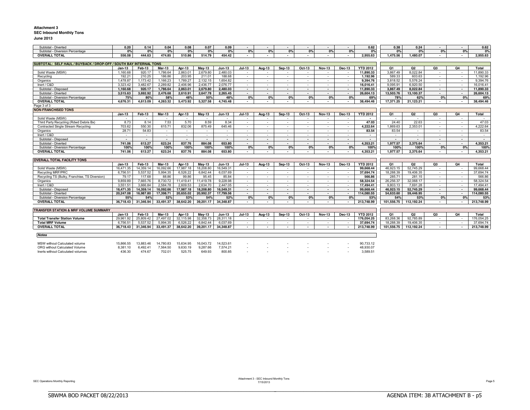#### **Attachment 3 SEC Inbound Monthly Tons**

#### **June 2013**

| Subtotal - Diverted                                                | 0.20           | 0.14      | 0.04                     | 0.08      | 0.07                     | 0.09                     | $\overline{\phantom{a}}$ | $\overline{\phantom{a}}$ |                          |                | $\overline{\phantom{a}}$ | $\blacksquare$           | 0.62                     | 0.38                     | 0.24           | $\overline{\phantom{a}}$ | $\overline{\phantom{a}}$ | 0.62       |
|--------------------------------------------------------------------|----------------|-----------|--------------------------|-----------|--------------------------|--------------------------|--------------------------|--------------------------|--------------------------|----------------|--------------------------|--------------------------|--------------------------|--------------------------|----------------|--------------------------|--------------------------|------------|
| Subtotal - Diversion Percentage                                    | 0%             | 0%        | 0%                       | 0%        | 0%                       | 0%                       | 0%                       | 0%                       | 0%                       | 0%             | 0%                       | 0%                       | 0%                       | 0%                       | 0%             | 0%                       | 0%                       | 0%         |
| <b>OVERALL TOTAL</b>                                               | 556.08         | 444.63    | 474.85                   | 510.86    | 514.79                   | 454.42                   | $\blacksquare$           | $\blacksquare$           |                          |                | $\blacksquare$           | $\overline{\phantom{a}}$ | 2.955.63                 | 1.475.56                 | 1.480.07       | $\blacksquare$           | $\sim$                   | 2.955.63   |
|                                                                    |                |           |                          |           |                          |                          |                          |                          |                          |                |                          |                          |                          |                          |                |                          |                          |            |
| SUBTOTAL: SELF HAUL / BUYBACK / DROP-OFF / SOUTH BAY INTERNAL TONS |                |           |                          |           |                          |                          |                          |                          |                          |                |                          |                          |                          |                          |                |                          |                          |            |
|                                                                    | $Jan-13$       | Feb-13    | <b>Mar-13</b>            | Apr-13    | $May-13$                 | <b>Jun-13</b>            | $Jul-13$                 | Aug-13                   | <b>Sep-13</b>            | Oct-13         | <b>Nov-13</b>            | Dec-13                   | <b>YTD 2012</b>          | Q1                       | Q <sub>2</sub> | O3                       | O <sub>4</sub>           | Total      |
| Solid Waste (MSW)                                                  | 1,160.68       | 920.17    | 1,786.64                 | 2,863.01  | 2,679.80                 | 2,480.03                 | $\sim$                   | $\sim$                   |                          | $\sim$         | $\sim$                   | $\sim$                   | 11,890.33                | 3,867.49                 | 8.022.84       | $\sim$                   | $\sim$                   | 11.890.33  |
| Recycling                                                          | 192.21         | 210.25    | 186.86                   | 203.95    | 211.01                   | 188.68                   | $\sim$                   | $\sim$                   | $\sim$                   | $\sim$         | $\sim$                   | $\sim$                   | 1.192.96                 | 589.33                   | 603.63         | $\sim$                   | $\sim$                   | 1.192.96   |
| Organics                                                           | 1,478.87       | 1,173.42  | 1,166.23                 | 1.789.27  | 2,132.15                 | 1.654.82                 | $\sim$                   | $\sim$                   | $\sim$                   | $\sim$         | $\sim$                   | $\sim$                   | 9,394.76                 | 3,818.52                 | 5,576.24       | $\sim$                   | $\sim$                   | 9.394.76   |
| Inert / C&D                                                        | 3.323.42       | 3.482.67  | 2.289.82                 | 2.406.96  | 2.436.77                 | 2.076.77                 | $\sim$                   | $\sim$                   | $\sim$                   | $\sim$         | $\sim$                   | $\sim$                   | 16.016.41                | 9.095.91                 | 6.920.50       | $\sim$                   | $\sim$                   | 16.016.41  |
| Subtotal - Disposed                                                | 1.160.68       | 920.17    | 1.786.64                 | 2.863.01  | 2.679.80                 | 2.480.03                 | $\sim$                   | $\sim$                   | $\overline{\phantom{a}}$ | $\sim$         | $\sim$                   | $\sim$                   | 11.890.33                | 3.867.49                 | 8.022.84       | $\sim$                   | $\sim$                   | 11.890.33  |
| Subtotal - Diverted                                                | 3,515.63       | 3,692.92  | 2,476.68                 | 2,610.91  | 2,647.78                 | 2.265.45                 | $\sim$                   | $\overline{\phantom{a}}$ | $\overline{\phantom{a}}$ | $\sim$         | $\overline{\phantom{a}}$ | $\overline{\phantom{a}}$ | 26,604.13                | 13,503.76                | 13,100.37      | $\overline{\phantom{a}}$ | $\sim$                   | 26,604.13  |
| Subtotal - Diversion Percentage                                    | 75%            | 80%       | 58%                      | 48%       | 50%                      | 48%                      | 0%                       | 0%                       | 0%                       | 0%             | 0%                       | 0%                       | 69%                      | 78%                      | 62%            | 0%                       | 0%                       | 69%        |
| <b>OVERALL TOTAL</b>                                               | 4.676.31       | 4.613.09  | 4.263.32                 | 5.473.92  | 5.327.58                 | 4.745.48                 | $\sim$                   | $\sim$                   |                          | $\sim$         | $\mathbf{r}$             | $\overline{\phantom{a}}$ | 38.494.46                | 17.371.25                | 21.123.21      | $\sim$                   | $\sim$                   | 38.494.46  |
| Page 3 of 3                                                        |                |           |                          |           |                          |                          |                          |                          |                          |                |                          |                          |                          |                          |                |                          |                          |            |
| <b>NON-FRANCHISED TONS</b>                                         |                |           |                          |           |                          |                          |                          |                          |                          |                |                          |                          |                          |                          |                |                          |                          |            |
|                                                                    | $Jan-13$       | Feb-13    | <b>Mar-13</b>            | Apr-13    | $Mav-13$                 | <b>Jun-13</b>            | $Jul-13$                 | $Auq-13$                 | Sep-13                   | Oct-13         | <b>Nov-13</b>            | Dec-13                   | <b>YTD 2012</b>          | Q1                       | Q2             | Q3                       | Q <sub>4</sub>           | Total      |
| Solid Waste (MSW)                                                  | $\sim$         | $\sim$    | $\sim$                   | $\sim$    | $\sim$                   | $\sim$                   | $\sim$                   | $\sim$                   | $\sim$                   | $\sim$         | $\sim$                   | $\sim$                   | $\overline{\phantom{a}}$ | $\sim$                   | $\sim$         | $\sim$                   | $\sim$                   | $\sim$     |
| Third Party Recycling (Rdwd Debris Bx)                             | 8.73           | 8.14      | 7.53                     | 5.70      | 8.59                     | 8.34                     | $\sim$                   | $\sim$                   | $\sim$                   | $\sim$         | $\sim$                   | $\sim$                   | 47.03                    | 24.40                    | 22.63          | $\sim$                   | $\sim$                   | 47.03      |
| Contracted Single Stream Recycling                                 | 703.62         | 550.30    | 615.71                   | 832.06    | 875.49                   | 645.46                   | $\sim$                   | $\sim$                   | $\sim$                   | $\sim$         | $\sim$                   | $\sim$                   | 4.222.64                 | .869.63                  | 2.353.01       | $\sim$                   | $\sim$                   | 4.222.64   |
| Organics                                                           | 28.71          | 54.83     | $\sim$                   | $\sim$    | $\sim$                   | $\sim$                   | $\sim$                   | $\sim$                   | $\sim$                   | $\sim$         | $\sim$                   | $\sim$                   | 83.54                    | 83.54                    | $\sim$         | $\sim$                   | $\sim$                   | 83.54      |
| Inert / C&D                                                        | $\sim$         | $\sim$    | $\sim$                   | $\sim$    | $\sim$                   | $\sim$                   | $\sim$                   | $\sim$                   | $\sim$                   | $\sim$         | $\sim$                   | $\sim$                   | $\sim$                   | $\sim$                   | $\sim$         | $\sim$                   | $\sim$                   | $\sim$     |
| Subtotal - Disposed                                                | $\blacksquare$ | $\sim$    | $\overline{\phantom{a}}$ | $\sim$    | $\overline{\phantom{a}}$ | $\overline{\phantom{a}}$ | $\sim$                   | $\sim$                   | $\overline{\phantom{a}}$ | $\sim$         | $\sim$                   | $\sim$                   | $\sim$                   | $\overline{\phantom{a}}$ | $\sim$         | $\sim$                   | $\sim$                   | $\sim$     |
| Subtotal - Diverted                                                | 741.06         | 613.27    | 623.24                   | 837.76    | 884.08                   | 653.80                   | $\overline{\phantom{a}}$ | $\overline{\phantom{a}}$ | $\sim$                   | $\sim$         | $\overline{\phantom{a}}$ | $\overline{\phantom{a}}$ | 4.353.21                 | 1.977.57                 | 2.375.64       | $\sim$                   | $\sim$                   | 4.353.21   |
| Subtotal - Diversion Percentage                                    | 100%           | 100%      | 100%                     | 100%      | 100%                     | 100%                     | 0%                       | 0%                       | 0%                       | 0%             | 0%                       | 0%                       | 100%                     | 100%                     | 100%           | 0%                       | 0%                       | 100%       |
| <b>OVERALL TOTAL</b>                                               | 741.06         | 613.27    | 623.24                   | 837.76    | 884.08                   | 653.80                   |                          |                          |                          |                |                          |                          | 4.353.21                 | 1.977.57                 | 2.375.64       |                          | $\sim$                   | 4.353.21   |
|                                                                    |                |           |                          |           |                          |                          |                          |                          |                          |                |                          |                          |                          |                          |                |                          |                          |            |
| <b>OVERALL TOTAL FACILITY TONS</b>                                 |                |           |                          |           |                          |                          |                          |                          |                          |                |                          |                          |                          |                          |                |                          |                          |            |
|                                                                    | $Jan-13$       | Feb-13    | <b>Mar-13</b>            | Apr-13    | $May-13$                 | $Jun-13$                 | $Jul-13$                 | Aug-13                   | Sep-13                   | Oct-13         | <b>Nov-13</b>            | Dec-13                   | <b>YTD 2012</b>          | Q1                       | Q <sub>2</sub> | Q3                       | Q <sub>4</sub>           | Total      |
| Solid Waste (MSW)                                                  | 16.471.35      | 14.359.14 | 16.092.66                | 17.987.18 | 18,208.80                | 16.549.31                | $\sim$                   | $\sim$                   |                          | $\sim$         | $\sim$                   | $\overline{\phantom{a}}$ | 99.668.44                | 46.923.15                | 52.745.29      | $\sim$                   | $\sim$                   | 99.668.44  |
| <b>Recycling MRF/PRC</b>                                           | 6.756.51       | 5.537.52  | 5.994.35                 | 6.526.22  | 6.842.44                 | 6.037.69                 | $\sim$                   | $\sim$                   | $\sim$                   | in 1999.       | $\sim$                   | $\sim$                   | 37.694.74                | 18.288.39                | 19.406.35      | in a                     | $\sim$                   | 37.694.74  |
| Recycling TS (Bulky, Franchise, TS Diversion)                      | 79.17          | 117.68    | 88.86                    | 99.86     | 95.45                    | 85.84                    | $\sim$                   | $\sim$                   | $\sim$                   | $\sim$         | $\sim$                   | $\sim$                   | 566.86                   | 285.71                   | 281.15         | in a                     | $\sim$                   | 566.86     |
| Organics                                                           | 9.859.89       | 7.665.76  | 8.730.72                 | 11,419.41 | 11,419.78                | 9.228.98                 | $\sim$                   | $\sim$                   |                          | $\sim$         | $\sim$                   | $\sim$                   | 58.324.54                | 26.256.37                | 32.068.17      | $\sim$                   | $\sim$                   | 58.324.54  |
| Inert / C&D                                                        | 3.551.51       | 3.666.84  | 2.584.78                 | 2.609.53  | 2.634.70                 | 2.447.05                 | $\sim$                   | $\sim$                   | $\sim$                   | $\sim$         | $\sim$                   | $\sim$                   | 17.494.41                | 9.803.13                 | 7.691.28       | $\sim$                   | $\sim$                   | 17,494.41  |
| Subtotal - Disposed                                                | 16.471.35      | 14,359.14 | 16,092.66                | 17,987.18 | 18.208.80                | 16.549.31                | $\sim$                   | $\sim$                   | $\sim$                   | $\sim$         | $\sim$                   | $\sim$                   | 99,668.44                | 46,923.15                | 52.745.29      | $\sim$                   | $\sim$                   | 99,668.44  |
| Subtotal - Diverted                                                | 20.247.08      | 16,987.80 | 17,398.71                | 20,655.02 | 20,992.37                | 17.799.56                | $\sim$                   | $\overline{\phantom{a}}$ | $\sim$                   | $\sim$         | $\sim$                   | $\overline{\phantom{a}}$ | 114.080.55               | 54.633.60                | 59.446.95      | $\sim$                   | $\sim$                   | 114.080.55 |
| Subtotal - Diversion Percentage                                    | 55%            | 54%       | 52%                      | 53%       | 54%                      | 52%                      | 0%                       | 0%                       | 0%                       | 0%             | 0%                       | 0%                       | 53%                      | 54%                      | 53%            | 0%                       | 0%                       | 53%        |
| <b>OVERALL TOTAL</b>                                               | 36.718.43      | 31.346.94 | 33.491.37                | 38.642.20 | 39,201.17                | 34.348.87                | $\overline{\phantom{a}}$ | $\overline{\phantom{a}}$ | $\sim$                   | $\blacksquare$ | $\sim$                   | $\overline{\phantom{a}}$ | 213.748.99               | 101.556.75               | 112.192.24     | $\overline{\phantom{a}}$ | $\sim$                   | 213.748.99 |
|                                                                    |                |           |                          |           |                          |                          |                          |                          |                          |                |                          |                          |                          |                          |                |                          |                          |            |
| <b>TRANSFER STATION &amp; MRF VOLUME SUMMARY</b>                   |                |           |                          |           |                          |                          |                          |                          |                          |                |                          |                          |                          |                          |                |                          |                          |            |
|                                                                    | $Jan-13$       | Feb-13    | <b>Mar-13</b>            | Apr-13    | $May-13$                 | $Jun-13$                 | $Jul-13$                 | Aug-13                   | Sep-13                   | Oct-13         | <b>Nov-13</b>            | Dec-13                   | <b>YTD 2012</b>          | Q1                       | Q <sub>2</sub> | Q3                       | Q <sub>4</sub>           | Total      |
| <b>Total Transfer Station Volume</b>                               | 29.961.92      | 25.809.42 | 27.497.02                | 32.115.98 | 32.358.73                | 28.311.18                | $\sim$                   | $\sim$                   | $\sim$                   | $\sim$         | $\sim$                   | $\sim$                   | 176.054.25               | 83.268.36                | 92.785.89      | $\sim$                   | $\sim$                   | 176.054.25 |
| <b>Total MRF Volume</b>                                            | 6.756.51       | 5.537.52  | 5.994.35                 | 6,526.22  | 6,842.44                 | 6.037.69                 | $\sim$                   | $\sim$                   | $\sim$                   | $\sim$         | $\sim$                   | $\sim$                   | 37,694.74                | 18.288.39                | 19,406.35      | $\sim$                   | $\sim$                   | 37,694.74  |
| <b>OVERALL TOTAL</b>                                               | 36.718.43      | 31,346.94 | 33.491.37                | 38,642.20 | 39,201.17                | 34.348.87                | $\sim$                   | $\overline{\phantom{a}}$ | $\overline{\phantom{a}}$ | $\sim$         | $\sim$                   | $\overline{\phantom{a}}$ | 213,748.99               | 101,556.75               | 112,192.24     | $\sim$                   | $\sim$                   | 213,748.99 |
|                                                                    |                |           |                          |           |                          |                          |                          |                          |                          |                |                          |                          |                          |                          |                |                          |                          |            |
| <b>Notes</b>                                                       |                |           |                          |           |                          |                          |                          |                          |                          |                |                          |                          |                          |                          |                |                          |                          |            |
|                                                                    |                |           |                          |           |                          |                          |                          |                          |                          |                |                          |                          |                          |                          |                |                          |                          |            |
| MSW without Calculated volume                                      | 15.866.55      | 13.883.46 | 14.780.83                | 15.634.95 | 16.043.72                | 14.523.61                |                          |                          |                          |                |                          |                          | 90,733.12                |                          |                |                          |                          |            |
| ORG without Calculated Volume                                      | 8.381.10       | 6.492.41  | 7.564.50                 | 9.630.19  | 9.287.66                 | 7.574.21                 |                          |                          |                          |                |                          |                          | 48,930.07                |                          |                |                          |                          |            |
| Inerts without Calculated volumes                                  | 436.30         | 474.67    | 702.01                   | 525.75    | 649.93                   | 800.85                   |                          |                          |                          |                |                          |                          | 3.589.51                 |                          |                |                          |                          |            |

BBBBBBBBBBBBBBBBBBBBBBBBBBBBBBBBBBBBBBBBBBBBBBBBBBBBBBBBBBBBBBBBBBBBBBB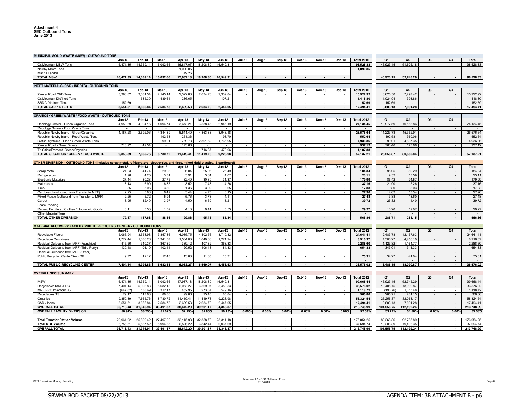| MUNICIPAL SOLID WASTE (MSW) - OUTBOUND TONS                                                                         |           |                       |               |           |               |               |                                    |                          |                          |                          |                          |                          |                   |                        |                        |                          |                          |                         |
|---------------------------------------------------------------------------------------------------------------------|-----------|-----------------------|---------------|-----------|---------------|---------------|------------------------------------|--------------------------|--------------------------|--------------------------|--------------------------|--------------------------|-------------------|------------------------|------------------------|--------------------------|--------------------------|-------------------------|
|                                                                                                                     | $Jan-13$  | Feb-13                | <b>Mar-13</b> | Apr-13    | <b>May-13</b> | $Jun-13$      | $Jul-13$                           | Aug-13                   | <b>Sep-13</b>            | Oct-13                   | <b>Nov-13</b>            | <b>Dec-13</b>            | <b>Total 2012</b> | Q1                     | Q <sub>2</sub>         | Q <sub>3</sub>           | Q <sub>4</sub>           | <b>Total</b>            |
| Ox Mountain MSW Tons                                                                                                | 16.471.35 | 14,359.14             | 16,092.66     | 16.847.07 | 18,208.80     | 16,549.31     | $\sim$                             |                          |                          |                          |                          |                          | 98.528.33         | 46.923.15              | 51,605.18              |                          |                          | 98.528.33               |
| Newby MSW Tons                                                                                                      |           |                       |               | 1,090.85  |               |               | $\sim$                             | $\sim$                   | a.                       | $\sim$                   | $\sim$                   | $\sim$                   | 1,090.85          |                        |                        |                          |                          |                         |
| Marina Landfil                                                                                                      |           |                       |               | 49.26     |               |               |                                    |                          |                          |                          |                          |                          |                   |                        |                        |                          |                          |                         |
| <b>TOTAL MSW</b>                                                                                                    | 16,471.35 | 14,359.14             | 16,092.66     | 17,987.18 | 18,208.80     | 16,549.31     | $\overline{\phantom{a}}$           | $\overline{\phantom{a}}$ | $\sim$                   | $\sim$                   | $\sim$                   | $\overline{\phantom{a}}$ |                   | 46,923.15              | 52,745.29              | $\overline{\phantom{a}}$ | $\overline{\phantom{a}}$ | 98,528.33               |
|                                                                                                                     |           |                       |               |           |               |               |                                    |                          |                          |                          |                          |                          |                   |                        |                        |                          |                          |                         |
| INERT MATERIALS (C&D / INERTS) - OUTBOUND TONS                                                                      |           |                       |               |           |               |               |                                    |                          |                          |                          |                          |                          |                   |                        |                        |                          |                          |                         |
|                                                                                                                     | $Jan-13$  | Feb-13                | <b>Mar-13</b> | Apr-13    | May-13        | Jun-13        | Jul-13                             | Aug-13                   | <b>Sep-13</b>            | Oct-13                   | <b>Nov-13</b>            | <b>Dec-13</b>            | <b>Total 2012</b> | Q1                     | Q <sub>2</sub>         | Q3                       | Q4                       |                         |
| Zanker Road C&D Tons                                                                                                | 3.398.82  | 3,081.54              | 2,145.14      | 2,322.88  | 2,634.70      | 2,339.84      |                                    |                          |                          |                          | $\sim$                   |                          | 15,922.92         | 8,625.50               | 7,297.42               | $\sim$                   |                          | 15,922.92               |
| Ox Mountain Dirt/Inert Tons                                                                                         |           | 585.30                | 439.64        | 286.65    |               | 107.21        | $\sim$                             | $\sim$                   | a.                       | in 1999.                 | in a                     | - 20                     | 1,418.80          | 1,024.94               | 393.86                 | $\sim$                   | $\sim$                   | 1,418.80                |
| <b>SRDC Dirt/Inert Tons</b>                                                                                         | 152.69    | $\sim$                | $\sim$        | $\sim$    | $\sim$        | $\sim$        | $\sim$                             | $\sim$                   | $\sim$                   | $\sim$                   | $\sim$                   | $\sim$                   | 152.69            | 152.69                 |                        | $\sim$                   | $\sim$                   | 152.69                  |
| <b>TOTAL C&amp;D / INTERTS</b>                                                                                      | 3.551.51  | 3.666.84              | 2.584.78      | 2.609.53  | 2.634.70      | 2.447.05      | $\overline{\phantom{a}}$           | $\blacksquare$           | $\overline{\phantom{a}}$ | $\overline{\phantom{a}}$ | $\overline{\phantom{a}}$ | $\overline{\phantom{a}}$ | 17.494.41         | 9,803.13               | 7.691.28               | $\overline{\phantom{a}}$ | $\overline{\phantom{a}}$ | 17,494.41               |
|                                                                                                                     |           |                       |               |           |               |               |                                    |                          |                          |                          |                          |                          |                   |                        |                        |                          |                          |                         |
| ORANICS / GREEN WASTE / FOOD WASTE - OUTBOUND TONS                                                                  |           |                       |               |           |               |               |                                    |                          |                          |                          |                          |                          |                   |                        |                        |                          |                          |                         |
|                                                                                                                     | $Jan-13$  | Feb-13                | <b>Mar-13</b> | Apr-13    | $May-13$      | $Jun-13$      | <b>Jul-13</b>                      | Aug-13                   | <b>Sep-13</b>            | Oct-13                   | <b>Nov-13</b>            | Dec-13                   | <b>Total 2012</b> | O <sub>1</sub>         | Q <sub>2</sub>         | Q <sub>3</sub>           | Q4                       |                         |
| Recology Grover - Green/Organics Tons                                                                               | 4,958.69  | 4,924.16              | 4,094.74      | 3,673.2'  | 3,538.46      | 2,945.19      |                                    |                          |                          |                          | $\sim$                   |                          | 24,134.45         | 13,977.59              | 10,156.86              | $\sim$                   | $\sim$                   | 24, 134.45              |
| Recology Grover - Food Waste Tons                                                                                   |           |                       |               |           |               |               | ÷.                                 | ÷.                       | $\sim$                   | $\sim$                   | $\sim$                   |                          |                   |                        |                        | $\sim$                   | $\sim$                   |                         |
| Republic Newby Island - Green/Organics                                                                              | 4.187.28  | 2.692.06              | 4.344.39      | 6.541.40  | 4.863.33      | 3.948.18      | $\sim$                             | $\sim$                   | $\sim$                   | $\sim$                   | $\sim$                   | $\sim$                   | 26.576.64         | 11.223.73              | 15.352.91              | $\sim$                   | $\sim$                   | 26,576.64               |
| Republic Newby Island - Food Waste Tons                                                                             |           |                       | 192.58        | 261.36    | $\sim$        | 98.70         | $\sim$                             | $\sim$                   | $\sim$                   | $\sim$                   | $\sim$                   | $\sim$                   | 552.64            | 192.58                 | 360.06                 | $\sim$                   | $\overline{\phantom{a}}$ | 552.64                  |
| Biofuel Systems - Clean Green Waste Tons                                                                            |           | ÷.                    | 99.01         | 769.78    | 2.301.62      | 1,765.95      | $\sim$                             | $\sim$                   | $\sim$                   | $\sim$                   | $\sim$                   | $\sim$                   | 4.936.36          | 99.01                  | 4,837.35               | $\sim$                   | $\sim$                   | 4,936.36                |
| Zanker Road - Green Waste                                                                                           | 713.92    | 49.54                 | $\sim$        | 173.66    |               |               |                                    | $\sim$                   | $\sim$                   | $\sim$                   | $\sim$                   |                          | 937.12            | 763.46                 | 173.66                 | $\overline{\phantom{a}}$ | $\sim$                   | 937.12                  |
| Tri-Cities/Fremont -Green/Organics                                                                                  |           |                       |               |           | 716.37        | 470.96        | $\sim$                             | $\sim$                   | $\sim$                   | $\sim$                   | $\sim$                   | $\sim$                   | 1,187.33          |                        |                        |                          |                          |                         |
| TOTAL ORGANICS / GREEN / FOOD WASTE                                                                                 | 9.859.89  | 7.665.76              | 8.730.72      | 11.419.41 | 11.419.78     | 9.228.98      | $\overline{\phantom{a}}$           |                          | $\sim$                   |                          | $\overline{\phantom{a}}$ | $\overline{\phantom{a}}$ | 57.137.21         | 26.256.37              | 30.880.84              | $\overline{\phantom{a}}$ | $\overline{\phantom{a}}$ | 57.137.21               |
|                                                                                                                     |           |                       |               |           |               |               |                                    |                          |                          |                          |                          |                          |                   |                        |                        |                          |                          |                         |
| OTHER DIVERSION - OUTBOUND TONS (includes scrap metal, refrigerators, electronics, and tires, mixed rigid plastics, |           |                       |               |           |               | & cardboard)  |                                    |                          |                          |                          |                          |                          |                   |                        |                        |                          |                          |                         |
|                                                                                                                     | Jan-13    | Feb-13                | <b>Mar-13</b> | Apr-13    | $May-13$      | Jun-13        | <b>Jul-13</b>                      | Aug-13                   | Sep-13                   | Oct-13                   | <b>Nov-13</b>            | Dec-13                   | <b>Total 2012</b> | Q1                     | Q <sub>2</sub>         | Q <sub>3</sub>           | Q4                       | <b>Total</b>            |
| Scrap Metal                                                                                                         | 24.23     | 41.74                 | 29.08         | 36.84     | 25.96         | 26.49         |                                    |                          |                          |                          |                          |                          | 184.34            | 95.05                  | 89.29                  | $\sim$                   |                          | 184.34                  |
| Refrigerators                                                                                                       | 1.96      | 4.25                  | 3.31          | 5.91      | 3.61          | 4.07          | $\sim$                             | ÷.                       | $\sim$                   | $\omega$                 | $\sim$                   | $\sim$                   | 23.11             | 9.52                   | 13.59                  | $\sim$                   | $\bar{\phantom{a}}$      | 23.11                   |
| <b>Electronic Materials</b>                                                                                         | 27.44     | 30.23                 | 27.75         | 32.40     | 30.80         | 31.37         | $\sim$                             | $\sim$                   | $\sim$                   | $\sim$                   | $\sim$                   | $\sim$                   | 179.99            | 85.42                  | 94.57                  | $\sim$                   | $\overline{\phantom{a}}$ | 179.99                  |
| Mattresses                                                                                                          | 8.13      | 6.90                  | 6.87          | 3.52      | 7.48          | 4.26          | $\sim$                             | $\sim$                   | $\sim$                   | $\sim$                   | $\sim$                   | $\sim$                   | 37.16             | 21.90                  | 15.26                  | $\sim$                   | $\sim$                   | 37.16                   |
| <b>Tires</b>                                                                                                        | 0.85      | 5.06                  | 3.89          | 1.36      | 3.02          | 3.65          | ÷.                                 | $\sim$                   | $\sim$                   | $\sim$                   | $\sim$                   |                          | 17.83             | 9.80                   | 8.03                   | $\sim$                   | $\sim$                   | 17.83                   |
| Cardboard (outbound from Transfer to MRF                                                                            | 2.25      | 5.88                  | 6.49          | 5.44      | 4.75          | 3.15          | $\sim$                             | $\sim$                   | $\sim$                   | $\sim$                   | $\sim$                   | $\sim$                   | 27.96             | 14.62                  | 13.34                  | $\sim$                   | $\overline{\phantom{a}}$ | 27.96                   |
| Mixed Plastic (outbound from Transfer to MRF                                                                        | 2.25      | 5.72                  | 5.91          | 5.76      | 3.73          | 4.11          | $\sim$                             | $\sim$                   | $\sim$                   | $\sim$                   | $\sim$                   | $\sim$                   | 27.48             | 13.88                  | 13.60                  | $\sim$                   | $\sim$                   | 27.48                   |
| Carpet                                                                                                              | 8.95      | 12.40                 | 3.97          | 4.50      | 6.69          | 3.21          | in 1919.                           | ÷.                       | a.                       |                          | in a                     | in a                     | 39.72             | 25.32                  | 14.40                  | $\sim$                   | $\sim$                   | 39.72                   |
| Foam Padding                                                                                                        |           |                       |               |           |               |               |                                    |                          |                          |                          |                          |                          |                   |                        |                        |                          |                          | $\sim$                  |
| Reuse / Furniture / Clothes / Household Goods                                                                       | 3.11      | 5.50                  | 1.59          | 4.13      | 9.41          | 5.53          | $\sim$                             | $\sim$                   | $\sim$                   | $\sim$                   | $\sim$                   | $\sim$                   | 29.27             | 10.20                  | 19.07                  | $\sim$                   | $\bar{\phantom{a}}$      | 29.27                   |
| Other Material Tons                                                                                                 |           |                       |               |           |               |               |                                    |                          |                          |                          |                          |                          |                   | $\sim$                 |                        | ÷.                       | $\sim$                   | $\sim$                  |
| <b>TOTAL OTHER DIVERSION</b>                                                                                        | 79.17     | 117.68                | 88.86         | 99.86     | 95.45         | 85.84         | $\overline{\phantom{a}}$           | $\overline{\phantom{a}}$ | $\overline{\phantom{a}}$ |                          | $\overline{\phantom{a}}$ | $\overline{\phantom{a}}$ | 566.86            | 285.71                 | 281.15                 | $\blacksquare$           | $\overline{\phantom{a}}$ | 566.86                  |
|                                                                                                                     |           |                       |               |           |               |               |                                    |                          |                          |                          |                          |                          |                   |                        |                        |                          |                          |                         |
| <b>MATERIAL RECOVERY FACILITY/PUBLIC RECYCLING CENTER - OUTBOUND TONS</b>                                           |           |                       |               |           |               |               |                                    |                          |                          |                          |                          |                          |                   |                        |                        |                          |                          |                         |
|                                                                                                                     | Jan-13    | Feb-13                | Mar-13        | Apr-13    | $May-13$      | Jun-13        | $Jul-13$                           | Aug-13                   | <b>Sep-13</b>            | Oct-13                   | <b>Nov-13</b>            | <b>Dec-13</b>            | <b>Total 2012</b> | Q1                     | Q <sub>2</sub>         | Q <sub>3</sub>           | Q4                       | Total                   |
| <b>Recyclable Fibers</b>                                                                                            | 5.066.94  | 3.558.98              | 3.857.86      | 4.035.75  | 4.402.56      | 3.719.32      |                                    |                          |                          |                          |                          |                          | 24.641.41         | 12.483.78              | 12.157.63              |                          |                          | 24.641.41               |
| Recyclable Containers                                                                                               | 1,772.44  | 1,386.26              | 1,341.57      | 1,504.00  | 1,640.86      | 1,271.24      | $\sim$                             | $\sim$                   | $\sim$                   | $\sim$                   | $\sim$                   | $\sim$                   | 8,916.37          | 4,500.27               | 4,416.10               | $\sim$                   | $\overline{\phantom{a}}$ | 8,916.37                |
| Residual Outbound from MRF (Franchise)                                                                              | 415.56    | 340.37                | 367.89        | 389.12    | 407.32        | 368.33        | $\sim$                             | ÷.                       | $\sim$                   | $\sim$                   | $\sim$                   | $\sim$                   | 2.288.60          | 1,123.82               | 1.164.77               | $\sim$                   | $\sim$                   | 2,288.60                |
| Residual Outbound from MRF (Third Party)                                                                            | 139.48    | 101.10                | 102.44        | 120.52    | 106.48        | 84.33         | ÷.                                 | $\sim$                   | ÷.                       |                          | $\sim$                   | $\sim$                   | 654.33            | 343.01                 | 311.33                 | $\sim$                   | $\sim$                   | 654.33                  |
| Residual Outbound from MRF (Other)                                                                                  |           |                       |               |           |               |               |                                    |                          |                          |                          |                          |                          | $\sim$            | $\sim$                 |                        | $\overline{\phantom{a}}$ | $\overline{\phantom{a}}$ | $\sim$                  |
| Public Recycling Center/Drop Of                                                                                     | 9.72      | 12.12                 | 12.43         | 13.88     | 11.85         | 15.31         | $\sim$                             | $\sim$                   | $\sim$                   | $\sim$                   | $\sim$                   | $\sim$                   | 75.31             | 34.27                  | 41.04                  | $\sim$                   | $\sim$                   | 75.31                   |
|                                                                                                                     |           |                       |               |           |               |               |                                    |                          |                          |                          |                          |                          |                   |                        |                        | $\overline{\phantom{a}}$ | $\sim$                   |                         |
| TOTAL PUBLIC RECYCLING CENTER                                                                                       | 7,404.14  | 5,398.83              | 5,682.18      | 6,063.27  | 6,569.07      | 5,458.53      | $\sim$                             |                          | $\sim$                   |                          | $\sim$                   | $\sim$                   | 36,576.02         | 18,485.15              | 18,090.87              | $\overline{\phantom{a}}$ | $\blacksquare$           | 36,576.02               |
|                                                                                                                     |           |                       |               |           |               |               |                                    |                          |                          |                          |                          |                          |                   |                        |                        |                          |                          |                         |
| <b>OVERALL SEC SUMMARY</b>                                                                                          |           |                       |               |           |               |               |                                    |                          |                          |                          |                          |                          |                   |                        |                        |                          |                          |                         |
|                                                                                                                     | $Jan-13$  | Feb-13                | <b>Mar-13</b> | Apr-13    | $May-13$      | <b>Jun-13</b> | $Jul-13$                           | Aug-13                   | <b>Sep-13</b>            | Oct-13                   | <b>Nov-13</b>            | Dec-13                   | <b>Total 2012</b> | Q1                     | Q <sub>2</sub>         | Q3                       | Q <sub>4</sub>           | Total                   |
| <b>MSW</b>                                                                                                          |           |                       |               |           |               |               |                                    |                          |                          |                          |                          | $\sim$                   | 99,668.44         | 46,923.15              | 52,745.29              | $\sim$                   | $\overline{\phantom{a}}$ | 99,668.44               |
| Recyclables MRF/PRC                                                                                                 |           |                       |               |           |               |               |                                    | $\sim$                   |                          |                          |                          |                          |                   |                        |                        |                          |                          |                         |
|                                                                                                                     | 16,471.35 | 14,359.14             | 16,092.66     | 17,987.18 | 18,208.80     | 16,549.31     | $\overline{\phantom{a}}$<br>$\sim$ | $\sim$                   | $\sim$                   |                          | $\sim$                   | $\sim$                   |                   |                        |                        |                          |                          |                         |
|                                                                                                                     | 7,404.14  | 5,398.83              | 5,682.18      | 6,063.27  | 6,569.07      | 5,458.53      | ÷                                  | $\sim$                   |                          | $\sim$<br>$\sim$         | $\sim$                   | $\sim$                   | 36,576.02         | 18,485.15              | 18,090.87              | $\sim$<br>÷.             | $\sim$<br>$\mathcal{L}$  | 36,576.02               |
| MRF/PRC Inventory (+/-)                                                                                             | (647.62   | 138.69                | 312.17        | 462.95    | 273.37        | 579.16        | $\sim$                             | $\sim$                   | $\sim$<br>$\sim$         | $\sim$                   | $\sim$<br>$\sim$         | $\sim$                   | 1,118.72          | (196.76)               | 1,315.48               | $\sim$                   | $\sim$                   | 1,118.72                |
| Recyclables TS                                                                                                      | 79.17     | 117.68                | 88.86         | 99.86     | 95.45         | 85.84         |                                    |                          |                          |                          |                          |                          | 566.86            | 285.71                 | 281.15                 |                          |                          | 566.86                  |
| Organics                                                                                                            | 9,859.89  | 7,665.76              | 8,730.72      | 11,419.41 | 11,419.78     | 9,228.98      | $\sim$<br>$\sim$                   | $\sim$<br>$\sim$         | $\sim$<br>$\sim$         | $\sim$<br>in 1999.       | $\sim$<br>$\sim$         | $\sim$<br>in a           | 58,324.54         | 26,256.37              | 32,068.17              | $\sim$                   | $\sim$                   | 58,324.54               |
| C&D / Inerts                                                                                                        | 3,551.51  | 3,666.84              | 2,584.78      | 2,609.53  | 2,634.70      | 2,447.05      | $\overline{\phantom{a}}$           | $\overline{\phantom{a}}$ | $\sim$                   | $\sim$                   | $\sim$                   | $\overline{\phantom{a}}$ | 17,494.41         | 9,803.13               | 7,691.28               | $\sim$<br>$\blacksquare$ | $\sim$<br>$\overline{a}$ | 17,494.41               |
| <b>OVERALL TOTAL</b>                                                                                                | 36.718.43 | 31.346.94             | 33.491.37     | 38.642.20 | 39.201.17     | 34.348.87     |                                    |                          |                          |                          |                          |                          | 213.748.99        | 101,556.75             | 112.192.24             |                          |                          | 213,748.99              |
| <b>OVERALL FACILITY DIVERSION</b>                                                                                   | 56.91%    | 53.75%                | 51.02%        | 52.25%    | 52.85%        | 50.13%        | 0.00%                              | 0.00%                    | 0.00%                    | 0.00%                    | 0.00%                    | 0.00%                    | 52.58%            | 53.71%                 | 51.56%                 | 0.00%                    | 0.00%                    | 52.58%                  |
|                                                                                                                     | 29.961.92 |                       | 27.497.02     | 32.115.98 | 32.358.73     | 28.311.18     | $\sim$                             |                          |                          |                          | $\sim$                   |                          | 176.054.25        |                        |                        | $\sim$                   | $\mathcal{L}$            |                         |
| <b>Total Transfer Station Volume</b><br><b>Total MRF Volume</b>                                                     | 6.756.51  | 25,809.42<br>5.537.52 | 5.994.35      | 6.526.22  | 6.842.44      | 6.037.69      | $\sim$                             | $\sim$                   | $\sim$                   | $\sim$                   | $\sim$                   | $\sim$                   | 37.694.74         | 83,268.36<br>18.288.39 | 92,785.89<br>19.406.35 | $\sim$                   | $\sim$                   | 176,054.25<br>37.694.74 |
| <b>OVERALL TOTAL</b>                                                                                                | 36.718.43 | 31.346.94             | 33.491.37     | 38.642.20 | 39.201.17     | 34.348.87     | $\sim$                             | $\blacksquare$           | $\sim$                   | $\sim$                   | $\sim$                   | $\sim$                   | 213.748.99        | 101.556.75             | 112.192.24             | $\blacksquare$           | $\overline{\phantom{a}}$ | 213.748.99              |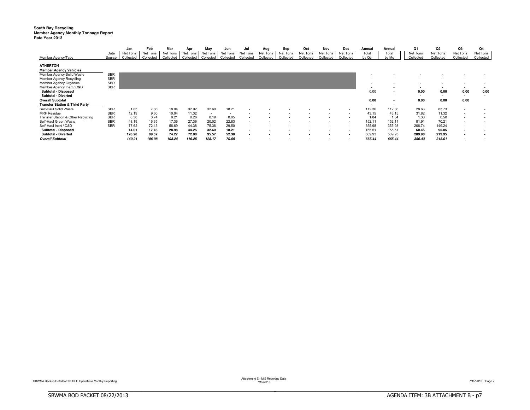### **South Bay Recycling** Member Agency Monthly Tonnage Report<br>Rate Year 2013

|                                                  |            | Jan       | Feb       | Mar       | Apr       | May       | Jun       | Jul       | Aug       | Sep       | Oct       | Nov       | Dec                      | Annual | Annual                   | Q1        | Q <sub>2</sub> | Q3                       | Q4                       |
|--------------------------------------------------|------------|-----------|-----------|-----------|-----------|-----------|-----------|-----------|-----------|-----------|-----------|-----------|--------------------------|--------|--------------------------|-----------|----------------|--------------------------|--------------------------|
|                                                  | Data       | Net Tons  | Net Tons  | Net Tons  | Net Tons  | Net Tons  | Net Tons  | Net Tons  | Net Tons  | Net Tons  | Net Tons  | Net Tons  | Net Tons                 | Total  | Total                    | Net Tons  | Net Tons       | Net Tons                 | Net Tons                 |
| Member Agency/Type                               | Source     | Collected | Collected | Collected | Collected | Collected | Collected | Collected | Collected | Collected | Collected | Collected | Collected                | by Qtr | by Mo                    | Collected | Collected      | Collected                | Collected                |
| <b>ATHERTON</b><br><b>Member Agency Vehicles</b> |            |           |           |           |           |           |           |           |           |           |           |           |                          |        |                          |           |                |                          |                          |
| Member Agency Solid Waste                        | <b>SBR</b> |           |           |           |           |           |           |           |           |           |           |           |                          |        |                          |           |                |                          |                          |
| Member Agency Recycling                          | <b>SBR</b> |           |           |           |           |           |           |           |           |           |           |           |                          |        |                          |           |                |                          |                          |
| Member Agency Organics                           | <b>SBR</b> |           |           |           |           |           |           |           |           |           |           |           |                          |        |                          |           |                |                          |                          |
| Member Agency Inert / C&D                        | <b>SBR</b> |           |           |           |           |           |           |           |           |           |           |           |                          |        |                          | $\sim$    |                | $\overline{\phantom{a}}$ | $\overline{\phantom{a}}$ |
| Subtotal - Disposed                              |            |           |           |           |           |           |           |           |           |           |           |           |                          | 0.00   | $\overline{\phantom{a}}$ | 0.00      | 0.00           | 0.00                     | 0.00                     |
| Subtotal - Diverted                              |            |           |           |           |           |           |           |           |           |           |           |           |                          |        | $\overline{\phantom{a}}$ | $\sim$    |                | $\overline{\phantom{a}}$ | $\overline{\phantom{a}}$ |
| <b>Overall Subtotal</b>                          |            |           |           |           |           |           |           |           |           |           |           |           |                          | 0.00   | $\overline{\phantom{a}}$ | 0.00      | 0.00           | 0.00                     |                          |
| <b>Transfer Station &amp; Third Party</b>        |            |           |           |           |           |           |           |           |           |           |           |           |                          | $\sim$ | $\overline{\phantom{a}}$ |           |                |                          |                          |
| Self-Haul Solid Waste                            | <b>SBR</b> | 1.83      | 7.86      | 18.94     | 32.92     | 32.60     | 18.21     |           |           |           |           |           |                          | 112.36 | 112.36                   | 28.63     | 83.73          | $\overline{\phantom{a}}$ |                          |
| <b>MRF</b> Residue                               | <b>SBR</b> | 12.19     | 9.60      | 10.04     | 11.32     | $\sim$    |           |           |           |           |           |           |                          | 43.15  | 43.15                    | 31.82     | 11.32          | $\overline{\phantom{a}}$ |                          |
| Transfer Station & Other Recycling               | <b>SBR</b> | 0.38      | 0.74      | 0.21      | 0.26      | 0.19      | 0.05      |           |           |           |           |           |                          | 1.84   | 1.84                     | 1.33      | 0.50           | $\overline{\phantom{a}}$ | $\overline{\phantom{a}}$ |
| Self-Haul Green Waste                            | <b>SBR</b> | 48.19     | 16.35     | 17.36     | 27.36     | 20.02     | 22.83     |           |           |           |           |           |                          | 152.11 | 152.11                   | 81.91     | 70.21          | $\overline{\phantom{a}}$ |                          |
| Self-Haul Inert / C&D                            | <b>SBR</b> | 77.62     | 72.43     | 56.69     | 44.38     | 75.36     | 29.50     |           |           |           |           |           |                          | 355.98 | 355.98                   | 206.74    | 149.24         | $\overline{\phantom{a}}$ |                          |
| Subtotal - Disposed                              |            | 14.01     | 17.46     | 28.98     | 44.25     | 32.60     | 18.21     |           |           |           |           |           | $\blacksquare$           | 155.51 | 155.51                   | 60.45     | 95.05          | $\overline{\phantom{a}}$ | . .                      |
| Subtotal - Diverted                              |            | 126.20    | 89.52     | 74.27     | 72.00     | 95.57     | 52.38     |           |           |           |           | $\sim$    | $\overline{\phantom{a}}$ | 509.93 | 509.93                   | 289.98    | 219.95         |                          |                          |
| <b>Overall Subtotal</b>                          |            | 140.21    | 106.98    | 103.24    | 116.25    | 128.17    | 70.59     |           |           |           |           |           |                          | 665.44 | 665.44                   | 350.43    | 315.01         | $\overline{\phantom{a}}$ |                          |

BBBBBBBBBBBBBBBBBBBBBBBBBBBBBBBBBBBBBBBBBBBBBBBBBBBBBBBBBBBBBBBBBBBBBBBBBBBBBB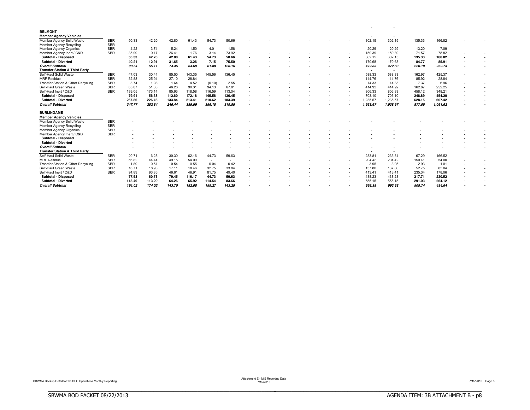| <b>BELMONT</b>                            |            |                          |        |                |                          |                          |        |  |  |  |                          |          |        |                          |  |
|-------------------------------------------|------------|--------------------------|--------|----------------|--------------------------|--------------------------|--------|--|--|--|--------------------------|----------|--------|--------------------------|--|
| <b>Member Agency Vehicles</b>             |            |                          |        |                |                          |                          |        |  |  |  |                          |          |        |                          |  |
| Member Agency Solid Waste                 | <b>SBR</b> | 50.33                    | 42.20  | 42.80          | 61.43                    | 54.73                    | 50.66  |  |  |  | 302.15                   | 302.15   | 135.33 | 166.82                   |  |
| <b>Member Agency Recycling</b>            | <b>SBR</b> | $\overline{\phantom{a}}$ |        | $\overline{a}$ | $\overline{\phantom{a}}$ | $\sim$                   | $\sim$ |  |  |  | $\overline{\phantom{a}}$ | $\sim$   | $\sim$ | $\overline{\phantom{a}}$ |  |
| <b>Member Agency Organics</b>             | <b>SBR</b> | 4.22                     | 3.74   | 5.24           | 1.50                     | 4.01                     | 1.58   |  |  |  | 20.29                    | 20.29    | 13.20  | 7.09                     |  |
| Member Agency Inert / C&D                 | <b>SBR</b> | 35.99                    | 9.17   | 26.41          | 1.76                     | 3.14                     | 73.92  |  |  |  | 150.39                   | 150.39   | 71.57  | 78.82                    |  |
| <b>Subtotal - Disposed</b>                |            | 50.33                    | 42.20  | 42.80          | 61.43                    | 54.73                    | 50.66  |  |  |  | 302.15                   | 302.15   | 135.33 | 166.82                   |  |
| <b>Subtotal - Diverted</b>                |            | 40.21                    | 12.91  | 31.65          | 3.26                     | 7.15                     | 75.50  |  |  |  | 170.68                   | 170.68   | 84.77  | 85.91                    |  |
| <b>Overall Subtotal</b>                   |            | 90.54                    | 55.11  | 74.45          | 64.69                    | 61.88                    | 126.16 |  |  |  | 472.83                   | 472.83   | 220.10 | 252.73                   |  |
| <b>Transfer Station &amp; Third Party</b> |            |                          |        |                |                          |                          |        |  |  |  | $\overline{a}$           | $\sim$   |        |                          |  |
| Self-Haul Solid Waste                     | <b>SBR</b> | 47.03                    | 30.44  | 85.50          | 143.35                   | 145.56                   | 136.45 |  |  |  | 588.33                   | 588.33   | 162.97 | 425.37                   |  |
| <b>MRF Residue</b>                        | <b>SBR</b> | 32.88                    | 25.94  | 27.10          | 28.84                    | $\sim$                   | $\sim$ |  |  |  | 114.76                   | 114.76   | 85.92  | 28.84                    |  |
| Transfer Station & Other Recycling        | <b>SBR</b> | 3.74                     | 1.98   | 1.64           | 4.52                     | (0.10)                   | 2.55   |  |  |  | 14.33                    | 14.33    | 7.37   | 6.96                     |  |
| Self-Haul Green Waste                     | <b>SBR</b> | 65.07                    | 51.33  | 46.26          | 90.31                    | 94.13                    | 67.81  |  |  |  | 414.92                   | 414.92   | 162.67 | 252.25                   |  |
| Self-Haul Inert / C&D                     | <b>SBR</b> | 199.05                   | 173.14 | 85.93          | 118.58                   | 116.59                   | 113.04 |  |  |  | 806.33                   | 806.33   | 458.12 | 348.21                   |  |
| <b>Subtotal - Disposed</b>                |            | 79.91                    | 56.38  | 112.60         | 172.18                   | 145.56                   | 136.45 |  |  |  | 703.10                   | 703.10   | 248.89 | 454.20                   |  |
| <b>Subtotal - Diverted</b>                |            | 267.86                   | 226.46 | 133.84         | 213.41                   | 210.62                   | 183.39 |  |  |  | 1,235.57                 | 1.235.57 | 628.15 | 607.42                   |  |
| <b>Overall Subtotal</b>                   |            | 347.77                   | 282.84 | 246.44         | 385.59                   | 356.18                   | 319.85 |  |  |  | 1.938.67                 | 1.938.67 | 877.05 | 1.061.62                 |  |
| <b>BURLINGAME</b>                         |            |                          |        |                |                          |                          |        |  |  |  |                          |          |        |                          |  |
| <b>Member Agency Vehicles</b>             |            |                          |        |                |                          |                          |        |  |  |  |                          |          |        |                          |  |
| Member Agency Solid Waste                 | <b>SBR</b> |                          |        |                |                          |                          |        |  |  |  |                          |          |        |                          |  |
| <b>Member Agency Recycling</b>            | <b>SBR</b> |                          |        |                |                          |                          |        |  |  |  |                          |          |        |                          |  |
| <b>Member Agency Organics</b>             | <b>SBR</b> |                          |        |                |                          |                          |        |  |  |  |                          |          |        |                          |  |
| Member Agency Inert / C&D                 | <b>SBR</b> |                          |        |                |                          |                          |        |  |  |  |                          |          |        |                          |  |
| <b>Subtotal - Disposed</b>                |            |                          |        |                |                          |                          |        |  |  |  |                          |          |        |                          |  |
| <b>Subtotal - Diverted</b>                |            |                          |        |                |                          |                          |        |  |  |  |                          |          |        |                          |  |
| <b>Overall Subtotal</b>                   |            |                          |        |                |                          |                          |        |  |  |  |                          |          |        |                          |  |
| <b>Transfer Station &amp; Third Party</b> |            |                          |        |                |                          |                          |        |  |  |  |                          |          |        |                          |  |
| Self-Haul Solid Waste                     | <b>SBR</b> | 20.71                    | 16.28  | 30.30          | 62.16                    | 44.73                    | 59.63  |  |  |  | 233.81                   | 233.81   | 67.29  | 166.52                   |  |
| <b>MRF</b> Residue                        | <b>SBR</b> | 56.82                    | 44.44  | 49.15          | 54.00                    | $\overline{\phantom{a}}$ |        |  |  |  | 204.42                   | 204.42   | 150.41 | 54.00                    |  |
|                                           |            |                          |        |                |                          |                          |        |  |  |  |                          |          |        |                          |  |
| Transfer Station & Other Recycling        | <b>SBR</b> | 1.89                     | 0.51   | 0.54           | 0.55                     | 0.04                     | 0.42   |  |  |  | 3.95                     | 3.95     | 2.93   | 1.01                     |  |
| Self-Haul Green Waste                     | <b>SBR</b> | 16.71                    | 18.93  | 17.11          | 18.46                    | 32.75                    | 33.84  |  |  |  | 137.80                   | 137.80   | 52.75  | 85.04                    |  |
| Self-Haul Inert / C&D                     | <b>SBR</b> | 94.89                    | 93.85  | 46.61          | 46.91                    | 81.75                    | 49.40  |  |  |  | 413.41                   | 413.41   | 235.34 | 178.06                   |  |
| <b>Subtotal - Disposed</b>                |            | 77.53                    | 60.73  | 79.45          | 116.17                   | 44.73                    | 59.63  |  |  |  | 438.23                   | 438.23   | 217.71 | 220.52                   |  |
| <b>Subtotal - Diverted</b>                |            | 113.49                   | 113.29 | 64.26          | 65.92                    | 114.54                   | 83.66  |  |  |  | 555.15                   | 555.15   | 291.03 | 264.12                   |  |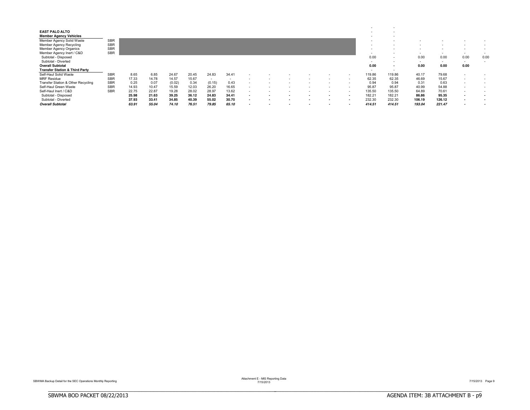| <b>EAST PALO ALTO</b><br><b>Member Agency Vehicles</b><br>Member Agency Solid Waste<br>Member Agency Recycling<br><b>Member Agency Organics</b> | <b>SBR</b><br><b>SBR</b><br><b>SBR</b><br><b>SBR</b> |       |       |        |       |                          |                          |  |   |                          |                          |        | $\overline{\phantom{a}}$<br>$\overline{\phantom{a}}$<br>$\overline{\phantom{a}}$<br>$\overline{\phantom{a}}$<br>$\overline{\phantom{a}}$ | $\sim$<br>$\sim$<br>$\overline{\phantom{a}}$<br>$\sim$ |                                  | $\overline{\phantom{a}}$<br>$\overline{\phantom{a}}$ | $\sim$                           | . .            |
|-------------------------------------------------------------------------------------------------------------------------------------------------|------------------------------------------------------|-------|-------|--------|-------|--------------------------|--------------------------|--|---|--------------------------|--------------------------|--------|------------------------------------------------------------------------------------------------------------------------------------------|--------------------------------------------------------|----------------------------------|------------------------------------------------------|----------------------------------|----------------|
| Member Agency Inert / C&D<br>Subtotal - Disposed<br>Subtotal - Diverted<br><b>Overall Subtotal</b><br><b>Transfer Station &amp; Third Party</b> |                                                      |       |       |        |       |                          |                          |  |   |                          |                          |        | $\overline{\phantom{a}}$<br>0.00<br>$\sim$<br>0.00<br>$\overline{\phantom{a}}$                                                           | $\sim$<br>$\sim$<br>$\sim$<br>$\sim$                   | $\sim$<br>0.00<br>$\sim$<br>0.00 | $\overline{\phantom{0}}$<br>0.00<br>$\sim$<br>0.00   | $\sim$<br>0.00<br>$\sim$<br>0.00 | $\sim$<br>0.00 |
| Self-Haul Solid Waste                                                                                                                           | <b>SBR</b>                                           | 8.65  | 6.85  | 24.67  | 20.45 | 24.83                    | 34.41                    |  |   |                          |                          | $\sim$ | 119.86                                                                                                                                   | 119.86                                                 | 40.17                            | 79.68                                                | $\sim$                           |                |
| <b>MRF Residue</b>                                                                                                                              | <b>SBR</b>                                           | 17.33 | 14.78 | 14.57  | 15.67 | $\overline{\phantom{a}}$ | $\overline{\phantom{a}}$ |  |   |                          |                          |        | 62.35                                                                                                                                    | 62.35                                                  | 46.69                            | 15.67                                                | $\sim$                           | . .            |
| Transfer Station & Other Recycling                                                                                                              | <b>SBR</b>                                           | 0.25  | 0.07  | (0.02) | 0.34  | (0.15)                   | 0.43                     |  |   |                          |                          |        | 0.94                                                                                                                                     | 0.94                                                   | 0.31                             | 0.63                                                 | $\sim$                           | $\sim$         |
| Self-Haul Green Waste                                                                                                                           | <b>SBR</b>                                           | 14.93 | 10.47 | 15.59  | 12.03 | 26.20                    | 16.65                    |  | - | $\overline{\phantom{a}}$ | $\overline{\phantom{a}}$ | $\sim$ | 95.87                                                                                                                                    | 95.87                                                  | 40.99                            | 54.88                                                | $\sim$                           | $\sim$         |
| Self-Haul Inert / C&D                                                                                                                           | <b>SBR</b>                                           | 22.75 | 22.87 | 19.28  | 28.02 | 28.97                    | 13.62                    |  |   |                          |                          | $\sim$ | 135.50                                                                                                                                   | 135.50                                                 | 64.89                            | 70.61                                                | $\sim$                           |                |
| Subtotal - Disposed                                                                                                                             |                                                      | 25.98 | 21.63 | 39.25  | 36.12 | 24.83                    | 34.41                    |  |   |                          |                          |        | 182.21                                                                                                                                   | 182.21                                                 | 86.86                            | 95.35                                                | $\sim$                           |                |
| Subtotal - Diverted                                                                                                                             |                                                      | 37.93 | 33.41 | 34.85  | 40.39 | 55.02                    | 30.70                    |  |   |                          |                          |        | 232.30                                                                                                                                   | 232.30                                                 | 106.19                           | 126.12                                               | $\sim$                           | . .            |
| <b>Overall Subtotal</b>                                                                                                                         |                                                      | 63.91 | 55.04 | 74.10  | 76.51 | 79.85                    | 65.10                    |  |   |                          |                          |        | 414.51                                                                                                                                   | 414.51                                                 | 193.04                           | 221.47                                               | $\overline{\phantom{a}}$         |                |

Attachment E - MIS Reporting Data<br>7/15/2013 Page 9<br>7/15/2013 Page 9

BBBBBBBBBBBBBBBBBBBBBBBBBBBBBBBBBBBBBBBBBBBBBBBBBBBBBBBBBBBBBBBBBBBBBBBBBBBBBB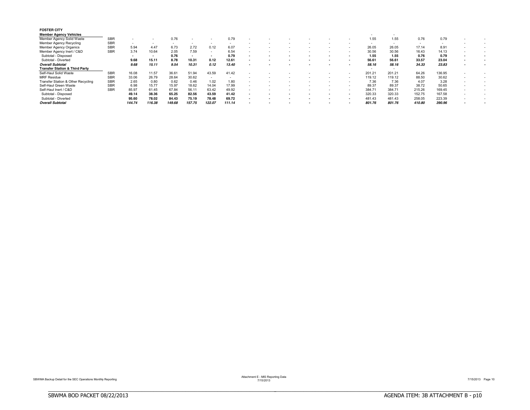| <b>FOSTER CITY</b><br><b>Member Agency Vehicles</b> |            |        |        |        |        |        |                          |                          |  |  |     |        | $\sim$ |        |                          |                          |  |
|-----------------------------------------------------|------------|--------|--------|--------|--------|--------|--------------------------|--------------------------|--|--|-----|--------|--------|--------|--------------------------|--------------------------|--|
| Member Agency Solid Waste                           | <b>SBR</b> |        |        | 0.76   |        |        | 0.79                     |                          |  |  |     | 1.55   | 1.55   | 0.76   | 0.79                     |                          |  |
| Member Agency Recycling                             | <b>SBR</b> | $\sim$ | $\sim$ | $\sim$ | $\sim$ | $\sim$ | $\sim$                   |                          |  |  |     |        |        | $\sim$ | $\overline{\phantom{a}}$ |                          |  |
| Member Agency Organics                              | <b>SBR</b> | 5.94   | 4.47   | 6.73   | 2.72   | 0.12   | 6.07                     | $\overline{\phantom{a}}$ |  |  |     | 26.05  | 26.05  | 17.14  | 8.91                     |                          |  |
| Member Agency Inert / C&D                           | <b>SBR</b> | 3.74   | 10.64  | 2.05   | 7.59   |        | 6.54                     |                          |  |  |     | 30.56  | 30.56  | 16.43  | 14.13                    |                          |  |
| Subtotal - Disposed                                 |            | $\sim$ | . .    | 0.76   | $\sim$ |        | 0.79                     | $\overline{\phantom{a}}$ |  |  |     | 1.55   | 1.55   | 0.76   | 0.79                     |                          |  |
| Subtotal - Diverted                                 |            | 9.68   | 15.11  | 8.78   | 10.31  | 0.12   | 12.61                    | ۰                        |  |  |     | 56.61  | 56.61  | 33.57  | 23.04                    |                          |  |
| <b>Overall Subtotal</b>                             |            | 9.68   | 15.11  | 9.54   | 10.31  | 0.12   | 13.40                    |                          |  |  |     | 58.16  | 58.16  | 34.33  | 23.83                    |                          |  |
| <b>Transfer Station &amp; Third Party</b>           |            |        |        |        |        |        |                          |                          |  |  |     |        | $\sim$ |        |                          |                          |  |
| Self-Haul Solid Waste                               | <b>SBR</b> | 16.08  | 11.57  | 36.61  | 51.94  | 43.59  | 41.42                    |                          |  |  |     | 201.21 | 201.21 | 64.26  | 136.95                   |                          |  |
| <b>MRF</b> Residue                                  | <b>SBR</b> | 33.06  | 26.79  | 28.64  | 30.62  | $\sim$ | $\overline{\phantom{a}}$ |                          |  |  |     | 119.12 | 119.12 | 88.50  | 30.62                    |                          |  |
| Transfer Station & Other Recycling                  | <b>SBR</b> | 2.65   | 0.80   | 0.62   | 0.46   | 1.02   | 1.80                     |                          |  |  |     | 7.36   | 7.36   | 4.07   | 3.28                     |                          |  |
| Self-Haul Green Waste                               | <b>SBR</b> | 6.98   | 15.77  | 15.97  | 18.62  | 14.04  | 17.99                    | ۰                        |  |  |     | 89.37  | 89.37  | 38.72  | 50.65                    | -                        |  |
| Self-Haul Inert / C&D                               | <b>SBR</b> | 85.97  | 61.45  | 67.84  | 56.11  | 63.42  | 49.92                    | $\sim$                   |  |  | -   | 384.71 | 384.71 | 215.26 | 169.45                   | ۰.                       |  |
| Subtotal - Disposed                                 |            | 49.14  | 38.36  | 65.25  | 82.56  | 43.59  | 41.42                    |                          |  |  |     | 320.33 | 320.33 | 152.75 | 167.58                   | $\overline{\phantom{a}}$ |  |
| Subtotal - Diverted                                 |            | 95.60  | 78.02  | 84.43  | 75.19  | 78.48  | 69.72                    |                          |  |  | . . | 481.43 | 481.43 | 258.05 | 223.39                   |                          |  |
| <b>Overall Subtotal</b>                             |            | 144.74 | 116.38 | 149.68 | 157.75 | 122.07 | 111.14                   |                          |  |  |     | 801.76 | 801.76 | 410.80 | 390.96                   | ۰                        |  |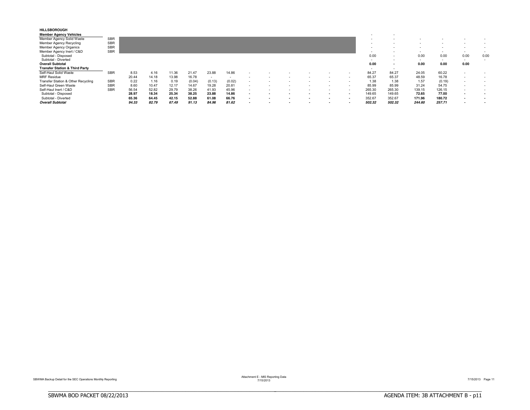| <b>HILLSBOROUGH</b><br><b>Member Agency Vehicles</b> |            |       |       |       |        |                          |        |  |  |  | $\overline{\phantom{a}}$ | $\overline{\phantom{a}}$ |        |                          |                          |      |
|------------------------------------------------------|------------|-------|-------|-------|--------|--------------------------|--------|--|--|--|--------------------------|--------------------------|--------|--------------------------|--------------------------|------|
| Member Agency Solid Waste                            | <b>SBR</b> |       |       |       |        |                          |        |  |  |  |                          |                          |        |                          |                          |      |
| <b>Member Agency Recycling</b>                       | <b>SBR</b> |       |       |       |        |                          |        |  |  |  |                          |                          |        |                          |                          |      |
| <b>Member Agency Organics</b>                        | <b>SBR</b> |       |       |       |        |                          |        |  |  |  |                          |                          |        |                          |                          |      |
| Member Agency Inert / C&D                            | <b>SBR</b> |       |       |       |        |                          |        |  |  |  |                          | $\overline{\phantom{a}}$ | $\sim$ | $\overline{\phantom{a}}$ | $\sim$                   |      |
| Subtotal - Disposed                                  |            |       |       |       |        |                          |        |  |  |  | 0.00                     | $\overline{\phantom{a}}$ | 0.00   | 0.00                     | 0.00                     | 0.00 |
| Subtotal - Diverted                                  |            |       |       |       |        |                          |        |  |  |  | $\sim$                   | $\overline{\phantom{a}}$ | $\sim$ | $\overline{\phantom{a}}$ | $\sim$                   |      |
| <b>Overall Subtotal</b>                              |            |       |       |       |        |                          |        |  |  |  | 0.00                     |                          | 0.00   | 0.00                     | 0.00                     |      |
| <b>Transfer Station &amp; Third Party</b>            |            |       |       |       |        |                          |        |  |  |  |                          | $\sim$                   |        |                          |                          |      |
| Self-Haul Solid Waste                                | <b>SBR</b> | 8.53  | 4.16  | 11.36 | 21.47  | 23.88                    | 14.86  |  |  |  | 84.27                    | 84.27                    | 24.05  | 60.22                    | $\sim$                   |      |
| <b>MRF Residue</b>                                   |            | 20.44 | 14.18 | 13.98 | 16.78  | $\overline{\phantom{a}}$ |        |  |  |  | 65.37                    | 65.37                    | 48.59  | 16.78                    | $\sim$                   |      |
| Transfer Station & Other Recycling                   | <b>SBR</b> | 0.22  | 1.16  | 0.19  | (0.04) | (0.13)                   | (0.02) |  |  |  | 1.38                     | 1.38                     | 1.57   | (0.19)                   | $\sim$                   |      |
| Self-Haul Green Waste                                | <b>SBR</b> | 8.60  | 10.47 | 12.17 | 14.67  | 19.28                    | 20.81  |  |  |  | 85.99                    | 85.99                    | 31.24  | 54.75                    | $\overline{\phantom{a}}$ |      |
| Self-Haul Inert / C&D                                | <b>SBR</b> | 56.54 | 52.82 | 29.79 | 38.26  | 41.93                    | 45.96  |  |  |  | 265.30                   | 265.30                   | 139.15 | 126.15                   | $\overline{\phantom{a}}$ |      |
| Subtotal - Disposed                                  |            | 28.97 | 18.34 | 25.34 | 38.25  | 23.88                    | 14.86  |  |  |  | 149.65                   | 149.65                   | 72.65  | 77.00                    |                          |      |
| Subtotal - Diverted                                  |            | 65.36 | 64.45 | 42.15 | 52.88  | 61.08                    | 66.76  |  |  |  | 352.67                   | 352.67                   | 171.96 | 180.72                   | . .                      |      |
| <b>Overall Subtotal</b>                              |            | 94.33 | 82.79 | 67.49 | 91.13  | 84.96                    | 81.62  |  |  |  | 502.32                   | 502.32                   | 244.60 | 257.71                   | $\overline{\phantom{a}}$ |      |

Attachment E - MIS Reporting Data<br>7/15/2013 Page 11

BBBBBBBBBBBBBBBBBBBBBBBBBBBBBBBBBBBBBBBBBBBBBBBBBBBBBBBBBBBBBBBBBBBBBBBBBBBBBB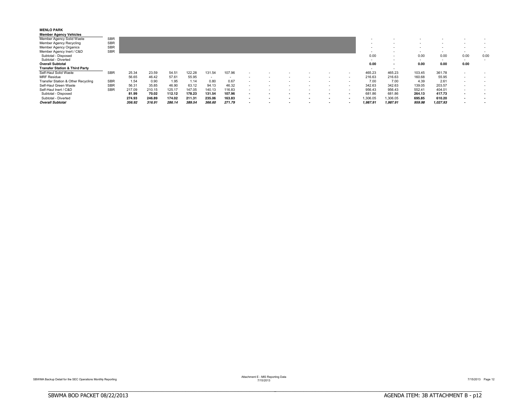| <b>MENLO PARK</b><br><b>Member Agency Vehicles</b> |            |        |        |        |        |                          |        |  |  |                          |          |                          |        |                          |                          |                          |
|----------------------------------------------------|------------|--------|--------|--------|--------|--------------------------|--------|--|--|--------------------------|----------|--------------------------|--------|--------------------------|--------------------------|--------------------------|
| Member Agency Solid Waste                          | <b>SBR</b> |        |        |        |        |                          |        |  |  |                          |          |                          |        |                          |                          |                          |
| Member Agency Recycling                            | <b>SBR</b> |        |        |        |        |                          |        |  |  |                          |          |                          |        |                          |                          |                          |
| Member Agency Organics                             | <b>SBR</b> |        |        |        |        |                          |        |  |  |                          |          |                          |        |                          |                          |                          |
| Member Agency Inert / C&D                          | <b>SBR</b> |        |        |        |        |                          |        |  |  |                          |          | $\overline{\phantom{a}}$ | $\sim$ | $\overline{\phantom{a}}$ | $\overline{\phantom{a}}$ |                          |
| Subtotal - Disposed                                |            |        |        |        |        |                          |        |  |  |                          | 0.00     | $\overline{\phantom{a}}$ | 0.00   | 0.00                     | 0.00                     | 0.00                     |
| Subtotal - Diverted                                |            |        |        |        |        |                          |        |  |  |                          | $\sim$   | $\sim$                   | $\sim$ | $\overline{\phantom{a}}$ | $\sim$                   | $\overline{\phantom{a}}$ |
| <b>Overall Subtotal</b>                            |            |        |        |        |        |                          |        |  |  |                          | 0.00     | $\sim$                   | 0.00   | 0.00                     | 0.00                     |                          |
| <b>Transfer Station &amp; Third Party</b>          |            |        |        |        |        |                          |        |  |  |                          | $\sim$   | $\sim$                   |        |                          |                          |                          |
| Self-Haul Solid Waste                              | <b>SBR</b> | 25.34  | 23.59  | 54.51  | 122.28 | 131.54                   | 107.96 |  |  |                          | 465.23   | 465.23                   | 103.45 | 361.78                   | $\overline{\phantom{a}}$ |                          |
| <b>MRF Residue</b>                                 |            | 56.65  | 46.42  | 57.61  | 55.95  | $\overline{\phantom{a}}$ |        |  |  |                          | 216.63   | 216.63                   | 160.68 | 55.95                    | $\sim$                   |                          |
| Transfer Station & Other Recycling                 | <b>SBR</b> | 1.54   | 0.90   | 1.95   | 1.14   | 0.80                     | 0.67   |  |  |                          | 7.00     | 7.00                     | 4.39   | 2.61                     | $\overline{\phantom{a}}$ |                          |
| Self-Haul Green Waste                              | <b>SBR</b> | 56.31  | 35.85  | 46.90  | 63.12  | 94.13                    | 46.32  |  |  | -                        | 342.63   | 342.63                   | 139.05 | 203.57                   | $\overline{\phantom{a}}$ |                          |
| Self-Haul Inert / C&D                              | <b>SBR</b> | 217.09 | 210.15 | 125.17 | 147.05 | 140.13                   | 116.83 |  |  | $\overline{\phantom{a}}$ | 956.43   | 956.43                   | 552.41 | 404.01                   | $\overline{\phantom{a}}$ |                          |
| Subtotal - Disposed                                |            | 81.99  | 70.02  | 112.12 | 178.23 | 131.54                   | 107.96 |  |  |                          | 681.86   | 681.86                   | 264.13 | 417.73                   | $\sim$                   | . .                      |
| Subtotal - Diverted                                |            | 274.93 | 246.89 | 174.02 | 211.31 | 235.06                   | 163.83 |  |  | . .                      | 1,306.05 | 306.05                   | 695.85 | 610.20                   | $\sim$                   | . .                      |
| <b>Overall Subtotal</b>                            |            | 356.92 | 316.91 | 286.14 | 389.54 | 366.60                   | 271.79 |  |  | $\overline{\phantom{a}}$ | 1,987.91 | 1,987.91                 | 959.98 | 1,027.93                 | $\overline{\phantom{a}}$ |                          |

Attachment E - MIS Reporting Data<br>7/15/2013 Page 12<br>7/15/2013 Page 12

BBBBBBBBBBBBBBBBBBBBBBBBBBBBBBBBBBBBBBBBBBBBBBBBBBBBBBBBBBBBBBBBBBBBBBBBBBBBBB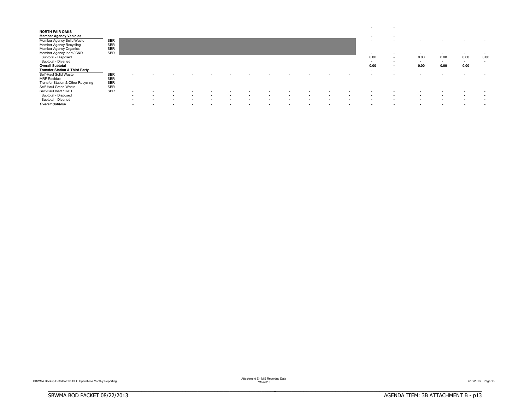| <b>NORTH FAIR OAKS</b><br><b>Member Agency Vehicles</b><br>Member Agency Solid Waste<br>Member Agency Recycling<br>Member Agency Organics<br>Member Agency Inert / C&D                                       | <b>SBR</b><br><b>SBR</b><br><b>SBR</b><br><b>SBR</b>               |                                                                                                                                  |                                                                |                                 |                                            |                          |            |                                                                                  |   |        |     | $\sim$<br>$\sim$<br>$\overline{\phantom{a}}$<br>$\sim$<br>$\sim$<br>$\overline{\phantom{a}}$<br>$\sim$ | $\overline{\phantom{a}}$<br>$\overline{\phantom{a}}$<br>$\overline{\phantom{a}}$<br>$\overline{\phantom{a}}$<br>$\overline{\phantom{a}}$<br>$\overline{\phantom{a}}$<br>$\overline{\phantom{a}}$ | $\sim$<br>$\sim$<br>$\sim$                                               | ٠<br>$\overline{\phantom{a}}$<br>$\overline{\phantom{a}}$<br>$\sim$                                               | $\overline{\phantom{a}}$<br>$\overline{\phantom{a}}$<br>$\sim$ | $\sim$<br>$\sim$<br>$\sim$           |
|--------------------------------------------------------------------------------------------------------------------------------------------------------------------------------------------------------------|--------------------------------------------------------------------|----------------------------------------------------------------------------------------------------------------------------------|----------------------------------------------------------------|---------------------------------|--------------------------------------------|--------------------------|------------|----------------------------------------------------------------------------------|---|--------|-----|--------------------------------------------------------------------------------------------------------|--------------------------------------------------------------------------------------------------------------------------------------------------------------------------------------------------|--------------------------------------------------------------------------|-------------------------------------------------------------------------------------------------------------------|----------------------------------------------------------------|--------------------------------------|
| Subtotal - Disposed<br>Subtotal - Diverted<br><b>Overall Subtotal</b><br><b>Transfer Station &amp; Third Party</b>                                                                                           |                                                                    |                                                                                                                                  |                                                                |                                 |                                            |                          |            |                                                                                  |   |        |     | 0.00<br>$\sim$<br>0.00<br>$\sim$                                                                       | $\sim$<br>$\overline{\phantom{a}}$<br>$\overline{\phantom{a}}$<br>$\overline{\phantom{a}}$                                                                                                       | 0.00<br>$\sim$<br>0.00                                                   | 0.00<br>$\sim$<br>0.00                                                                                            | 0.00<br>$\sim$<br>0.00                                         | 0.00<br>$\sim$                       |
| Self-Haul Solid Waste<br><b>MRF</b> Residue<br>Transfer Station & Other Recycling<br>Self-Haul Green Waste<br>Self-Haul Inert / C&D<br>Subtotal - Disposed<br>Subtotal - Diverted<br><b>Overall Subtotal</b> | <b>SBR</b><br><b>SBR</b><br><b>SBR</b><br><b>SBR</b><br><b>SBR</b> | $\overline{\phantom{a}}$<br>$\sim$<br>$\overline{\phantom{a}}$<br>$\sim$<br>$\overline{\phantom{a}}$<br>$\overline{\phantom{a}}$ | $\overline{\phantom{a}}$<br>$\sim$<br>$\overline{\phantom{a}}$ | . .<br>$\overline{\phantom{a}}$ | $\blacksquare$<br>$\overline{\phantom{a}}$ | $\overline{\phantom{a}}$ | $\sim$<br> | $\overline{\phantom{a}}$<br>$\overline{\phantom{a}}$<br>$\overline{\phantom{0}}$ | - | $\sim$ | . . | . .                                                                                                    | $\overline{\phantom{a}}$<br>$\overline{\phantom{a}}$<br>$\sim$<br>$\overline{\phantom{a}}$                                                                                                       | $\sim$<br>$\overline{\phantom{a}}$<br>$\overline{\phantom{a}}$<br>$\sim$ | ٠<br>$\overline{\phantom{a}}$<br>$\overline{\phantom{a}}$<br>$\overline{\phantom{a}}$<br>$\overline{\phantom{a}}$ | $\sim$<br>$\sim$<br>$\sim$<br>$\sim$                           | $\sim$<br>$\sim$<br>$\sim$<br>$\sim$ |

BBBBBBBBBBBBBBBBBBBBBBBBBBBBBBBBBBBBBBBBBBBBBBBBBBBBBBBBBBBBBBBBBBBBBBBBBBBBBB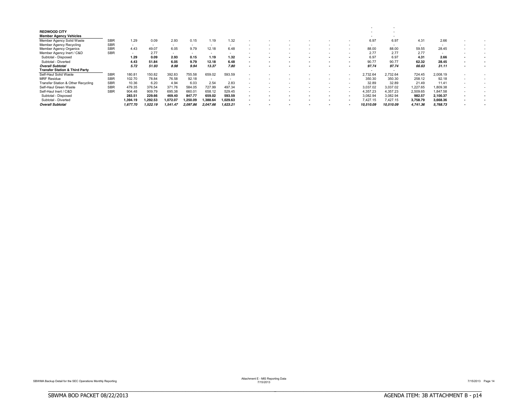| <b>REDWOOD CITY</b>                       |            |          |          |          |          |                          |                          |  |  |        |                          |           |          |                          |  |
|-------------------------------------------|------------|----------|----------|----------|----------|--------------------------|--------------------------|--|--|--------|--------------------------|-----------|----------|--------------------------|--|
| <b>Member Agency Vehicles</b>             |            |          |          |          |          |                          |                          |  |  |        | $\overline{\phantom{a}}$ |           |          |                          |  |
| Member Agency Solid Waste                 | <b>SBR</b> | 1.29     | 0.09     | 2.93     | 0.15     | .19                      | 1.32                     |  |  |        | 6.97                     | 6.97      | 4.31     | 2.66                     |  |
| <b>Member Agency Recycling</b>            | <b>SBR</b> | $\sim$   | $\sim$   | $\sim$   | $\sim$   | $\sim$                   | $\sim$                   |  |  |        |                          | $\sim$    | $\sim$   | $\overline{\phantom{a}}$ |  |
| Member Agency Organics                    | <b>SBR</b> | 4.43     | 49.07    | 6.05     | 9.79     | 12.18                    | 6.48                     |  |  |        | 88.00                    | 88.00     | 59.55    | 28.45                    |  |
| Member Agency Inert / C&D                 | <b>SBR</b> |          | 2.77     | $\sim$   | $\sim$   | -                        | $\sim$                   |  |  | . .    | 2.77                     | 2.77      | 2.77     | $\overline{\phantom{a}}$ |  |
| Subtotal - Disposed                       |            | 1.29     | 0.09     | 2.93     | 0.15     | 1.19                     | 1.32                     |  |  |        | 6.97                     | 6.97      | 4.31     | 2.66                     |  |
| Subtotal - Diverted                       |            | 4.43     | 51.84    | 6.05     | 9.79     | 12.18                    | 6.48                     |  |  |        | 90.77                    | 90.77     | 62.32    | 28.45                    |  |
| <b>Overall Subtotal</b>                   |            | 5.72     | 51.93    | 8.98     | 9.94     | 13.37                    | 7.80                     |  |  |        | 97.74                    | 97.74     | 66.63    | 31.11                    |  |
| <b>Transfer Station &amp; Third Party</b> |            |          |          |          |          |                          |                          |  |  |        |                          |           |          |                          |  |
| Self-Haul Solid Waste                     | <b>SBR</b> | 180.81   | 150.82   | 392.83   | 755.58   | 659.02                   | 593.59                   |  |  |        | 2,732.64                 | 2,732.64  | 724.45   | 2,008.19                 |  |
| <b>MRF Residue</b>                        | <b>SBR</b> | 102.70   | 78.84    | 76.58    | 92.18    | $\overline{\phantom{a}}$ | $\overline{\phantom{a}}$ |  |  | $\sim$ | 350.30                   | 350.30    | 258.12   | 92.18                    |  |
| Transfer Station & Other Recycling        | <b>SBR</b> | 10.36    | 6.20     | 4.94     | 6.03     | 2.54                     | 2.83                     |  |  | $\sim$ | 32.89                    | 32.89     | 21.49    | 11.41                    |  |
| Self-Haul Green Waste                     | <b>SBR</b> | 479.35   | 376.54   | 371.76   | 584.05   | 727.99                   | 497.34                   |  |  |        | 3,037.02                 | 3,037.02  | 1,227.65 | 1,809.38                 |  |
| Self-Haul Inert / C&D                     | <b>SBR</b> | 904.48   | 909.79   | 695.38   | 660.01   | 658.12                   | 529.45                   |  |  |        | 4.357.23                 | 4.357.23  | 2,509.65 | 1.847.58                 |  |
| Subtotal - Disposed                       |            | 283.51   | 229.66   | 469.40   | 847.77   | 659.02                   | 593.59                   |  |  |        | 3,082.94                 | 3.082.94  | 982.57   | 2,100.37                 |  |
| Subtotal - Diverted                       |            | 1,394.19 | 1.292.53 | .072.07  | ,250.09  | ,388.64                  | ,029.63                  |  |  |        | 427.15                   | 7.427.15  | 3,758.79 | 3,668.36                 |  |
| <b>Overall Subtotal</b>                   |            | 1,677.70 | .522.19  | 1,541.47 | 2,097.86 | 2,047.66                 | 1,623.21                 |  |  |        | 10,510.09                | 10,510.09 | 4,741.36 | 5,768.73                 |  |

Attachment E - MIS Reporting Data<br>7/15/2013 Page 14

BBBBBBBBBBBBBBBBBBBBBBBBBBBBBBBBBBBBBBBBBBBBBBBBBBBBBBBBBBBBBBBBBBBBBBBBBBBBBB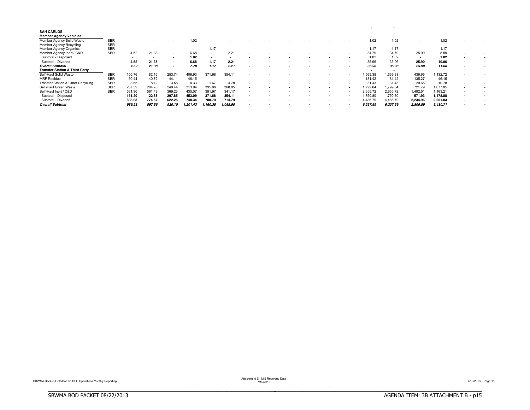| <b>SAN CARLOS</b>                         |            |        |                          |                          |         |                          |                          |  |  |               |          |                          |          |                          |  |
|-------------------------------------------|------------|--------|--------------------------|--------------------------|---------|--------------------------|--------------------------|--|--|---------------|----------|--------------------------|----------|--------------------------|--|
| <b>Member Agency Vehicles</b>             |            |        |                          |                          |         |                          |                          |  |  |               |          |                          |          |                          |  |
| Member Agency Solid Waste                 | <b>SBR</b> |        |                          |                          | 1.02    |                          |                          |  |  |               | 1.02     | 1.02                     |          | 1.02                     |  |
| Member Agency Recycling                   | <b>SBR</b> |        |                          |                          |         |                          |                          |  |  |               |          | $\overline{\phantom{a}}$ | $\sim$   | $\overline{\phantom{a}}$ |  |
| Member Agency Organics                    | <b>SBR</b> |        |                          | $\overline{\phantom{a}}$ |         | 1.17                     | $\overline{\phantom{a}}$ |  |  | <u>. на п</u> | 1.17     | 1.17                     |          | 1.17                     |  |
| Member Agency Inert / C&D                 | <b>SBR</b> | 4.52   | 21.38                    | $\sim$                   | 6.68    | -                        | 2.21                     |  |  | . .           | 34.79    | 34.79                    | 25.90    | 8.89                     |  |
| Subtotal - Disposed                       |            |        | $\overline{\phantom{a}}$ |                          | 1.02    |                          | $\sim$                   |  |  |               | 1.02     | 1.02                     |          | 1.02                     |  |
| Subtotal - Diverted                       |            | 4.52   | 21.38                    | $\overline{\phantom{a}}$ | 6.68    | 1.17                     | 2.21                     |  |  |               | 35.96    | 35.96                    | 25.90    | 10.06                    |  |
| <b>Overall Subtotal</b>                   |            | 4.52   | 21.38                    | $\sim$                   | 7.70    | 1.17                     | 2.21                     |  |  |               | 36.98    | 36.98                    | 25.90    | 11.08                    |  |
| <b>Transfer Station &amp; Third Party</b> |            |        |                          |                          |         |                          |                          |  |  |               |          |                          |          |                          |  |
| Self-Haul Solid Waste                     | <b>SBR</b> | 100.76 | 82.16                    | 253.74                   | 406.93  | 371.68                   | 354.11                   |  |  |               | 1,569.38 | 1,569.38                 | 436.66   | ,132.72                  |  |
| <b>MRF Residue</b>                        | <b>SBR</b> | 50.44  | 40.72                    | 44.11                    | 46.15   | $\overline{\phantom{a}}$ | $\overline{\phantom{a}}$ |  |  | $\sim$        | 181.42   | 181.42                   | 135.27   | 46.15                    |  |
| Transfer Station & Other Recycling        | <b>SBR</b> | 8.65   | 8.42                     | 3.58                     | 4.33    | 1.67                     | 4.78                     |  |  | $\sim$        | 31.43    | 31.43                    | 20.65    | 10.78                    |  |
| Self-Haul Green Waste                     | <b>SBR</b> | 267.59 | 204.76                   | 249.44                   | 313.94  | 395.06                   | 368.85                   |  |  |               | 1,799.64 | 1,799.64                 | 721.79   | 1,077.85                 |  |
| Self-Haul Inert / C&D                     | <b>SBR</b> | 561.80 | 561.49                   | 369.23                   | 430.07  | 391.97                   | 341.17                   |  |  |               | 2,655.72 | 2.655.72                 | 1,492.51 | .163.21                  |  |
| Subtotal - Disposed                       |            | 151.20 | 122.88                   | 297.85                   | 453.09  | 371.68                   | 354.11                   |  |  |               | ,750.80  | 1.750.80                 | 571.93   | 1,178.88                 |  |
| Subtotal - Diverted                       |            | 838.03 | 774.67                   | 622.25                   | 748.34  | 788.70                   | 714.79                   |  |  |               | 4,486.79 | 4,486.79                 | 2,234.96 | 2,251.83                 |  |
| <b>Overall Subtotal</b>                   |            | 989.23 | 897.56                   | 920.10                   | .201.43 | .160.38                  | 1,068.90                 |  |  |               | 6,237.59 | 6,237.59                 | 2,806.89 | 3,430.71                 |  |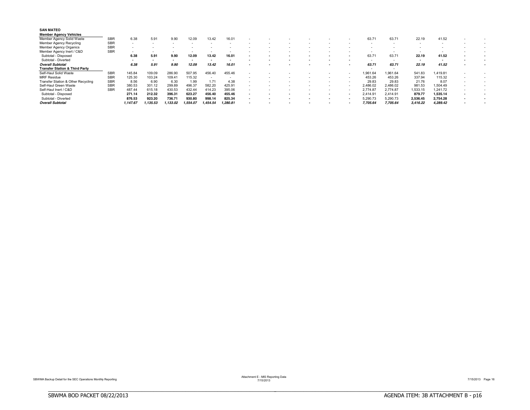| <b>SAN MATEO</b>                          |            |                          |          |                    |                          |          |                          |                          |  |  |                          |          |          |          |                          |   |  |
|-------------------------------------------|------------|--------------------------|----------|--------------------|--------------------------|----------|--------------------------|--------------------------|--|--|--------------------------|----------|----------|----------|--------------------------|---|--|
| <b>Member Agency Vehicles</b>             |            |                          |          |                    |                          |          |                          |                          |  |  |                          |          |          |          |                          |   |  |
| Member Agency Solid Waste                 | <b>SBR</b> | 6.38                     | 5.91     | 9.90               | 12.09                    | 13.42    | 16.01                    |                          |  |  |                          | 63.71    | 63.71    | 22.19    | 41.52                    |   |  |
| Member Agency Recycling                   | <b>SBR</b> | $\sim$                   | $\sim$   |                    | $\overline{\phantom{a}}$ |          | $\overline{\phantom{a}}$ |                          |  |  |                          |          | $\sim$   | $\sim$   | $\overline{\phantom{a}}$ |   |  |
| Member Agency Organics                    | <b>SBR</b> | $\overline{\phantom{a}}$ |          |                    |                          |          |                          |                          |  |  |                          |          |          |          |                          |   |  |
| Member Agency Inert / C&D                 | <b>SBR</b> | $\sim$                   |          |                    |                          |          | $\overline{\phantom{a}}$ |                          |  |  | -                        |          |          | $\sim$   | -                        |   |  |
| Subtotal - Disposed                       |            | 6.38                     | 5.91     | 9.90               | 12.09                    | 13.42    | 16.01                    | $\overline{\phantom{a}}$ |  |  |                          | 63.71    | 63.71    | 22.19    | 41.52                    |   |  |
| Subtotal - Diverted                       |            |                          |          |                    |                          | . .      |                          |                          |  |  |                          |          | $\sim$   |          |                          |   |  |
| <b>Overall Subtotal</b>                   |            | 6.38                     | 5.91     | 9.90               | 12.09                    | 13.42    | 16.01                    | $\overline{\phantom{a}}$ |  |  |                          | 63.71    | 63.71    | 22.19    | 41.52                    |   |  |
| <b>Transfer Station &amp; Third Party</b> |            |                          |          |                    |                          |          |                          |                          |  |  |                          |          |          |          |                          |   |  |
| Self-Haul Solid Waste                     | <b>SBR</b> | 145.84                   | 109.09   | 286.90             | 507.95                   | 456.40   | 455.46                   |                          |  |  | -                        | .961.64  | .961.64  | 541.83   | .419.81                  |   |  |
| <b>MRF Residue</b>                        | SBR        | 125.30                   | 103.24   | 109.4 <sup>°</sup> | 115.32                   |          | $\sim$                   |                          |  |  |                          | 453.26   | 453.26   | 337.94   | 115.32                   | - |  |
| Transfer Station & Other Recycling        | <b>SBR</b> | 8.56                     | 6.90     | 6.30               | 1.99                     | 1.71     | 4.38                     | $\overline{\phantom{a}}$ |  |  |                          | 29.83    | 29.83    | 21.76    | 8.07                     | - |  |
| Self-Haul Green Waste                     | <b>SBR</b> | 380.53                   | 301.12   | 299.89             | 496.37                   | 582.20   | 425.91                   | $\overline{\phantom{a}}$ |  |  | $\overline{\phantom{a}}$ | 2,486.02 | 2,486.02 | 981.53   | .504.49                  | ٠ |  |
| Self-Haul Inert / C&D                     | <b>SBR</b> | 487.44                   | 615.18   | 430.53             | 432.44                   | 414.23   | 395.06                   | $\overline{\phantom{a}}$ |  |  | $\overline{\phantom{a}}$ | 2.774.87 | 2.774.87 | .533.15  | .241.72                  | - |  |
| Subtotal - Disposed                       |            | 271.14                   | 212.32   | 396.31             | 623.27                   | 456.40   | 455.46                   |                          |  |  |                          | 2.414.91 | 2.414.91 | 879.77   | 1,535.14                 |   |  |
| - Diverted<br>Subtotal                    |            | 876.53                   | 923.20   | 736.71             | 930.80                   | 998.14   | 825.34                   |                          |  |  | $\blacksquare$           | 5,290.73 | 5,290.73 | 2,536.45 | 2,754.28                 |   |  |
| <b>Overall Subtotal</b>                   |            | 1,147.67                 | 1,135.53 | .133.02            | .554.07                  | 1,454.54 | 1,280.81                 |                          |  |  |                          | 7,705.64 | 7,705.64 | 3,416.22 | 4,289.42                 |   |  |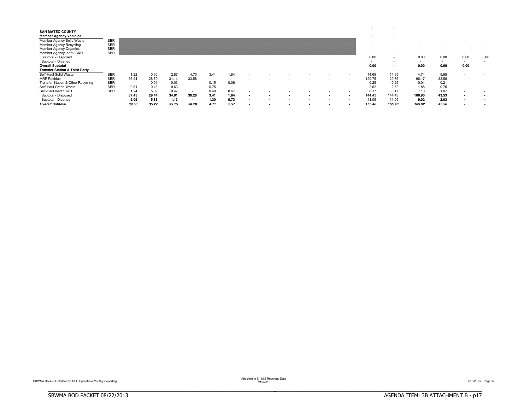| <b>SAN MATEO COUNTY</b>                   |            |        |       |       |       |        |                          |  |  |  |                          |        |        |                          |                          |        |
|-------------------------------------------|------------|--------|-------|-------|-------|--------|--------------------------|--|--|--|--------------------------|--------|--------|--------------------------|--------------------------|--------|
| <b>Member Agency Vehicles</b>             |            |        |       |       |       |        |                          |  |  |  | $\overline{\phantom{a}}$ |        |        |                          |                          |        |
| Member Agency Solid Waste                 | <b>SBR</b> |        |       |       |       |        |                          |  |  |  |                          |        |        |                          |                          |        |
| <b>Member Agency Recycling</b>            | <b>SBR</b> |        |       |       |       |        |                          |  |  |  |                          |        |        |                          |                          |        |
| Member Agency Organics                    | <b>SBR</b> |        |       |       |       |        |                          |  |  |  |                          |        |        |                          | $\sim$                   |        |
| Member Agency Inert / C&D                 | <b>SBR</b> |        |       |       |       |        |                          |  |  |  | $\overline{\phantom{a}}$ |        | $\sim$ | $\overline{\phantom{a}}$ | $\sim$                   |        |
| Subtotal - Disposed                       |            |        |       |       |       |        |                          |  |  |  | 0.00                     | $\sim$ | 0.00   | 0.00                     | 0.00                     | 0.00   |
| Subtotal - Diverted                       |            |        |       |       |       |        |                          |  |  |  | $\sim$                   | $\sim$ | $\sim$ | $\sim$                   | $\sim$                   | $\sim$ |
| <b>Overall Subtotal</b>                   |            |        |       |       |       |        |                          |  |  |  | 0.00                     | $\sim$ | 0.00   | 0.00                     | 0.00                     |        |
| <b>Transfer Station &amp; Third Party</b> |            |        |       |       |       |        |                          |  |  |  | $\sim$                   | $\sim$ |        |                          |                          |        |
| Self-Haul Solid Waste                     | <b>SBR</b> | 1.22   | 0.65  | 2.87  | 4.70  | 3.41   | 1.84                     |  |  |  | 14.69                    | 14.69  | 4.74   | 9.95                     | $\sim$                   |        |
| <b>MRF Residue</b>                        | SBR        | 36.24  | 28.79 | 31.14 | 33.58 | $\sim$ | $\sim$                   |  |  |  | 129.75                   | 129.75 | 96.17  | 33.58                    | $\sim$                   |        |
| Transfer Station & Other Recycling        | <b>SBR</b> | $\sim$ | 0.01  | 0.03  |       | 0.15   | 0.06                     |  |  |  | 0.25                     | 0.25   | 0.04   | 0.21                     | $\sim$                   |        |
| Self-Haul Green Waste                     | <b>SBR</b> | 0.81   | 0.43  | 0.63  |       | 0.75   | $\overline{\phantom{a}}$ |  |  |  | 2.62                     | 2.62   | 1.88   | 0.75                     | $\sim$                   |        |
| Self-Haul Inert / C&D                     | <b>SBR</b> | 1.24   | 5.39  | 0.47  |       | 0.40   | 0.67                     |  |  |  | 8.17                     | 8.17   | 7.10   | 1.07                     | $\sim$                   |        |
| Subtotal - Disposed                       |            | 37.45  | 29.44 | 34.01 | 38.28 | 3.41   | 1.84                     |  |  |  | 144.43                   | 144.43 | 100.90 | 43.53                    | $\sim$                   |        |
| Subtotal - Diverted                       |            | 2.05   | 5.83  | 1.13  | . .   | 1.30   | 0.73                     |  |  |  | 11.05                    | 11.05  | 9.02   | 2.03                     | . .                      |        |
| <b>Overall Subtotal</b>                   |            | 39.50  | 35.27 | 35.15 | 38.28 | 4.71   | 2.57                     |  |  |  | 155.48                   | 155.48 | 109.92 | 45.56                    | $\overline{\phantom{a}}$ |        |

BBBBBBBBBBBBBBBBBBBBBBBBBBBBBBBBBBBBBBBBBBBBBBBBBBBBBBBBBBBBBBBBBBBBBBBBBBBBBB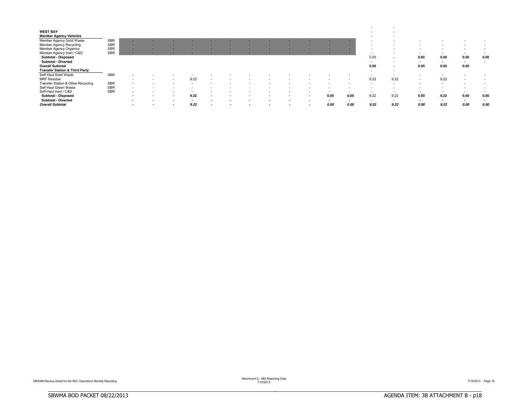|                                           |            |                          |                          |        |                          |  |                          |     |      |      | -                        |                |        |        |                          |      |
|-------------------------------------------|------------|--------------------------|--------------------------|--------|--------------------------|--|--------------------------|-----|------|------|--------------------------|----------------|--------|--------|--------------------------|------|
| <b>WEST BAY</b>                           |            |                          |                          |        |                          |  |                          |     |      |      | $\overline{\phantom{a}}$ |                |        |        |                          |      |
| <b>Member Agency Vehicles</b>             |            |                          |                          |        |                          |  |                          |     |      |      | $\overline{\phantom{a}}$ |                |        |        |                          |      |
| Member Agency Solid Waste                 | <b>SBR</b> |                          |                          |        |                          |  |                          |     |      |      |                          |                |        |        |                          |      |
| Member Agency Recycling                   | <b>SBR</b> | $\overline{\phantom{a}}$ |                          |        |                          |  |                          |     |      |      |                          |                |        |        | $\overline{\phantom{a}}$ |      |
| Member Agency Organics                    | <b>SBR</b> |                          |                          |        |                          |  |                          |     |      |      |                          |                |        |        | $\sim$                   |      |
| Member Agency Inert / C&D                 | <b>SBR</b> |                          |                          |        |                          |  |                          |     |      |      | -                        |                | $\sim$ | $\sim$ | $\sim$                   |      |
| Subtotal - Disposed                       |            |                          |                          |        |                          |  |                          |     |      |      | 0.00                     | $\sim$         | 0.00   | 0.00   | 0.00                     | 0.00 |
| Subtotal - Diverted                       |            |                          |                          |        |                          |  |                          |     |      |      | $\sim$                   | $\sim$         | $\sim$ | $\sim$ | $\sim$                   | . .  |
| <b>Overall Subtotal</b>                   |            |                          |                          |        |                          |  |                          |     |      |      | 0.00                     | $\blacksquare$ | 0.00   | 0.00   | 0.00                     |      |
| <b>Transfer Station &amp; Third Party</b> |            |                          |                          |        |                          |  |                          |     |      |      | $\sim$                   | $\sim$         |        |        |                          |      |
| Self-Haul Solid Waste                     | <b>SBR</b> |                          |                          |        |                          |  |                          |     |      |      |                          |                |        |        |                          |      |
| <b>MRF Residue</b>                        |            | $\overline{\phantom{a}}$ |                          | 9.22   |                          |  |                          |     |      |      | 9.22                     | 9.22           |        | 9.22   | $\sim$                   |      |
| Transfer Station & Other Recycling        | <b>SBR</b> | -                        |                          |        |                          |  |                          |     |      |      |                          |                |        |        |                          |      |
| Self-Haul Green Waste                     | <b>SBR</b> | $\overline{\phantom{a}}$ |                          |        |                          |  |                          |     |      |      |                          |                |        |        |                          |      |
| Self-Haul Inert / C&D                     | <b>SBR</b> | ۰                        |                          |        |                          |  |                          |     |      |      |                          |                |        |        | $\sim$                   |      |
| Subtotal - Disposed                       |            |                          | $\overline{\phantom{a}}$ | 9.22   |                          |  |                          | . . | 0.00 | 0.00 | 9.22                     | 9.22           | 0.00   | 9.22   | 0.00                     | 0.00 |
| <b>Subtotal - Diverted</b>                |            |                          | . .                      | $\sim$ |                          |  |                          |     |      |      | -                        | $\sim$         | $\sim$ |        | . .                      |      |
| <b>Overall Subtotal</b>                   |            | $\overline{\phantom{a}}$ | $\overline{\phantom{a}}$ | 9.22   | $\overline{\phantom{a}}$ |  | $\overline{\phantom{a}}$ | . . | 0.00 | 0.00 | 9.22                     | 9.22           | 0.00   | 9.22   | 0.00                     | 0.00 |

BBBBBBBBBBBBBBBBBBBBBBBBBBBBBBBBBBBBBBBBBBBBBBBBBBBBBBBBBBBBBBBBBBBBBBBBBBBBBB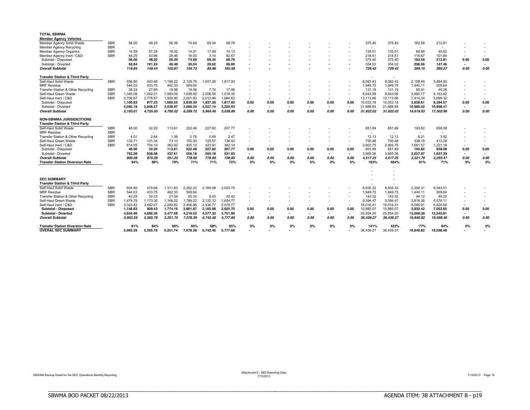| <b>TOTAL SBWMA</b>                                                            |            |                          |          |                          |                          |                          |                          |        |        |                          |        |                          |                          |           |           |           |                          |                          |        |
|-------------------------------------------------------------------------------|------------|--------------------------|----------|--------------------------|--------------------------|--------------------------|--------------------------|--------|--------|--------------------------|--------|--------------------------|--------------------------|-----------|-----------|-----------|--------------------------|--------------------------|--------|
| <b>Member Agency Vehicles</b>                                                 |            |                          |          |                          |                          |                          |                          |        |        |                          |        |                          |                          |           |           |           |                          |                          |        |
| Member Agency Solid Waste                                                     | <b>SBR</b> | 58.00                    | 48.20    | 56.39                    | 74.69                    | 69.34                    | 68.78                    |        |        |                          |        |                          |                          | 375.40    | 375.40    | 162.59    | 212.81                   |                          |        |
| <b>Member Agency Recycling</b>                                                | <b>SBR</b> | $\overline{\phantom{a}}$ | $\sim$   | $\overline{\phantom{a}}$ | $\sim$                   | $\overline{\phantom{a}}$ | $\overline{\phantom{a}}$ |        |        |                          |        |                          |                          | $\sim$    | $\sim$    | $\sim$    | $\overline{\phantom{a}}$ |                          |        |
| <b>Member Agency Organics</b>                                                 | <b>SBR</b> | 14.59                    | 57.28    | 18.02                    | 14.01                    | 17.48                    | 14.13                    |        |        |                          |        |                          |                          | 135.51    | 135.51    | 89.89     | 45.62                    | $\sim$                   |        |
| Member Agency Inert / C&D                                                     | <b>SBR</b> | 44.25                    | 43.96    | 28.46                    | 16.03                    | 3.14                     | 82.67                    |        |        |                          |        |                          |                          | 218.51    | 218.51    | 116.67    | 101.84                   |                          |        |
| Subtotal - Disposed                                                           |            | 58.00                    | 48.20    | 56.39                    | 74.69                    | 69.34                    | 68.78                    |        |        |                          |        |                          |                          | 375.40    | 375.40    | 162.59    | 212.81                   | 0.00                     | 0.00   |
| Subtotal - Diverted                                                           |            | 58.84                    | 101.24   | 46.48                    | 30.04                    | 20.62                    | 96.80                    |        |        |                          |        |                          | $\overline{\phantom{a}}$ | 354.02    | 354.02    | 206.56    | 147.46                   | $\mathbf{r}$             | $\sim$ |
| <b>Overall Subtotal</b>                                                       |            | 116.84                   | 149.44   | 102.87                   | 104.73                   | 89.96                    | 165.58                   |        |        |                          |        |                          |                          | 729.42    | 729.42    | 369.15    | 360.27                   | 0.00                     | 0.00   |
| <b>Transfer Station &amp; Third Party</b>                                     |            |                          |          |                          |                          |                          |                          |        |        |                          |        |                          |                          | $\sim$    |           |           |                          |                          |        |
| Self-Haul Solid Waste                                                         | <b>SBR</b> | 556.80                   | 443.48   | 1,198.22                 | $\overline{c}$<br>129.75 | 1,937.26                 | 1.817.93                 |        |        |                          |        |                          |                          | 8,083.43  | 8,083.43  | 2,198.49  | 5,884.93                 |                          |        |
| <b>MRF</b> Residue                                                            |            | 544.03                   | 433.75   | 462.33                   | 509.64                   |                          |                          |        |        |                          |        |                          |                          | 1,949.75  | 1,949.75  | 1,440.11  | 509.64                   |                          |        |
| Transfer Station & Other Recycling                                            | <b>SBR</b> | 38.24                    | 27.69    | 19.98                    | 19.58                    | 7.74                     | 17.96                    |        |        |                          |        |                          |                          | 131.19    | 131.19    | 85.91     | 45.28                    |                          |        |
| Self-Haul Green Waste                                                         | <b>SBR</b> | 1,345.08                 | 1.042.01 | 1,093.09                 | 1,638.92                 | 2.006.55                 | 1.518.35                 |        |        |                          |        |                          | $\sim$                   | 8.643.99  | 8.643.99  | 3.480.17  | 5.163.82                 | $\overline{\phantom{a}}$ |        |
| Self-Haul Inert / C&D                                                         | <b>SBR</b> | 2,708.87                 | 2.778.57 | 1,926.90                 | 2,001.83                 | 2,012.86                 | 1.684.63                 |        |        |                          |        | $\overline{\phantom{a}}$ |                          | 13,113.66 | 13,113.66 | 7,414.34  | 5.699.32                 |                          |        |
| Subtotal - Disposed                                                           |            | 1.100.83                 | 877.23   | 1,660.55                 | 2.639.39                 | 1.937.26                 | 1.817.93                 | 0.00   | 0.00   | 0.00                     | 0.00   | 0.00                     | 0.00                     | 10,033.18 | 10,033.18 | 3,638.61  | 6,394.57                 | 0.00                     | 0.00   |
| Subtotal - Diverted                                                           |            | 4,092.18                 | 3,848.27 | 3,039.97                 | 3.660.34                 | 4,027.14                 | 3,220.93                 | $\sim$ | $\sim$ | $\sim$                   | $\sim$ | $\sim$                   | $\overline{\phantom{a}}$ | 21,888.84 | 21,888.84 | 10,980.42 | 10,908.41                | $\overline{\phantom{a}}$ | $\sim$ |
| <b>Overall Subtotal</b>                                                       |            | 5,193.01                 | 4,725.50 | 4,700.52                 | 6.299.72                 | 5.964.40                 | 5.038.86                 | 0.00   | 0.00   | 0.00                     | 0.00   | 0.00                     | 0.00                     | 31.922.02 | 31,922.02 | 14,619.03 | 17,302.99                | 0.00                     | 0.00   |
| <b>NON-SBWMA JURISIDICITIONS</b><br><b>Transfer Station &amp; Third Party</b> |            |                          |          |                          |                          |                          |                          |        |        |                          |        |                          |                          |           |           |           |                          |                          |        |
| Self-Haul Solid Waste                                                         | <b>SBR</b> | 48.00                    | 32.20    | 113.61                   | 222.48                   | 227.82                   | 207.77                   |        |        |                          |        |                          |                          | 851.89    | 851.89    | 193.82    | 658.08                   |                          |        |
| <b>MRF</b> Residue                                                            | <b>SBR</b> | $\sim$                   | $\sim$   | $\overline{\phantom{a}}$ |                          | $\overline{\phantom{a}}$ |                          |        |        |                          |        |                          |                          | $\sim$    |           | $\sim$    |                          |                          |        |
| Transfer Station & Other Recycling                                            | <b>SBR</b> | 4.01                     | 2.64     | 1.56                     | 0.76                     | 0.69                     | 2.47                     |        |        |                          |        |                          |                          | 12.13     | 12.13     | 8.21      | 3.92                     |                          |        |
| Self-Haul Green Waste                                                         | <b>SBR</b> | 133.71                   | 131.34   | 73.13                    | 150.30                   | 125.57                   | 136.42                   |        |        |                          |        |                          |                          | 750.48    | 750.48    | 338.19    | 412.29                   | $\overline{\phantom{a}}$ |        |
| Self-Haul Inert / C&D                                                         | <b>SBR</b> | 614.55                   | 704.10   | 362.92                   | 405.13                   | 423.91                   | 392.14                   |        |        |                          |        | $\sim$                   | $\sim$                   | 2,902.75  | 2,902.75  | 1,681.57  | 1.221.18                 | $\sim$                   |        |
| Subtotal - Disposed                                                           |            | 48.00                    | 32.20    | 113.61                   | 222.48                   | 227.82                   | 207.77                   | 0.00   | 0.00   | 0.00                     | 0.00   | 0.00                     | 0.00                     | 851.89    | 851.89    | 193.82    | 658.08                   | 0.00                     | 0.00   |
| Subtotal - Diverted                                                           |            | 752.28                   | 838.08   | 437.61                   | 556.18                   | 550.18                   | 531.03                   | $\sim$ | $\sim$ |                          |        | $\sim$                   | $\overline{\phantom{a}}$ | 3,665.36  | 3,665.36  | 2,027.97  | 1,637.39                 | $\blacksquare$           | $\sim$ |
| <b>Overall Subtotal</b>                                                       |            | 800.28                   | 870.28   | 551.22                   | 778.66                   | 778.00                   | 738.80                   | 0.00   | 0.00   | 0.00                     | 0.00   | 0.00                     | 0.00                     | 4.517.25  | 4.517.25  | 2.221.79  | 2.295.47                 | 0.00                     | 0.00   |
| <b>Transfer Station Diversion Rate</b>                                        |            | 94%                      | 96%      | 79%                      | 71%                      | 71%                      | 72%                      | 0%     | 0%     | 0%                       | 0%     | 0%                       | 0%                       | 163%      | 484%      | 91%       | 71%                      | 0%                       | 0%     |
|                                                                               |            |                          |          |                          |                          |                          |                          |        |        |                          |        |                          |                          |           |           |           |                          |                          |        |
|                                                                               |            |                          |          |                          |                          |                          |                          |        |        |                          |        |                          |                          |           |           |           |                          |                          |        |
|                                                                               |            |                          |          |                          |                          |                          |                          |        |        |                          |        |                          |                          |           |           |           |                          |                          |        |
| <b>SEC SUMMARY</b>                                                            |            |                          |          |                          |                          |                          |                          |        |        |                          |        |                          |                          |           |           |           |                          |                          |        |
| <b>Transfer Station &amp; Third Party</b>                                     |            |                          |          |                          |                          |                          |                          |        |        |                          |        |                          |                          |           |           |           |                          |                          |        |
| Self-Haul Solid Waste                                                         | <b>SBR</b> | 604.80                   | 475.68   | 1,311.83                 | 2,352.23                 | 2,165.08                 | 2,025.70                 |        |        |                          |        |                          |                          | 8,935.32  | 8,935.32  | 2,392.31  | 6,543.01                 |                          |        |
| <b>MRF</b> Residue                                                            | <b>SBR</b> | 544.03                   | 433.75   | 462.33                   | 509.64                   | $\overline{\phantom{a}}$ | $\sim$                   |        |        |                          |        |                          |                          | 1,949.75  | 1,949.75  | 1,440.11  | 509.64                   |                          |        |
| Transfer Station & Other Recycling                                            | <b>SBR</b> | 42.25                    | 30.33    | 21.54                    | 20.34                    | 8.43                     | 20.42                    |        |        |                          |        |                          | $\sim$                   | 143.32    | 143.32    | 94.12     | 49.20                    |                          |        |
| Self-Haul Green Waste                                                         | <b>SBR</b> | 1.478.79                 | 1.173.35 | 1.166.22                 | 1,789.22                 | 2.132.12                 | 1.654.77                 |        |        |                          |        | $\overline{\phantom{a}}$ |                          | 9.394.47  | 9.394.47  | 3.818.36  | 5,576.11                 | $\overline{\phantom{a}}$ |        |
| Self-Haul Inert / C&D                                                         | <b>SBR</b> | 3,323.42                 | 3,482.67 | 2,289.82                 | 2,406.96                 | 2,436.77                 | 2.076.77                 | $\sim$ | $\sim$ | $\overline{\phantom{a}}$ | $\sim$ | $\sim$                   | $\sim$                   | 16,016.41 | 16,016.41 | 9,095.91  | 6,920.50                 | $\sim$                   | $\sim$ |
| Subtotal - Disposed                                                           |            | 1.148.83                 | 909.43   | 1.774.16                 | 2.861.87                 | 2.165.08                 | 2.025.70                 | 0.00   | 0.00   | 0.00                     | 0.00   | 0.00                     | 0.00                     | 10.885.07 | 10.885.07 | 3.832.42  | 7,052.65                 | 0.00                     | 0.00   |
| <b>Subtotal - Diverted</b>                                                    |            | 4.844.46                 | 4.686.35 | 3.477.58                 | 4.216.52                 | 4.577.32                 | 3.751.96                 | $\sim$ | $\sim$ |                          |        | $\blacksquare$           | $\overline{\phantom{a}}$ | 25.554.20 | 25.554.20 | 13.008.39 | 12.545.81                | $\blacksquare$           | $\sim$ |
| <b>Overall Subtotal</b>                                                       |            | 5.993.29                 | 5.595.78 | 5.251.74                 | 7.078.39                 | 6.742.40                 | 5.777.66                 | 0.00   | 0.00   | 0.00                     | 0.00   | 0.00                     | 0.00                     | 36.439.27 | 36.439.27 | 16.840.82 | 19.598.46                | 0.00                     | 0.00   |
|                                                                               |            |                          |          |                          |                          |                          |                          |        |        |                          |        |                          |                          |           |           |           |                          |                          |        |
| <b>Transfer Station Diversion Rate</b>                                        |            | 81%                      | 84%      | 66%                      | 60%                      | 68%                      | 65%                      | 0%     | 0%     | 0%                       | 0%     | 0%                       | 0%                       | 141%      | 423%      | 77%       | 64%                      | 0%                       | 0%     |
| <b>OVERAL SEC SUMMARY</b>                                                     |            | 5.993.29                 | 5.595.78 | 5.251.74                 | 7.078.39                 | 6.742.40                 | 5.777.66                 |        |        |                          |        | -                        |                          | 36.439.27 | 36.439.27 | 16.840.82 | 19.598.46                |                          |        |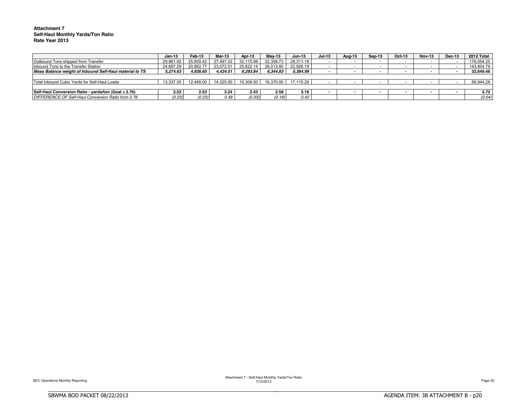#### **Attachment 7 Self-Haul Monthly Yards/Ton Ratio Rate Year 2013**

|                                                         | Jan-13    | Feb-13    | Mar-13              | Apr-13    | Mav-13    | $Jun-13$            | $Jul-13$                 | Aug-13 | Sep-13                   | Oct-13 | <b>Nov-13</b> | Dec-13 | 2012 Total |
|---------------------------------------------------------|-----------|-----------|---------------------|-----------|-----------|---------------------|--------------------------|--------|--------------------------|--------|---------------|--------|------------|
| Outbound Tons shipped from Transfer                     | 29.961.92 | 25.809.42 | 27.497.02           | 32.115.98 | 32.358.73 | 28.311.18           |                          |        |                          |        |               |        | 176.054.25 |
| Inbound Tons to the Transfer Station                    | 24.687.29 | 20.882.7  | 23.072.51           | 25.822.14 | 26.013.90 | 22.926.19           | $\overline{\phantom{0}}$ |        | $\overline{\phantom{0}}$ |        |               |        | 143.404.79 |
| Mass Balance weight of Inbound Self-Haul material to TS | 5.274.63  | 4.926.65  | 4.424.51            | 6.293.84  | 6.344.83  | 5.384.99            |                          |        |                          |        |               |        | 32.649.46  |
|                                                         |           |           |                     |           |           |                     |                          |        |                          |        |               |        |            |
| Total Inbound Cubic Yards for Self-Haul Loads           | 13.337.00 |           | 12.488.00 14.325.50 | 15.308.50 |           | 16.370.00 17.115.28 |                          |        |                          |        |               |        | 88.944.28  |
|                                                         |           |           |                     |           |           |                     |                          |        |                          |        |               |        |            |
| Self-Haul Conversion Ratio - yards/ton (Goal ≥ 2.76)    | 2.53      | 2.53      | 3.24                | 2.43      | 2.58      | 3.18                |                          |        | $\sim$                   |        |               |        | 2.72       |
| DIFFERENCE OF Self-Haul Conversion Ratio from 2.76      | (0.23)    | (0.23)    | 0.48                | (0.33)    | (0.18)    | 0.42                |                          |        |                          |        |               |        | (0.04)     |

BBBBBBBBBBBBBBBBBBBBBBBBBBBBBBBBBBBBBBBBBBBBBBBBBBBBBBBBBBBBBBBBBBBBBBBBBBBBBB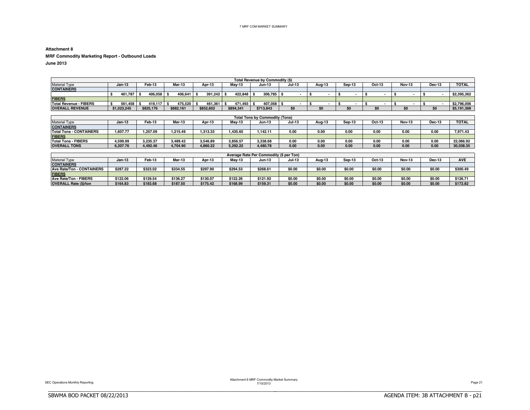#### **Attachment 8**

**MRF Commodity Marketing Report - Outbound Loads**

**June 2013**

|                        |             |           |           |           |             | Total Revenue by Commodity (\$) |               |        |        |        |               |        |              |
|------------------------|-------------|-----------|-----------|-----------|-------------|---------------------------------|---------------|--------|--------|--------|---------------|--------|--------------|
| <b>Material Type</b>   | $Jan-13$    | Feb-13    | Mar-13    | Apr-13    | Mav-13      | <b>Jun-13</b>                   | <b>Jul-13</b> | Aug-13 | Sep-13 | Oct-13 | <b>Nov-13</b> | Dec-13 | <b>TOTAL</b> |
| <b>CONTAINERS</b>      |             |           |           |           |             |                                 |               |        |        |        |               |        |              |
|                        | 461.787     | 406.058   | 406.641   | 391.242   | $422.848$ S | $306.785$ \$                    |               |        |        |        |               |        | \$2.395.362  |
| <b>FIBERS</b>          |             |           |           |           |             |                                 |               |        |        |        |               |        |              |
| Total Revenue - FIBERS | 561.458     | 419.117   | 475.520   | 461.361   | 471.493     | 407.058                         |               |        |        |        |               |        | \$2.796.006  |
| <b>OVERALL REVENUE</b> | \$1,023,245 | \$825.176 | \$882.161 | \$852.602 | \$894.341   | \$713.843                       | \$0           | \$0    | \$0    | \$0    | \$0           | \$0    | \$5,191,368  |

|                                |          |          |          |          |          | Total Tons by Commodity (Tons) |               |        |        |        |               |        |              |
|--------------------------------|----------|----------|----------|----------|----------|--------------------------------|---------------|--------|--------|--------|---------------|--------|--------------|
| <b>Material Type</b>           | Jan-13   | Feb-13   | Mar-13   | Apr-13   | Mav-13   | Jun-13                         | <b>Jul-13</b> | Aug-13 | Sep-13 | Oct-13 | <b>Nov-13</b> | Dec-13 | <b>TOTAL</b> |
| <b>CONTAINERS</b>              |          |          |          |          |          |                                |               |        |        |        |               |        |              |
| <b>Total Tons - CONTAINERS</b> | .607.77  | .257.09  | 1.215.49 | .313.33  | .435.65  | .142.11                        | 0.00          | 0.00   | 0.00   | 0.00   | 0.00          | 0.00   | 7.971.43     |
| <b>FIBERS</b>                  |          |          |          |          |          |                                |               |        |        |        |               |        |              |
| <b>Total Tons - FIBERS</b>     | .599.99  | 3.235.37 | 3.489.42 | 3.546.89 | 3.856.57 | 3.338.68                       | 0.00          | 0.00   | 0.00   | 0.00   | 0.00          | 0.00   | 22.066.92    |
| <b>OVERALL TONS</b>            | 6.207.76 | 1.492.46 | 1.704.90 | 4.860.22 | 5.292.22 | 4.480.78                       | 0.00          | 0.00   | 0.00   | 0.00   | 0.00          | 0.00   | 30.038.35    |

|                              |          |          |          |          |               | Average Rate Per Commodity (\$ per Ton) |               |        |        |        |               |               |            |
|------------------------------|----------|----------|----------|----------|---------------|-----------------------------------------|---------------|--------|--------|--------|---------------|---------------|------------|
| <b>Material Type</b>         | Jan-13   | Feb-13   | Mar-13   | Apr-13   | <b>Mav-13</b> | <b>Jun-13</b>                           | <b>Jul-13</b> | Aua-13 | Sep-13 | Oct-13 | <b>Nov-13</b> | <b>Dec-13</b> | <b>AVE</b> |
| <b>CONTAINERS</b>            |          |          |          |          |               |                                         |               |        |        |        |               |               |            |
| Ave Rate/Ton - CONTAINERS    | \$287.22 | \$323.02 | \$334.55 | \$297.90 | \$294.53      | \$268.61                                | \$0.00        | \$0.00 | \$0.00 | \$0.00 | \$0.0         | \$0.00        | \$300.49   |
| <b>FIBERS</b>                |          |          |          |          |               |                                         |               |        |        |        |               |               |            |
| Ave Rate/Ton - FIBERS        | \$122.06 | \$129.54 | \$136.27 | \$130.07 | \$122.26      | \$121.92                                | \$0.00        | \$0.00 | \$0.00 | \$0.00 | \$0.00        | \$0.00        | \$126.71   |
| <b>OVERALL Rate (\$)/ton</b> | \$164.83 | \$183.68 | \$187.50 | \$175.42 | \$168.99      | \$159.31                                | \$0.00        | \$0.00 | \$0.00 | \$0.00 | \$0.00        | \$0.00        | \$172.82   |

BBBBBBBBBBBBBBBBBBBBBBBBBBBBBBBBBBBBBBBBBBBBBBBBBBBBBBBBBBBBBBBBBBBBBBBBBBBBBB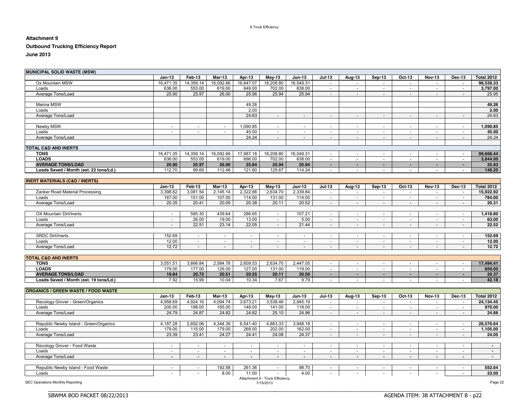#### 8 Truck Efficiency

### **Attachment 9**

### **Outbound Trucking Efficiency Report**

**June 2013**

| Feb-13<br>$Jun-13$<br><b>Jul-13</b><br>Oct-13<br><b>Nov-13</b><br>Dec-13<br><b>Total 2012</b><br>$Jan-13$<br>Mar-13<br>Apr-13<br>May-13<br>Aug-13<br>Sep-13<br>16,092.66<br>18,208.80<br>16,549.31<br>Ox Mountain MSW<br>16,471.35<br>14,359.14<br>16,847.07<br>98,528.33<br>$\sim$<br>$\sim$<br>$\overline{a}$<br>$\overline{a}$<br>$\overline{a}$<br>$\sim$<br>553.00<br>619.00<br>649.00<br>702.00<br>638.00<br>Loads<br>636.00<br>$\sim$<br>$\sim$<br>$\overline{\phantom{a}}$<br>$\sim$<br>$\sim$<br>$\overline{\phantom{a}}$<br>25.97<br>25.94<br>25.94<br>25.95<br>Average Tons/Load<br>25.90<br>26.00<br>25.96<br>$\sim$<br>$\sim$<br>$\sim$<br>$\blacksquare$<br>$\mathcal{L}$<br>$\overline{\phantom{a}}$<br>49.26<br>Marina MSW<br>49.26<br>2.00<br>2.00<br>Loads<br>24.63<br>24.63<br>Average Tons/Load<br>$\sim$<br>$\sim$<br>$\sim$<br>$\sim$<br>$\overline{\phantom{a}}$<br>$\overline{\phantom{a}}$<br>$\overline{\phantom{a}}$<br>$\overline{\phantom{a}}$<br>Newby MSW<br>1,090.85<br>1,090.85<br>$\sim$<br>$\sim$<br>$\sim$<br>$\sim$<br>$\sim$<br>$\sim$<br>$\sim$<br>$\sim$<br>$\overline{\phantom{a}}$<br>$\sim$<br>$\overline{\phantom{a}}$<br>Loads<br>45.00<br>45.00<br>$\overline{a}$<br>$\mathbf{r}$<br>$\sim$<br>$\sim$<br>$\sim$<br>$\overline{\phantom{a}}$<br>÷.<br>24.24<br>24.24<br>Average Tons/Load<br>$\sim$<br>$\overline{\phantom{a}}$<br>$\blacksquare$<br>$\blacksquare$<br>$\blacksquare$<br><b>TOTAL C&amp;D AND INERTS</b><br>99,668.44<br><b>TONS</b><br>14,359.14<br>16,092.66<br>17,987.18<br>18,208.80<br>16,549.31<br>16,471.35<br>$\sim$<br>$\sim$<br>$\sim$<br>$\overline{\phantom{a}}$<br>$\sim$<br>$\overline{\phantom{a}}$<br><b>LOADS</b><br>696.00<br>636.00<br>553.00<br>619.00<br>702.00<br>638.00<br>3,844.00<br>$\sim$<br>$\sim$<br>$\sim$<br>$\overline{a}$<br>$\sim$<br>$\sim$<br><b>AVERAGE TONS/LOAD</b><br>25.90<br>25.97<br>26.00<br>25.84<br>25.94<br>25.94<br>25.93<br>$\sim$<br>$\blacksquare$<br>$\sim$<br>$\blacksquare$<br>$\blacksquare$<br>$\blacksquare$<br>148.25<br>Loads Saved / Month (est. 22 tons/Ld.)<br>112.70<br>99.69<br>112.48<br>121.60<br>125.67<br>114.24<br>$\blacksquare$<br>$\blacksquare$<br>$\overline{\phantom{a}}$<br><b>INERT MATERIALS (C&amp;D / INERTS)</b><br><b>Total 2012</b><br>$Jan-13$<br>Feb-13<br><b>Mar-13</b><br>Apr-13<br><b>May-13</b><br>$Jun-13$<br><b>Jul-13</b><br>Aug-13<br>Sep-13<br>Oct-13<br><b>Nov-13</b><br>Dec-13<br>2,322.88<br>2,634.70<br>2,339.84<br>Zanker Road Material Processing<br>3,398.82<br>3,081.54<br>2,145.14<br>15,922.92<br>$\sim$<br>$\overline{\phantom{a}}$<br>$\overline{\phantom{a}}$<br>$\overline{\phantom{a}}$<br>$\overline{\phantom{a}}$<br>$\overline{\phantom{a}}$<br>107.00<br>131.00<br>167.00<br>151.00<br>114.00<br>114.00<br>784.00<br>Loads<br>$\overline{a}$<br>$\overline{a}$<br>$\sim$<br>$\overline{a}$<br>20.05<br>20.38<br>20.11<br>20.52<br>20.31<br>Average Tons/Load<br>20.35<br>20.41<br>$\sim$<br>$\sim$<br>$\sim$<br>$\sim$<br>$\sim$<br>$\overline{\phantom{a}}$<br>439.64<br>286.65<br>1,418.80<br>OX Mountain Dirt/Inerts<br>585.30<br>107.21<br>$\sim$<br>$\sim$<br>$\sim$<br>$\overline{\phantom{a}}$<br>$\blacksquare$<br>$\overline{\phantom{a}}$<br>$\sim$<br>$\sim$<br>26.00<br>19.00<br>13.00<br>5.00<br>Loads<br>$\sim$<br>$\sim$<br>$\sim$<br>$\sim$<br>$\sim$<br>$\overline{\phantom{a}}$<br>$\sim$<br>$\overline{\phantom{a}}$<br>22.51<br>23.14<br>22.05<br>21.44<br>Average Tons/Load<br>$\sim$<br>$\sim$<br>$\mathbb{Z}^{\times}$<br>$\mathbf{L}$<br>$\sim$<br>$\mathbb{Z}^2$<br>$\overline{\phantom{a}}$<br>$\overline{\phantom{a}}$<br><b>SRDC Dirt/Inerts</b><br>152.69<br>152.69<br>$\blacksquare$<br>$\sim$<br>$\sim$<br>$\overline{\phantom{a}}$<br>$\blacksquare$<br>$\overline{\phantom{a}}$<br>$\sim$<br>$\overline{\phantom{a}}$<br>$\overline{\phantom{a}}$<br>$\blacksquare$<br>$\blacksquare$<br>12.00<br>12.00<br>Loads<br>$\omega$<br>$\sim$<br>$\sim$<br>$\sim$<br>$\omega$<br>$\sim$<br>$\sim$<br>$\sim$<br>$\blacksquare$<br>$\omega$<br>$\sim$<br>Average Tons/Load<br>12.72<br>12.72<br>$\blacksquare$<br>$\sim$<br>$\sim$<br>$\sim$<br>$\sim$<br>$\sim$<br>$\overline{\phantom{a}}$<br>$\overline{\phantom{a}}$<br>$\blacksquare$<br>$\overline{\phantom{a}}$<br>$\overline{\phantom{a}}$<br><b>TOTAL C&amp;D AND INERTS</b><br>2,634.70<br>2,447.05<br>17,494.41<br><b>TONS</b><br>3,551.51<br>3.666.84<br>2,584.78<br>2,609.53<br>$\mathbf{r}$<br>$\sim$<br>$\sim$<br>$\sim$<br>$\sim$<br>$\sim$<br><b>LOADS</b><br>179.00<br>177.00<br>126.00<br>127.00<br>131.00<br>119.00<br>859.00<br>$\sim$<br>$\sim$<br>$\sim$<br>$\sim$<br>$\sim$<br>$\sim$<br><b>AVERAGE TONS/LOAD</b><br>20.51<br>20.55<br>20.11<br>20.37<br>19.84<br>20.72<br>20.56<br>$\blacksquare$<br>$\blacksquare$<br>$\blacksquare$<br>$\sim$<br>$\blacksquare$<br>$\blacksquare$<br>Loads Saved / Month (est. 19 tons/Ld.)<br>7.92<br>15.99<br>10.34<br>9.79<br>42.18<br>10.04<br>7.67<br>$\overline{a}$<br>$\sim$<br>$\overline{\phantom{a}}$<br><b>ORGANICS / GREEN WASTE / FOOD WASTE</b><br>Feb-13<br>Apr-13<br>$Jul-13$<br>Dec-13<br><b>Total 2012</b><br>$Jan-13$<br><b>Mar-13</b><br><b>May-13</b><br>$Jun-13$<br>Aug-13<br>Sep-13<br>Oct-13<br><b>Nov-13</b><br>4,094.74<br>3,538.46<br>Recology Grover - Green/Organics<br>4,958.69<br>4,924.16<br>3,673.21<br>2,945.19<br>24,134.45<br>$\overline{\phantom{a}}$<br>$\overline{\phantom{a}}$<br>$\overline{\phantom{a}}$<br>$\overline{\phantom{a}}$<br>$\overline{\phantom{a}}$<br>200.00<br>198.00<br>165.00<br>148.00<br>141.00<br>118.00<br>970.00<br>Loads<br>$\sim$<br>$\sim$<br>$\overline{\phantom{a}}$<br>$\sim$<br>$\sim$<br>$\sim$<br>Average Tons/Load<br>24.79<br>24.87<br>24.82<br>24.82<br>25.10<br>24.96<br>24.88<br>$\overline{\phantom{a}}$<br>$\overline{\phantom{a}}$<br>$\overline{\phantom{a}}$<br>$\overline{\phantom{a}}$<br>$\overline{\phantom{a}}$<br>$\overline{\phantom{a}}$<br>4,344.39<br>Republic Newby Island - Green/Organics<br>4.187.28<br>2.692.06<br>6.541.40<br>4,863.33<br>3.948.18<br>26,576.64<br>$\sim$<br>$\sim$<br>$\sim$<br>$\sim$<br>$\sim$<br>$\sim$<br>179.00<br>268.00<br>179.00<br>115.00<br>202.00<br>162.00<br>1,105.00<br>Loads<br>$\sim$<br>$\sim$<br>$\pm$<br>$\overline{\phantom{a}}$<br>$\sim$<br>$\sim$<br>23.39<br>23.41<br>24.27<br>24.41<br>24.37<br>24.05<br>Average Tons/Load<br>24.08<br>$\mathbb{Z}^{\times}$<br>$\omega$<br>$\mathbb{Z}^2$<br>$\mathbf{L}$<br>$\mathbf{L}$<br>$\sim$<br>Recology Grover - Food Waste<br>$\overline{\phantom{a}}$<br>$\blacksquare$<br>$\blacksquare$<br>$\overline{\phantom{a}}$<br>$\overline{\phantom{a}}$<br>$\overline{\phantom{a}}$<br>$\overline{\phantom{a}}$<br>$\overline{\phantom{a}}$<br>$\overline{\phantom{a}}$<br>$\overline{\phantom{a}}$<br>$\overline{\phantom{a}}$<br>$\overline{\phantom{a}}$<br>$\sim$<br>Loads<br>$\sim$<br>$\sim$<br>$\mathbb{L}^2$<br>$\sim$<br>$\sim$<br>$\sim$<br>$\sim$<br>$\sim$<br>$\sim$<br>$\sim$<br>$\sim$<br>$\sim$<br>Average Tons/Load<br>$\sim$<br>$\sim$<br>$\blacksquare$<br>$\sim$<br>$\sim$<br>$\blacksquare$<br>$\blacksquare$<br>$\sim$<br>$\blacksquare$<br>$\blacksquare$<br>$\blacksquare$<br>$\blacksquare$<br>$\blacksquare$<br>Republic Newby Island - Food Waste<br>192.58<br>261.36<br>98.70<br>552.64<br>$\sim$<br>$\sim$<br>$\sim$<br>$\overline{\phantom{a}}$<br>$\sim$<br>$\sim$<br>$\overline{\phantom{a}}$<br>$\overline{\phantom{a}}$<br>$\overline{\phantom{a}}$<br>4.00<br>23.00<br>8.00<br>11.00<br>Loads<br>Attachment 9 - Truck Efficiency<br>7/15/2013 | <b>MUNICIPAL SOLID WASTE (MSW)</b> |  |  |  |  |  |  |          |
|------------------------------------------------------------------------------------------------------------------------------------------------------------------------------------------------------------------------------------------------------------------------------------------------------------------------------------------------------------------------------------------------------------------------------------------------------------------------------------------------------------------------------------------------------------------------------------------------------------------------------------------------------------------------------------------------------------------------------------------------------------------------------------------------------------------------------------------------------------------------------------------------------------------------------------------------------------------------------------------------------------------------------------------------------------------------------------------------------------------------------------------------------------------------------------------------------------------------------------------------------------------------------------------------------------------------------------------------------------------------------------------------------------------------------------------------------------------------------------------------------------------------------------------------------------------------------------------------------------------------------------------------------------------------------------------------------------------------------------------------------------------------------------------------------------------------------------------------------------------------------------------------------------------------------------------------------------------------------------------------------------------------------------------------------------------------------------------------------------------------------------------------------------------------------------------------------------------------------------------------------------------------------------------------------------------------------------------------------------------------------------------------------------------------------------------------------------------------------------------------------------------------------------------------------------------------------------------------------------------------------------------------------------------------------------------------------------------------------------------------------------------------------------------------------------------------------------------------------------------------------------------------------------------------------------------------------------------------------------------------------------------------------------------------------------------------------------------------------------------------------------------------------------------------------------------------------------------------------------------------------------------------------------------------------------------------------------------------------------------------------------------------------------------------------------------------------------------------------------------------------------------------------------------------------------------------------------------------------------------------------------------------------------------------------------------------------------------------------------------------------------------------------------------------------------------------------------------------------------------------------------------------------------------------------------------------------------------------------------------------------------------------------------------------------------------------------------------------------------------------------------------------------------------------------------------------------------------------------------------------------------------------------------------------------------------------------------------------------------------------------------------------------------------------------------------------------------------------------------------------------------------------------------------------------------------------------------------------------------------------------------------------------------------------------------------------------------------------------------------------------------------------------------------------------------------------------------------------------------------------------------------------------------------------------------------------------------------------------------------------------------------------------------------------------------------------------------------------------------------------------------------------------------------------------------------------------------------------------------------------------------------------------------------------------------------------------------------------------------------------------------------------------------------------------------------------------------------------------------------------------------------------------------------------------------------------------------------------------------------------------------------------------------------------------------------------------------------------------------------------------------------------------------------------------------------------------------------------------------------------------------------------------------------------------------------------------------------------------------------------------------------------------------------------------------------------------------------------------------------------------------------------------------------------------------------------------------------------------------------------------------------------------------------------------------------------------------------------------------------------------------------------------------------------------------------------------------------------------------------------------------------------------------------------------------------------------------------------------------------------------------------------------------------------------------------------------------------------------------------------------------------------------------------------------------------------------------------------------------------------------------------------------------------------------------------------------------------------------------------------------------------------------------------------------------------------------------------------------------------------------------------------------------------------------------------------------------------------------------------------------------------------------------------------------------------------------------------------------------------------------------------------------------------------------------------------------------------------------------------------------------------------------------------------------------------------------------|------------------------------------|--|--|--|--|--|--|----------|
|                                                                                                                                                                                                                                                                                                                                                                                                                                                                                                                                                                                                                                                                                                                                                                                                                                                                                                                                                                                                                                                                                                                                                                                                                                                                                                                                                                                                                                                                                                                                                                                                                                                                                                                                                                                                                                                                                                                                                                                                                                                                                                                                                                                                                                                                                                                                                                                                                                                                                                                                                                                                                                                                                                                                                                                                                                                                                                                                                                                                                                                                                                                                                                                                                                                                                                                                                                                                                                                                                                                                                                                                                                                                                                                                                                                                                                                                                                                                                                                                                                                                                                                                                                                                                                                                                                                                                                                                                                                                                                                                                                                                                                                                                                                                                                                                                                                                                                                                                                                                                                                                                                                                                                                                                                                                                                                                                                                                                                                                                                                                                                                                                                                                                                                                                                                                                                                                                                                                                                                                                                                                                                                                                                                                                                                                                                                                                                                                                                                                                                                                                                                                                                                                                                                                                                                                                                                                                                                                                                                                                                                                                                                                                                                                                                                                                                                                                                                                                                                                                                                                                                                    |                                    |  |  |  |  |  |  |          |
|                                                                                                                                                                                                                                                                                                                                                                                                                                                                                                                                                                                                                                                                                                                                                                                                                                                                                                                                                                                                                                                                                                                                                                                                                                                                                                                                                                                                                                                                                                                                                                                                                                                                                                                                                                                                                                                                                                                                                                                                                                                                                                                                                                                                                                                                                                                                                                                                                                                                                                                                                                                                                                                                                                                                                                                                                                                                                                                                                                                                                                                                                                                                                                                                                                                                                                                                                                                                                                                                                                                                                                                                                                                                                                                                                                                                                                                                                                                                                                                                                                                                                                                                                                                                                                                                                                                                                                                                                                                                                                                                                                                                                                                                                                                                                                                                                                                                                                                                                                                                                                                                                                                                                                                                                                                                                                                                                                                                                                                                                                                                                                                                                                                                                                                                                                                                                                                                                                                                                                                                                                                                                                                                                                                                                                                                                                                                                                                                                                                                                                                                                                                                                                                                                                                                                                                                                                                                                                                                                                                                                                                                                                                                                                                                                                                                                                                                                                                                                                                                                                                                                                                    |                                    |  |  |  |  |  |  |          |
|                                                                                                                                                                                                                                                                                                                                                                                                                                                                                                                                                                                                                                                                                                                                                                                                                                                                                                                                                                                                                                                                                                                                                                                                                                                                                                                                                                                                                                                                                                                                                                                                                                                                                                                                                                                                                                                                                                                                                                                                                                                                                                                                                                                                                                                                                                                                                                                                                                                                                                                                                                                                                                                                                                                                                                                                                                                                                                                                                                                                                                                                                                                                                                                                                                                                                                                                                                                                                                                                                                                                                                                                                                                                                                                                                                                                                                                                                                                                                                                                                                                                                                                                                                                                                                                                                                                                                                                                                                                                                                                                                                                                                                                                                                                                                                                                                                                                                                                                                                                                                                                                                                                                                                                                                                                                                                                                                                                                                                                                                                                                                                                                                                                                                                                                                                                                                                                                                                                                                                                                                                                                                                                                                                                                                                                                                                                                                                                                                                                                                                                                                                                                                                                                                                                                                                                                                                                                                                                                                                                                                                                                                                                                                                                                                                                                                                                                                                                                                                                                                                                                                                                    |                                    |  |  |  |  |  |  | 3,797.00 |
|                                                                                                                                                                                                                                                                                                                                                                                                                                                                                                                                                                                                                                                                                                                                                                                                                                                                                                                                                                                                                                                                                                                                                                                                                                                                                                                                                                                                                                                                                                                                                                                                                                                                                                                                                                                                                                                                                                                                                                                                                                                                                                                                                                                                                                                                                                                                                                                                                                                                                                                                                                                                                                                                                                                                                                                                                                                                                                                                                                                                                                                                                                                                                                                                                                                                                                                                                                                                                                                                                                                                                                                                                                                                                                                                                                                                                                                                                                                                                                                                                                                                                                                                                                                                                                                                                                                                                                                                                                                                                                                                                                                                                                                                                                                                                                                                                                                                                                                                                                                                                                                                                                                                                                                                                                                                                                                                                                                                                                                                                                                                                                                                                                                                                                                                                                                                                                                                                                                                                                                                                                                                                                                                                                                                                                                                                                                                                                                                                                                                                                                                                                                                                                                                                                                                                                                                                                                                                                                                                                                                                                                                                                                                                                                                                                                                                                                                                                                                                                                                                                                                                                                    |                                    |  |  |  |  |  |  |          |
|                                                                                                                                                                                                                                                                                                                                                                                                                                                                                                                                                                                                                                                                                                                                                                                                                                                                                                                                                                                                                                                                                                                                                                                                                                                                                                                                                                                                                                                                                                                                                                                                                                                                                                                                                                                                                                                                                                                                                                                                                                                                                                                                                                                                                                                                                                                                                                                                                                                                                                                                                                                                                                                                                                                                                                                                                                                                                                                                                                                                                                                                                                                                                                                                                                                                                                                                                                                                                                                                                                                                                                                                                                                                                                                                                                                                                                                                                                                                                                                                                                                                                                                                                                                                                                                                                                                                                                                                                                                                                                                                                                                                                                                                                                                                                                                                                                                                                                                                                                                                                                                                                                                                                                                                                                                                                                                                                                                                                                                                                                                                                                                                                                                                                                                                                                                                                                                                                                                                                                                                                                                                                                                                                                                                                                                                                                                                                                                                                                                                                                                                                                                                                                                                                                                                                                                                                                                                                                                                                                                                                                                                                                                                                                                                                                                                                                                                                                                                                                                                                                                                                                                    |                                    |  |  |  |  |  |  |          |
|                                                                                                                                                                                                                                                                                                                                                                                                                                                                                                                                                                                                                                                                                                                                                                                                                                                                                                                                                                                                                                                                                                                                                                                                                                                                                                                                                                                                                                                                                                                                                                                                                                                                                                                                                                                                                                                                                                                                                                                                                                                                                                                                                                                                                                                                                                                                                                                                                                                                                                                                                                                                                                                                                                                                                                                                                                                                                                                                                                                                                                                                                                                                                                                                                                                                                                                                                                                                                                                                                                                                                                                                                                                                                                                                                                                                                                                                                                                                                                                                                                                                                                                                                                                                                                                                                                                                                                                                                                                                                                                                                                                                                                                                                                                                                                                                                                                                                                                                                                                                                                                                                                                                                                                                                                                                                                                                                                                                                                                                                                                                                                                                                                                                                                                                                                                                                                                                                                                                                                                                                                                                                                                                                                                                                                                                                                                                                                                                                                                                                                                                                                                                                                                                                                                                                                                                                                                                                                                                                                                                                                                                                                                                                                                                                                                                                                                                                                                                                                                                                                                                                                                    |                                    |  |  |  |  |  |  |          |
|                                                                                                                                                                                                                                                                                                                                                                                                                                                                                                                                                                                                                                                                                                                                                                                                                                                                                                                                                                                                                                                                                                                                                                                                                                                                                                                                                                                                                                                                                                                                                                                                                                                                                                                                                                                                                                                                                                                                                                                                                                                                                                                                                                                                                                                                                                                                                                                                                                                                                                                                                                                                                                                                                                                                                                                                                                                                                                                                                                                                                                                                                                                                                                                                                                                                                                                                                                                                                                                                                                                                                                                                                                                                                                                                                                                                                                                                                                                                                                                                                                                                                                                                                                                                                                                                                                                                                                                                                                                                                                                                                                                                                                                                                                                                                                                                                                                                                                                                                                                                                                                                                                                                                                                                                                                                                                                                                                                                                                                                                                                                                                                                                                                                                                                                                                                                                                                                                                                                                                                                                                                                                                                                                                                                                                                                                                                                                                                                                                                                                                                                                                                                                                                                                                                                                                                                                                                                                                                                                                                                                                                                                                                                                                                                                                                                                                                                                                                                                                                                                                                                                                                    |                                    |  |  |  |  |  |  |          |
|                                                                                                                                                                                                                                                                                                                                                                                                                                                                                                                                                                                                                                                                                                                                                                                                                                                                                                                                                                                                                                                                                                                                                                                                                                                                                                                                                                                                                                                                                                                                                                                                                                                                                                                                                                                                                                                                                                                                                                                                                                                                                                                                                                                                                                                                                                                                                                                                                                                                                                                                                                                                                                                                                                                                                                                                                                                                                                                                                                                                                                                                                                                                                                                                                                                                                                                                                                                                                                                                                                                                                                                                                                                                                                                                                                                                                                                                                                                                                                                                                                                                                                                                                                                                                                                                                                                                                                                                                                                                                                                                                                                                                                                                                                                                                                                                                                                                                                                                                                                                                                                                                                                                                                                                                                                                                                                                                                                                                                                                                                                                                                                                                                                                                                                                                                                                                                                                                                                                                                                                                                                                                                                                                                                                                                                                                                                                                                                                                                                                                                                                                                                                                                                                                                                                                                                                                                                                                                                                                                                                                                                                                                                                                                                                                                                                                                                                                                                                                                                                                                                                                                                    |                                    |  |  |  |  |  |  |          |
|                                                                                                                                                                                                                                                                                                                                                                                                                                                                                                                                                                                                                                                                                                                                                                                                                                                                                                                                                                                                                                                                                                                                                                                                                                                                                                                                                                                                                                                                                                                                                                                                                                                                                                                                                                                                                                                                                                                                                                                                                                                                                                                                                                                                                                                                                                                                                                                                                                                                                                                                                                                                                                                                                                                                                                                                                                                                                                                                                                                                                                                                                                                                                                                                                                                                                                                                                                                                                                                                                                                                                                                                                                                                                                                                                                                                                                                                                                                                                                                                                                                                                                                                                                                                                                                                                                                                                                                                                                                                                                                                                                                                                                                                                                                                                                                                                                                                                                                                                                                                                                                                                                                                                                                                                                                                                                                                                                                                                                                                                                                                                                                                                                                                                                                                                                                                                                                                                                                                                                                                                                                                                                                                                                                                                                                                                                                                                                                                                                                                                                                                                                                                                                                                                                                                                                                                                                                                                                                                                                                                                                                                                                                                                                                                                                                                                                                                                                                                                                                                                                                                                                                    |                                    |  |  |  |  |  |  |          |
|                                                                                                                                                                                                                                                                                                                                                                                                                                                                                                                                                                                                                                                                                                                                                                                                                                                                                                                                                                                                                                                                                                                                                                                                                                                                                                                                                                                                                                                                                                                                                                                                                                                                                                                                                                                                                                                                                                                                                                                                                                                                                                                                                                                                                                                                                                                                                                                                                                                                                                                                                                                                                                                                                                                                                                                                                                                                                                                                                                                                                                                                                                                                                                                                                                                                                                                                                                                                                                                                                                                                                                                                                                                                                                                                                                                                                                                                                                                                                                                                                                                                                                                                                                                                                                                                                                                                                                                                                                                                                                                                                                                                                                                                                                                                                                                                                                                                                                                                                                                                                                                                                                                                                                                                                                                                                                                                                                                                                                                                                                                                                                                                                                                                                                                                                                                                                                                                                                                                                                                                                                                                                                                                                                                                                                                                                                                                                                                                                                                                                                                                                                                                                                                                                                                                                                                                                                                                                                                                                                                                                                                                                                                                                                                                                                                                                                                                                                                                                                                                                                                                                                                    |                                    |  |  |  |  |  |  |          |
|                                                                                                                                                                                                                                                                                                                                                                                                                                                                                                                                                                                                                                                                                                                                                                                                                                                                                                                                                                                                                                                                                                                                                                                                                                                                                                                                                                                                                                                                                                                                                                                                                                                                                                                                                                                                                                                                                                                                                                                                                                                                                                                                                                                                                                                                                                                                                                                                                                                                                                                                                                                                                                                                                                                                                                                                                                                                                                                                                                                                                                                                                                                                                                                                                                                                                                                                                                                                                                                                                                                                                                                                                                                                                                                                                                                                                                                                                                                                                                                                                                                                                                                                                                                                                                                                                                                                                                                                                                                                                                                                                                                                                                                                                                                                                                                                                                                                                                                                                                                                                                                                                                                                                                                                                                                                                                                                                                                                                                                                                                                                                                                                                                                                                                                                                                                                                                                                                                                                                                                                                                                                                                                                                                                                                                                                                                                                                                                                                                                                                                                                                                                                                                                                                                                                                                                                                                                                                                                                                                                                                                                                                                                                                                                                                                                                                                                                                                                                                                                                                                                                                                                    |                                    |  |  |  |  |  |  |          |
|                                                                                                                                                                                                                                                                                                                                                                                                                                                                                                                                                                                                                                                                                                                                                                                                                                                                                                                                                                                                                                                                                                                                                                                                                                                                                                                                                                                                                                                                                                                                                                                                                                                                                                                                                                                                                                                                                                                                                                                                                                                                                                                                                                                                                                                                                                                                                                                                                                                                                                                                                                                                                                                                                                                                                                                                                                                                                                                                                                                                                                                                                                                                                                                                                                                                                                                                                                                                                                                                                                                                                                                                                                                                                                                                                                                                                                                                                                                                                                                                                                                                                                                                                                                                                                                                                                                                                                                                                                                                                                                                                                                                                                                                                                                                                                                                                                                                                                                                                                                                                                                                                                                                                                                                                                                                                                                                                                                                                                                                                                                                                                                                                                                                                                                                                                                                                                                                                                                                                                                                                                                                                                                                                                                                                                                                                                                                                                                                                                                                                                                                                                                                                                                                                                                                                                                                                                                                                                                                                                                                                                                                                                                                                                                                                                                                                                                                                                                                                                                                                                                                                                                    |                                    |  |  |  |  |  |  |          |
|                                                                                                                                                                                                                                                                                                                                                                                                                                                                                                                                                                                                                                                                                                                                                                                                                                                                                                                                                                                                                                                                                                                                                                                                                                                                                                                                                                                                                                                                                                                                                                                                                                                                                                                                                                                                                                                                                                                                                                                                                                                                                                                                                                                                                                                                                                                                                                                                                                                                                                                                                                                                                                                                                                                                                                                                                                                                                                                                                                                                                                                                                                                                                                                                                                                                                                                                                                                                                                                                                                                                                                                                                                                                                                                                                                                                                                                                                                                                                                                                                                                                                                                                                                                                                                                                                                                                                                                                                                                                                                                                                                                                                                                                                                                                                                                                                                                                                                                                                                                                                                                                                                                                                                                                                                                                                                                                                                                                                                                                                                                                                                                                                                                                                                                                                                                                                                                                                                                                                                                                                                                                                                                                                                                                                                                                                                                                                                                                                                                                                                                                                                                                                                                                                                                                                                                                                                                                                                                                                                                                                                                                                                                                                                                                                                                                                                                                                                                                                                                                                                                                                                                    |                                    |  |  |  |  |  |  |          |
|                                                                                                                                                                                                                                                                                                                                                                                                                                                                                                                                                                                                                                                                                                                                                                                                                                                                                                                                                                                                                                                                                                                                                                                                                                                                                                                                                                                                                                                                                                                                                                                                                                                                                                                                                                                                                                                                                                                                                                                                                                                                                                                                                                                                                                                                                                                                                                                                                                                                                                                                                                                                                                                                                                                                                                                                                                                                                                                                                                                                                                                                                                                                                                                                                                                                                                                                                                                                                                                                                                                                                                                                                                                                                                                                                                                                                                                                                                                                                                                                                                                                                                                                                                                                                                                                                                                                                                                                                                                                                                                                                                                                                                                                                                                                                                                                                                                                                                                                                                                                                                                                                                                                                                                                                                                                                                                                                                                                                                                                                                                                                                                                                                                                                                                                                                                                                                                                                                                                                                                                                                                                                                                                                                                                                                                                                                                                                                                                                                                                                                                                                                                                                                                                                                                                                                                                                                                                                                                                                                                                                                                                                                                                                                                                                                                                                                                                                                                                                                                                                                                                                                                    |                                    |  |  |  |  |  |  |          |
|                                                                                                                                                                                                                                                                                                                                                                                                                                                                                                                                                                                                                                                                                                                                                                                                                                                                                                                                                                                                                                                                                                                                                                                                                                                                                                                                                                                                                                                                                                                                                                                                                                                                                                                                                                                                                                                                                                                                                                                                                                                                                                                                                                                                                                                                                                                                                                                                                                                                                                                                                                                                                                                                                                                                                                                                                                                                                                                                                                                                                                                                                                                                                                                                                                                                                                                                                                                                                                                                                                                                                                                                                                                                                                                                                                                                                                                                                                                                                                                                                                                                                                                                                                                                                                                                                                                                                                                                                                                                                                                                                                                                                                                                                                                                                                                                                                                                                                                                                                                                                                                                                                                                                                                                                                                                                                                                                                                                                                                                                                                                                                                                                                                                                                                                                                                                                                                                                                                                                                                                                                                                                                                                                                                                                                                                                                                                                                                                                                                                                                                                                                                                                                                                                                                                                                                                                                                                                                                                                                                                                                                                                                                                                                                                                                                                                                                                                                                                                                                                                                                                                                                    |                                    |  |  |  |  |  |  |          |
|                                                                                                                                                                                                                                                                                                                                                                                                                                                                                                                                                                                                                                                                                                                                                                                                                                                                                                                                                                                                                                                                                                                                                                                                                                                                                                                                                                                                                                                                                                                                                                                                                                                                                                                                                                                                                                                                                                                                                                                                                                                                                                                                                                                                                                                                                                                                                                                                                                                                                                                                                                                                                                                                                                                                                                                                                                                                                                                                                                                                                                                                                                                                                                                                                                                                                                                                                                                                                                                                                                                                                                                                                                                                                                                                                                                                                                                                                                                                                                                                                                                                                                                                                                                                                                                                                                                                                                                                                                                                                                                                                                                                                                                                                                                                                                                                                                                                                                                                                                                                                                                                                                                                                                                                                                                                                                                                                                                                                                                                                                                                                                                                                                                                                                                                                                                                                                                                                                                                                                                                                                                                                                                                                                                                                                                                                                                                                                                                                                                                                                                                                                                                                                                                                                                                                                                                                                                                                                                                                                                                                                                                                                                                                                                                                                                                                                                                                                                                                                                                                                                                                                                    |                                    |  |  |  |  |  |  |          |
|                                                                                                                                                                                                                                                                                                                                                                                                                                                                                                                                                                                                                                                                                                                                                                                                                                                                                                                                                                                                                                                                                                                                                                                                                                                                                                                                                                                                                                                                                                                                                                                                                                                                                                                                                                                                                                                                                                                                                                                                                                                                                                                                                                                                                                                                                                                                                                                                                                                                                                                                                                                                                                                                                                                                                                                                                                                                                                                                                                                                                                                                                                                                                                                                                                                                                                                                                                                                                                                                                                                                                                                                                                                                                                                                                                                                                                                                                                                                                                                                                                                                                                                                                                                                                                                                                                                                                                                                                                                                                                                                                                                                                                                                                                                                                                                                                                                                                                                                                                                                                                                                                                                                                                                                                                                                                                                                                                                                                                                                                                                                                                                                                                                                                                                                                                                                                                                                                                                                                                                                                                                                                                                                                                                                                                                                                                                                                                                                                                                                                                                                                                                                                                                                                                                                                                                                                                                                                                                                                                                                                                                                                                                                                                                                                                                                                                                                                                                                                                                                                                                                                                                    |                                    |  |  |  |  |  |  |          |
|                                                                                                                                                                                                                                                                                                                                                                                                                                                                                                                                                                                                                                                                                                                                                                                                                                                                                                                                                                                                                                                                                                                                                                                                                                                                                                                                                                                                                                                                                                                                                                                                                                                                                                                                                                                                                                                                                                                                                                                                                                                                                                                                                                                                                                                                                                                                                                                                                                                                                                                                                                                                                                                                                                                                                                                                                                                                                                                                                                                                                                                                                                                                                                                                                                                                                                                                                                                                                                                                                                                                                                                                                                                                                                                                                                                                                                                                                                                                                                                                                                                                                                                                                                                                                                                                                                                                                                                                                                                                                                                                                                                                                                                                                                                                                                                                                                                                                                                                                                                                                                                                                                                                                                                                                                                                                                                                                                                                                                                                                                                                                                                                                                                                                                                                                                                                                                                                                                                                                                                                                                                                                                                                                                                                                                                                                                                                                                                                                                                                                                                                                                                                                                                                                                                                                                                                                                                                                                                                                                                                                                                                                                                                                                                                                                                                                                                                                                                                                                                                                                                                                                                    |                                    |  |  |  |  |  |  |          |
|                                                                                                                                                                                                                                                                                                                                                                                                                                                                                                                                                                                                                                                                                                                                                                                                                                                                                                                                                                                                                                                                                                                                                                                                                                                                                                                                                                                                                                                                                                                                                                                                                                                                                                                                                                                                                                                                                                                                                                                                                                                                                                                                                                                                                                                                                                                                                                                                                                                                                                                                                                                                                                                                                                                                                                                                                                                                                                                                                                                                                                                                                                                                                                                                                                                                                                                                                                                                                                                                                                                                                                                                                                                                                                                                                                                                                                                                                                                                                                                                                                                                                                                                                                                                                                                                                                                                                                                                                                                                                                                                                                                                                                                                                                                                                                                                                                                                                                                                                                                                                                                                                                                                                                                                                                                                                                                                                                                                                                                                                                                                                                                                                                                                                                                                                                                                                                                                                                                                                                                                                                                                                                                                                                                                                                                                                                                                                                                                                                                                                                                                                                                                                                                                                                                                                                                                                                                                                                                                                                                                                                                                                                                                                                                                                                                                                                                                                                                                                                                                                                                                                                                    |                                    |  |  |  |  |  |  |          |
|                                                                                                                                                                                                                                                                                                                                                                                                                                                                                                                                                                                                                                                                                                                                                                                                                                                                                                                                                                                                                                                                                                                                                                                                                                                                                                                                                                                                                                                                                                                                                                                                                                                                                                                                                                                                                                                                                                                                                                                                                                                                                                                                                                                                                                                                                                                                                                                                                                                                                                                                                                                                                                                                                                                                                                                                                                                                                                                                                                                                                                                                                                                                                                                                                                                                                                                                                                                                                                                                                                                                                                                                                                                                                                                                                                                                                                                                                                                                                                                                                                                                                                                                                                                                                                                                                                                                                                                                                                                                                                                                                                                                                                                                                                                                                                                                                                                                                                                                                                                                                                                                                                                                                                                                                                                                                                                                                                                                                                                                                                                                                                                                                                                                                                                                                                                                                                                                                                                                                                                                                                                                                                                                                                                                                                                                                                                                                                                                                                                                                                                                                                                                                                                                                                                                                                                                                                                                                                                                                                                                                                                                                                                                                                                                                                                                                                                                                                                                                                                                                                                                                                                    |                                    |  |  |  |  |  |  |          |
|                                                                                                                                                                                                                                                                                                                                                                                                                                                                                                                                                                                                                                                                                                                                                                                                                                                                                                                                                                                                                                                                                                                                                                                                                                                                                                                                                                                                                                                                                                                                                                                                                                                                                                                                                                                                                                                                                                                                                                                                                                                                                                                                                                                                                                                                                                                                                                                                                                                                                                                                                                                                                                                                                                                                                                                                                                                                                                                                                                                                                                                                                                                                                                                                                                                                                                                                                                                                                                                                                                                                                                                                                                                                                                                                                                                                                                                                                                                                                                                                                                                                                                                                                                                                                                                                                                                                                                                                                                                                                                                                                                                                                                                                                                                                                                                                                                                                                                                                                                                                                                                                                                                                                                                                                                                                                                                                                                                                                                                                                                                                                                                                                                                                                                                                                                                                                                                                                                                                                                                                                                                                                                                                                                                                                                                                                                                                                                                                                                                                                                                                                                                                                                                                                                                                                                                                                                                                                                                                                                                                                                                                                                                                                                                                                                                                                                                                                                                                                                                                                                                                                                                    |                                    |  |  |  |  |  |  |          |
|                                                                                                                                                                                                                                                                                                                                                                                                                                                                                                                                                                                                                                                                                                                                                                                                                                                                                                                                                                                                                                                                                                                                                                                                                                                                                                                                                                                                                                                                                                                                                                                                                                                                                                                                                                                                                                                                                                                                                                                                                                                                                                                                                                                                                                                                                                                                                                                                                                                                                                                                                                                                                                                                                                                                                                                                                                                                                                                                                                                                                                                                                                                                                                                                                                                                                                                                                                                                                                                                                                                                                                                                                                                                                                                                                                                                                                                                                                                                                                                                                                                                                                                                                                                                                                                                                                                                                                                                                                                                                                                                                                                                                                                                                                                                                                                                                                                                                                                                                                                                                                                                                                                                                                                                                                                                                                                                                                                                                                                                                                                                                                                                                                                                                                                                                                                                                                                                                                                                                                                                                                                                                                                                                                                                                                                                                                                                                                                                                                                                                                                                                                                                                                                                                                                                                                                                                                                                                                                                                                                                                                                                                                                                                                                                                                                                                                                                                                                                                                                                                                                                                                                    |                                    |  |  |  |  |  |  |          |
|                                                                                                                                                                                                                                                                                                                                                                                                                                                                                                                                                                                                                                                                                                                                                                                                                                                                                                                                                                                                                                                                                                                                                                                                                                                                                                                                                                                                                                                                                                                                                                                                                                                                                                                                                                                                                                                                                                                                                                                                                                                                                                                                                                                                                                                                                                                                                                                                                                                                                                                                                                                                                                                                                                                                                                                                                                                                                                                                                                                                                                                                                                                                                                                                                                                                                                                                                                                                                                                                                                                                                                                                                                                                                                                                                                                                                                                                                                                                                                                                                                                                                                                                                                                                                                                                                                                                                                                                                                                                                                                                                                                                                                                                                                                                                                                                                                                                                                                                                                                                                                                                                                                                                                                                                                                                                                                                                                                                                                                                                                                                                                                                                                                                                                                                                                                                                                                                                                                                                                                                                                                                                                                                                                                                                                                                                                                                                                                                                                                                                                                                                                                                                                                                                                                                                                                                                                                                                                                                                                                                                                                                                                                                                                                                                                                                                                                                                                                                                                                                                                                                                                                    |                                    |  |  |  |  |  |  |          |
|                                                                                                                                                                                                                                                                                                                                                                                                                                                                                                                                                                                                                                                                                                                                                                                                                                                                                                                                                                                                                                                                                                                                                                                                                                                                                                                                                                                                                                                                                                                                                                                                                                                                                                                                                                                                                                                                                                                                                                                                                                                                                                                                                                                                                                                                                                                                                                                                                                                                                                                                                                                                                                                                                                                                                                                                                                                                                                                                                                                                                                                                                                                                                                                                                                                                                                                                                                                                                                                                                                                                                                                                                                                                                                                                                                                                                                                                                                                                                                                                                                                                                                                                                                                                                                                                                                                                                                                                                                                                                                                                                                                                                                                                                                                                                                                                                                                                                                                                                                                                                                                                                                                                                                                                                                                                                                                                                                                                                                                                                                                                                                                                                                                                                                                                                                                                                                                                                                                                                                                                                                                                                                                                                                                                                                                                                                                                                                                                                                                                                                                                                                                                                                                                                                                                                                                                                                                                                                                                                                                                                                                                                                                                                                                                                                                                                                                                                                                                                                                                                                                                                                                    |                                    |  |  |  |  |  |  |          |
|                                                                                                                                                                                                                                                                                                                                                                                                                                                                                                                                                                                                                                                                                                                                                                                                                                                                                                                                                                                                                                                                                                                                                                                                                                                                                                                                                                                                                                                                                                                                                                                                                                                                                                                                                                                                                                                                                                                                                                                                                                                                                                                                                                                                                                                                                                                                                                                                                                                                                                                                                                                                                                                                                                                                                                                                                                                                                                                                                                                                                                                                                                                                                                                                                                                                                                                                                                                                                                                                                                                                                                                                                                                                                                                                                                                                                                                                                                                                                                                                                                                                                                                                                                                                                                                                                                                                                                                                                                                                                                                                                                                                                                                                                                                                                                                                                                                                                                                                                                                                                                                                                                                                                                                                                                                                                                                                                                                                                                                                                                                                                                                                                                                                                                                                                                                                                                                                                                                                                                                                                                                                                                                                                                                                                                                                                                                                                                                                                                                                                                                                                                                                                                                                                                                                                                                                                                                                                                                                                                                                                                                                                                                                                                                                                                                                                                                                                                                                                                                                                                                                                                                    |                                    |  |  |  |  |  |  | 63.00    |
|                                                                                                                                                                                                                                                                                                                                                                                                                                                                                                                                                                                                                                                                                                                                                                                                                                                                                                                                                                                                                                                                                                                                                                                                                                                                                                                                                                                                                                                                                                                                                                                                                                                                                                                                                                                                                                                                                                                                                                                                                                                                                                                                                                                                                                                                                                                                                                                                                                                                                                                                                                                                                                                                                                                                                                                                                                                                                                                                                                                                                                                                                                                                                                                                                                                                                                                                                                                                                                                                                                                                                                                                                                                                                                                                                                                                                                                                                                                                                                                                                                                                                                                                                                                                                                                                                                                                                                                                                                                                                                                                                                                                                                                                                                                                                                                                                                                                                                                                                                                                                                                                                                                                                                                                                                                                                                                                                                                                                                                                                                                                                                                                                                                                                                                                                                                                                                                                                                                                                                                                                                                                                                                                                                                                                                                                                                                                                                                                                                                                                                                                                                                                                                                                                                                                                                                                                                                                                                                                                                                                                                                                                                                                                                                                                                                                                                                                                                                                                                                                                                                                                                                    |                                    |  |  |  |  |  |  | 22.52    |
|                                                                                                                                                                                                                                                                                                                                                                                                                                                                                                                                                                                                                                                                                                                                                                                                                                                                                                                                                                                                                                                                                                                                                                                                                                                                                                                                                                                                                                                                                                                                                                                                                                                                                                                                                                                                                                                                                                                                                                                                                                                                                                                                                                                                                                                                                                                                                                                                                                                                                                                                                                                                                                                                                                                                                                                                                                                                                                                                                                                                                                                                                                                                                                                                                                                                                                                                                                                                                                                                                                                                                                                                                                                                                                                                                                                                                                                                                                                                                                                                                                                                                                                                                                                                                                                                                                                                                                                                                                                                                                                                                                                                                                                                                                                                                                                                                                                                                                                                                                                                                                                                                                                                                                                                                                                                                                                                                                                                                                                                                                                                                                                                                                                                                                                                                                                                                                                                                                                                                                                                                                                                                                                                                                                                                                                                                                                                                                                                                                                                                                                                                                                                                                                                                                                                                                                                                                                                                                                                                                                                                                                                                                                                                                                                                                                                                                                                                                                                                                                                                                                                                                                    |                                    |  |  |  |  |  |  |          |
|                                                                                                                                                                                                                                                                                                                                                                                                                                                                                                                                                                                                                                                                                                                                                                                                                                                                                                                                                                                                                                                                                                                                                                                                                                                                                                                                                                                                                                                                                                                                                                                                                                                                                                                                                                                                                                                                                                                                                                                                                                                                                                                                                                                                                                                                                                                                                                                                                                                                                                                                                                                                                                                                                                                                                                                                                                                                                                                                                                                                                                                                                                                                                                                                                                                                                                                                                                                                                                                                                                                                                                                                                                                                                                                                                                                                                                                                                                                                                                                                                                                                                                                                                                                                                                                                                                                                                                                                                                                                                                                                                                                                                                                                                                                                                                                                                                                                                                                                                                                                                                                                                                                                                                                                                                                                                                                                                                                                                                                                                                                                                                                                                                                                                                                                                                                                                                                                                                                                                                                                                                                                                                                                                                                                                                                                                                                                                                                                                                                                                                                                                                                                                                                                                                                                                                                                                                                                                                                                                                                                                                                                                                                                                                                                                                                                                                                                                                                                                                                                                                                                                                                    |                                    |  |  |  |  |  |  |          |
|                                                                                                                                                                                                                                                                                                                                                                                                                                                                                                                                                                                                                                                                                                                                                                                                                                                                                                                                                                                                                                                                                                                                                                                                                                                                                                                                                                                                                                                                                                                                                                                                                                                                                                                                                                                                                                                                                                                                                                                                                                                                                                                                                                                                                                                                                                                                                                                                                                                                                                                                                                                                                                                                                                                                                                                                                                                                                                                                                                                                                                                                                                                                                                                                                                                                                                                                                                                                                                                                                                                                                                                                                                                                                                                                                                                                                                                                                                                                                                                                                                                                                                                                                                                                                                                                                                                                                                                                                                                                                                                                                                                                                                                                                                                                                                                                                                                                                                                                                                                                                                                                                                                                                                                                                                                                                                                                                                                                                                                                                                                                                                                                                                                                                                                                                                                                                                                                                                                                                                                                                                                                                                                                                                                                                                                                                                                                                                                                                                                                                                                                                                                                                                                                                                                                                                                                                                                                                                                                                                                                                                                                                                                                                                                                                                                                                                                                                                                                                                                                                                                                                                                    |                                    |  |  |  |  |  |  |          |
|                                                                                                                                                                                                                                                                                                                                                                                                                                                                                                                                                                                                                                                                                                                                                                                                                                                                                                                                                                                                                                                                                                                                                                                                                                                                                                                                                                                                                                                                                                                                                                                                                                                                                                                                                                                                                                                                                                                                                                                                                                                                                                                                                                                                                                                                                                                                                                                                                                                                                                                                                                                                                                                                                                                                                                                                                                                                                                                                                                                                                                                                                                                                                                                                                                                                                                                                                                                                                                                                                                                                                                                                                                                                                                                                                                                                                                                                                                                                                                                                                                                                                                                                                                                                                                                                                                                                                                                                                                                                                                                                                                                                                                                                                                                                                                                                                                                                                                                                                                                                                                                                                                                                                                                                                                                                                                                                                                                                                                                                                                                                                                                                                                                                                                                                                                                                                                                                                                                                                                                                                                                                                                                                                                                                                                                                                                                                                                                                                                                                                                                                                                                                                                                                                                                                                                                                                                                                                                                                                                                                                                                                                                                                                                                                                                                                                                                                                                                                                                                                                                                                                                                    |                                    |  |  |  |  |  |  |          |
|                                                                                                                                                                                                                                                                                                                                                                                                                                                                                                                                                                                                                                                                                                                                                                                                                                                                                                                                                                                                                                                                                                                                                                                                                                                                                                                                                                                                                                                                                                                                                                                                                                                                                                                                                                                                                                                                                                                                                                                                                                                                                                                                                                                                                                                                                                                                                                                                                                                                                                                                                                                                                                                                                                                                                                                                                                                                                                                                                                                                                                                                                                                                                                                                                                                                                                                                                                                                                                                                                                                                                                                                                                                                                                                                                                                                                                                                                                                                                                                                                                                                                                                                                                                                                                                                                                                                                                                                                                                                                                                                                                                                                                                                                                                                                                                                                                                                                                                                                                                                                                                                                                                                                                                                                                                                                                                                                                                                                                                                                                                                                                                                                                                                                                                                                                                                                                                                                                                                                                                                                                                                                                                                                                                                                                                                                                                                                                                                                                                                                                                                                                                                                                                                                                                                                                                                                                                                                                                                                                                                                                                                                                                                                                                                                                                                                                                                                                                                                                                                                                                                                                                    |                                    |  |  |  |  |  |  |          |
|                                                                                                                                                                                                                                                                                                                                                                                                                                                                                                                                                                                                                                                                                                                                                                                                                                                                                                                                                                                                                                                                                                                                                                                                                                                                                                                                                                                                                                                                                                                                                                                                                                                                                                                                                                                                                                                                                                                                                                                                                                                                                                                                                                                                                                                                                                                                                                                                                                                                                                                                                                                                                                                                                                                                                                                                                                                                                                                                                                                                                                                                                                                                                                                                                                                                                                                                                                                                                                                                                                                                                                                                                                                                                                                                                                                                                                                                                                                                                                                                                                                                                                                                                                                                                                                                                                                                                                                                                                                                                                                                                                                                                                                                                                                                                                                                                                                                                                                                                                                                                                                                                                                                                                                                                                                                                                                                                                                                                                                                                                                                                                                                                                                                                                                                                                                                                                                                                                                                                                                                                                                                                                                                                                                                                                                                                                                                                                                                                                                                                                                                                                                                                                                                                                                                                                                                                                                                                                                                                                                                                                                                                                                                                                                                                                                                                                                                                                                                                                                                                                                                                                                    |                                    |  |  |  |  |  |  |          |
|                                                                                                                                                                                                                                                                                                                                                                                                                                                                                                                                                                                                                                                                                                                                                                                                                                                                                                                                                                                                                                                                                                                                                                                                                                                                                                                                                                                                                                                                                                                                                                                                                                                                                                                                                                                                                                                                                                                                                                                                                                                                                                                                                                                                                                                                                                                                                                                                                                                                                                                                                                                                                                                                                                                                                                                                                                                                                                                                                                                                                                                                                                                                                                                                                                                                                                                                                                                                                                                                                                                                                                                                                                                                                                                                                                                                                                                                                                                                                                                                                                                                                                                                                                                                                                                                                                                                                                                                                                                                                                                                                                                                                                                                                                                                                                                                                                                                                                                                                                                                                                                                                                                                                                                                                                                                                                                                                                                                                                                                                                                                                                                                                                                                                                                                                                                                                                                                                                                                                                                                                                                                                                                                                                                                                                                                                                                                                                                                                                                                                                                                                                                                                                                                                                                                                                                                                                                                                                                                                                                                                                                                                                                                                                                                                                                                                                                                                                                                                                                                                                                                                                                    |                                    |  |  |  |  |  |  |          |
|                                                                                                                                                                                                                                                                                                                                                                                                                                                                                                                                                                                                                                                                                                                                                                                                                                                                                                                                                                                                                                                                                                                                                                                                                                                                                                                                                                                                                                                                                                                                                                                                                                                                                                                                                                                                                                                                                                                                                                                                                                                                                                                                                                                                                                                                                                                                                                                                                                                                                                                                                                                                                                                                                                                                                                                                                                                                                                                                                                                                                                                                                                                                                                                                                                                                                                                                                                                                                                                                                                                                                                                                                                                                                                                                                                                                                                                                                                                                                                                                                                                                                                                                                                                                                                                                                                                                                                                                                                                                                                                                                                                                                                                                                                                                                                                                                                                                                                                                                                                                                                                                                                                                                                                                                                                                                                                                                                                                                                                                                                                                                                                                                                                                                                                                                                                                                                                                                                                                                                                                                                                                                                                                                                                                                                                                                                                                                                                                                                                                                                                                                                                                                                                                                                                                                                                                                                                                                                                                                                                                                                                                                                                                                                                                                                                                                                                                                                                                                                                                                                                                                                                    |                                    |  |  |  |  |  |  |          |
|                                                                                                                                                                                                                                                                                                                                                                                                                                                                                                                                                                                                                                                                                                                                                                                                                                                                                                                                                                                                                                                                                                                                                                                                                                                                                                                                                                                                                                                                                                                                                                                                                                                                                                                                                                                                                                                                                                                                                                                                                                                                                                                                                                                                                                                                                                                                                                                                                                                                                                                                                                                                                                                                                                                                                                                                                                                                                                                                                                                                                                                                                                                                                                                                                                                                                                                                                                                                                                                                                                                                                                                                                                                                                                                                                                                                                                                                                                                                                                                                                                                                                                                                                                                                                                                                                                                                                                                                                                                                                                                                                                                                                                                                                                                                                                                                                                                                                                                                                                                                                                                                                                                                                                                                                                                                                                                                                                                                                                                                                                                                                                                                                                                                                                                                                                                                                                                                                                                                                                                                                                                                                                                                                                                                                                                                                                                                                                                                                                                                                                                                                                                                                                                                                                                                                                                                                                                                                                                                                                                                                                                                                                                                                                                                                                                                                                                                                                                                                                                                                                                                                                                    |                                    |  |  |  |  |  |  |          |
|                                                                                                                                                                                                                                                                                                                                                                                                                                                                                                                                                                                                                                                                                                                                                                                                                                                                                                                                                                                                                                                                                                                                                                                                                                                                                                                                                                                                                                                                                                                                                                                                                                                                                                                                                                                                                                                                                                                                                                                                                                                                                                                                                                                                                                                                                                                                                                                                                                                                                                                                                                                                                                                                                                                                                                                                                                                                                                                                                                                                                                                                                                                                                                                                                                                                                                                                                                                                                                                                                                                                                                                                                                                                                                                                                                                                                                                                                                                                                                                                                                                                                                                                                                                                                                                                                                                                                                                                                                                                                                                                                                                                                                                                                                                                                                                                                                                                                                                                                                                                                                                                                                                                                                                                                                                                                                                                                                                                                                                                                                                                                                                                                                                                                                                                                                                                                                                                                                                                                                                                                                                                                                                                                                                                                                                                                                                                                                                                                                                                                                                                                                                                                                                                                                                                                                                                                                                                                                                                                                                                                                                                                                                                                                                                                                                                                                                                                                                                                                                                                                                                                                                    |                                    |  |  |  |  |  |  |          |
|                                                                                                                                                                                                                                                                                                                                                                                                                                                                                                                                                                                                                                                                                                                                                                                                                                                                                                                                                                                                                                                                                                                                                                                                                                                                                                                                                                                                                                                                                                                                                                                                                                                                                                                                                                                                                                                                                                                                                                                                                                                                                                                                                                                                                                                                                                                                                                                                                                                                                                                                                                                                                                                                                                                                                                                                                                                                                                                                                                                                                                                                                                                                                                                                                                                                                                                                                                                                                                                                                                                                                                                                                                                                                                                                                                                                                                                                                                                                                                                                                                                                                                                                                                                                                                                                                                                                                                                                                                                                                                                                                                                                                                                                                                                                                                                                                                                                                                                                                                                                                                                                                                                                                                                                                                                                                                                                                                                                                                                                                                                                                                                                                                                                                                                                                                                                                                                                                                                                                                                                                                                                                                                                                                                                                                                                                                                                                                                                                                                                                                                                                                                                                                                                                                                                                                                                                                                                                                                                                                                                                                                                                                                                                                                                                                                                                                                                                                                                                                                                                                                                                                                    |                                    |  |  |  |  |  |  |          |
|                                                                                                                                                                                                                                                                                                                                                                                                                                                                                                                                                                                                                                                                                                                                                                                                                                                                                                                                                                                                                                                                                                                                                                                                                                                                                                                                                                                                                                                                                                                                                                                                                                                                                                                                                                                                                                                                                                                                                                                                                                                                                                                                                                                                                                                                                                                                                                                                                                                                                                                                                                                                                                                                                                                                                                                                                                                                                                                                                                                                                                                                                                                                                                                                                                                                                                                                                                                                                                                                                                                                                                                                                                                                                                                                                                                                                                                                                                                                                                                                                                                                                                                                                                                                                                                                                                                                                                                                                                                                                                                                                                                                                                                                                                                                                                                                                                                                                                                                                                                                                                                                                                                                                                                                                                                                                                                                                                                                                                                                                                                                                                                                                                                                                                                                                                                                                                                                                                                                                                                                                                                                                                                                                                                                                                                                                                                                                                                                                                                                                                                                                                                                                                                                                                                                                                                                                                                                                                                                                                                                                                                                                                                                                                                                                                                                                                                                                                                                                                                                                                                                                                                    |                                    |  |  |  |  |  |  |          |
|                                                                                                                                                                                                                                                                                                                                                                                                                                                                                                                                                                                                                                                                                                                                                                                                                                                                                                                                                                                                                                                                                                                                                                                                                                                                                                                                                                                                                                                                                                                                                                                                                                                                                                                                                                                                                                                                                                                                                                                                                                                                                                                                                                                                                                                                                                                                                                                                                                                                                                                                                                                                                                                                                                                                                                                                                                                                                                                                                                                                                                                                                                                                                                                                                                                                                                                                                                                                                                                                                                                                                                                                                                                                                                                                                                                                                                                                                                                                                                                                                                                                                                                                                                                                                                                                                                                                                                                                                                                                                                                                                                                                                                                                                                                                                                                                                                                                                                                                                                                                                                                                                                                                                                                                                                                                                                                                                                                                                                                                                                                                                                                                                                                                                                                                                                                                                                                                                                                                                                                                                                                                                                                                                                                                                                                                                                                                                                                                                                                                                                                                                                                                                                                                                                                                                                                                                                                                                                                                                                                                                                                                                                                                                                                                                                                                                                                                                                                                                                                                                                                                                                                    |                                    |  |  |  |  |  |  |          |
|                                                                                                                                                                                                                                                                                                                                                                                                                                                                                                                                                                                                                                                                                                                                                                                                                                                                                                                                                                                                                                                                                                                                                                                                                                                                                                                                                                                                                                                                                                                                                                                                                                                                                                                                                                                                                                                                                                                                                                                                                                                                                                                                                                                                                                                                                                                                                                                                                                                                                                                                                                                                                                                                                                                                                                                                                                                                                                                                                                                                                                                                                                                                                                                                                                                                                                                                                                                                                                                                                                                                                                                                                                                                                                                                                                                                                                                                                                                                                                                                                                                                                                                                                                                                                                                                                                                                                                                                                                                                                                                                                                                                                                                                                                                                                                                                                                                                                                                                                                                                                                                                                                                                                                                                                                                                                                                                                                                                                                                                                                                                                                                                                                                                                                                                                                                                                                                                                                                                                                                                                                                                                                                                                                                                                                                                                                                                                                                                                                                                                                                                                                                                                                                                                                                                                                                                                                                                                                                                                                                                                                                                                                                                                                                                                                                                                                                                                                                                                                                                                                                                                                                    |                                    |  |  |  |  |  |  |          |
|                                                                                                                                                                                                                                                                                                                                                                                                                                                                                                                                                                                                                                                                                                                                                                                                                                                                                                                                                                                                                                                                                                                                                                                                                                                                                                                                                                                                                                                                                                                                                                                                                                                                                                                                                                                                                                                                                                                                                                                                                                                                                                                                                                                                                                                                                                                                                                                                                                                                                                                                                                                                                                                                                                                                                                                                                                                                                                                                                                                                                                                                                                                                                                                                                                                                                                                                                                                                                                                                                                                                                                                                                                                                                                                                                                                                                                                                                                                                                                                                                                                                                                                                                                                                                                                                                                                                                                                                                                                                                                                                                                                                                                                                                                                                                                                                                                                                                                                                                                                                                                                                                                                                                                                                                                                                                                                                                                                                                                                                                                                                                                                                                                                                                                                                                                                                                                                                                                                                                                                                                                                                                                                                                                                                                                                                                                                                                                                                                                                                                                                                                                                                                                                                                                                                                                                                                                                                                                                                                                                                                                                                                                                                                                                                                                                                                                                                                                                                                                                                                                                                                                                    |                                    |  |  |  |  |  |  |          |
|                                                                                                                                                                                                                                                                                                                                                                                                                                                                                                                                                                                                                                                                                                                                                                                                                                                                                                                                                                                                                                                                                                                                                                                                                                                                                                                                                                                                                                                                                                                                                                                                                                                                                                                                                                                                                                                                                                                                                                                                                                                                                                                                                                                                                                                                                                                                                                                                                                                                                                                                                                                                                                                                                                                                                                                                                                                                                                                                                                                                                                                                                                                                                                                                                                                                                                                                                                                                                                                                                                                                                                                                                                                                                                                                                                                                                                                                                                                                                                                                                                                                                                                                                                                                                                                                                                                                                                                                                                                                                                                                                                                                                                                                                                                                                                                                                                                                                                                                                                                                                                                                                                                                                                                                                                                                                                                                                                                                                                                                                                                                                                                                                                                                                                                                                                                                                                                                                                                                                                                                                                                                                                                                                                                                                                                                                                                                                                                                                                                                                                                                                                                                                                                                                                                                                                                                                                                                                                                                                                                                                                                                                                                                                                                                                                                                                                                                                                                                                                                                                                                                                                                    |                                    |  |  |  |  |  |  |          |
|                                                                                                                                                                                                                                                                                                                                                                                                                                                                                                                                                                                                                                                                                                                                                                                                                                                                                                                                                                                                                                                                                                                                                                                                                                                                                                                                                                                                                                                                                                                                                                                                                                                                                                                                                                                                                                                                                                                                                                                                                                                                                                                                                                                                                                                                                                                                                                                                                                                                                                                                                                                                                                                                                                                                                                                                                                                                                                                                                                                                                                                                                                                                                                                                                                                                                                                                                                                                                                                                                                                                                                                                                                                                                                                                                                                                                                                                                                                                                                                                                                                                                                                                                                                                                                                                                                                                                                                                                                                                                                                                                                                                                                                                                                                                                                                                                                                                                                                                                                                                                                                                                                                                                                                                                                                                                                                                                                                                                                                                                                                                                                                                                                                                                                                                                                                                                                                                                                                                                                                                                                                                                                                                                                                                                                                                                                                                                                                                                                                                                                                                                                                                                                                                                                                                                                                                                                                                                                                                                                                                                                                                                                                                                                                                                                                                                                                                                                                                                                                                                                                                                                                    |                                    |  |  |  |  |  |  |          |
|                                                                                                                                                                                                                                                                                                                                                                                                                                                                                                                                                                                                                                                                                                                                                                                                                                                                                                                                                                                                                                                                                                                                                                                                                                                                                                                                                                                                                                                                                                                                                                                                                                                                                                                                                                                                                                                                                                                                                                                                                                                                                                                                                                                                                                                                                                                                                                                                                                                                                                                                                                                                                                                                                                                                                                                                                                                                                                                                                                                                                                                                                                                                                                                                                                                                                                                                                                                                                                                                                                                                                                                                                                                                                                                                                                                                                                                                                                                                                                                                                                                                                                                                                                                                                                                                                                                                                                                                                                                                                                                                                                                                                                                                                                                                                                                                                                                                                                                                                                                                                                                                                                                                                                                                                                                                                                                                                                                                                                                                                                                                                                                                                                                                                                                                                                                                                                                                                                                                                                                                                                                                                                                                                                                                                                                                                                                                                                                                                                                                                                                                                                                                                                                                                                                                                                                                                                                                                                                                                                                                                                                                                                                                                                                                                                                                                                                                                                                                                                                                                                                                                                                    |                                    |  |  |  |  |  |  |          |
|                                                                                                                                                                                                                                                                                                                                                                                                                                                                                                                                                                                                                                                                                                                                                                                                                                                                                                                                                                                                                                                                                                                                                                                                                                                                                                                                                                                                                                                                                                                                                                                                                                                                                                                                                                                                                                                                                                                                                                                                                                                                                                                                                                                                                                                                                                                                                                                                                                                                                                                                                                                                                                                                                                                                                                                                                                                                                                                                                                                                                                                                                                                                                                                                                                                                                                                                                                                                                                                                                                                                                                                                                                                                                                                                                                                                                                                                                                                                                                                                                                                                                                                                                                                                                                                                                                                                                                                                                                                                                                                                                                                                                                                                                                                                                                                                                                                                                                                                                                                                                                                                                                                                                                                                                                                                                                                                                                                                                                                                                                                                                                                                                                                                                                                                                                                                                                                                                                                                                                                                                                                                                                                                                                                                                                                                                                                                                                                                                                                                                                                                                                                                                                                                                                                                                                                                                                                                                                                                                                                                                                                                                                                                                                                                                                                                                                                                                                                                                                                                                                                                                                                    |                                    |  |  |  |  |  |  |          |
|                                                                                                                                                                                                                                                                                                                                                                                                                                                                                                                                                                                                                                                                                                                                                                                                                                                                                                                                                                                                                                                                                                                                                                                                                                                                                                                                                                                                                                                                                                                                                                                                                                                                                                                                                                                                                                                                                                                                                                                                                                                                                                                                                                                                                                                                                                                                                                                                                                                                                                                                                                                                                                                                                                                                                                                                                                                                                                                                                                                                                                                                                                                                                                                                                                                                                                                                                                                                                                                                                                                                                                                                                                                                                                                                                                                                                                                                                                                                                                                                                                                                                                                                                                                                                                                                                                                                                                                                                                                                                                                                                                                                                                                                                                                                                                                                                                                                                                                                                                                                                                                                                                                                                                                                                                                                                                                                                                                                                                                                                                                                                                                                                                                                                                                                                                                                                                                                                                                                                                                                                                                                                                                                                                                                                                                                                                                                                                                                                                                                                                                                                                                                                                                                                                                                                                                                                                                                                                                                                                                                                                                                                                                                                                                                                                                                                                                                                                                                                                                                                                                                                                                    |                                    |  |  |  |  |  |  |          |
|                                                                                                                                                                                                                                                                                                                                                                                                                                                                                                                                                                                                                                                                                                                                                                                                                                                                                                                                                                                                                                                                                                                                                                                                                                                                                                                                                                                                                                                                                                                                                                                                                                                                                                                                                                                                                                                                                                                                                                                                                                                                                                                                                                                                                                                                                                                                                                                                                                                                                                                                                                                                                                                                                                                                                                                                                                                                                                                                                                                                                                                                                                                                                                                                                                                                                                                                                                                                                                                                                                                                                                                                                                                                                                                                                                                                                                                                                                                                                                                                                                                                                                                                                                                                                                                                                                                                                                                                                                                                                                                                                                                                                                                                                                                                                                                                                                                                                                                                                                                                                                                                                                                                                                                                                                                                                                                                                                                                                                                                                                                                                                                                                                                                                                                                                                                                                                                                                                                                                                                                                                                                                                                                                                                                                                                                                                                                                                                                                                                                                                                                                                                                                                                                                                                                                                                                                                                                                                                                                                                                                                                                                                                                                                                                                                                                                                                                                                                                                                                                                                                                                                                    |                                    |  |  |  |  |  |  |          |
|                                                                                                                                                                                                                                                                                                                                                                                                                                                                                                                                                                                                                                                                                                                                                                                                                                                                                                                                                                                                                                                                                                                                                                                                                                                                                                                                                                                                                                                                                                                                                                                                                                                                                                                                                                                                                                                                                                                                                                                                                                                                                                                                                                                                                                                                                                                                                                                                                                                                                                                                                                                                                                                                                                                                                                                                                                                                                                                                                                                                                                                                                                                                                                                                                                                                                                                                                                                                                                                                                                                                                                                                                                                                                                                                                                                                                                                                                                                                                                                                                                                                                                                                                                                                                                                                                                                                                                                                                                                                                                                                                                                                                                                                                                                                                                                                                                                                                                                                                                                                                                                                                                                                                                                                                                                                                                                                                                                                                                                                                                                                                                                                                                                                                                                                                                                                                                                                                                                                                                                                                                                                                                                                                                                                                                                                                                                                                                                                                                                                                                                                                                                                                                                                                                                                                                                                                                                                                                                                                                                                                                                                                                                                                                                                                                                                                                                                                                                                                                                                                                                                                                                    |                                    |  |  |  |  |  |  |          |
|                                                                                                                                                                                                                                                                                                                                                                                                                                                                                                                                                                                                                                                                                                                                                                                                                                                                                                                                                                                                                                                                                                                                                                                                                                                                                                                                                                                                                                                                                                                                                                                                                                                                                                                                                                                                                                                                                                                                                                                                                                                                                                                                                                                                                                                                                                                                                                                                                                                                                                                                                                                                                                                                                                                                                                                                                                                                                                                                                                                                                                                                                                                                                                                                                                                                                                                                                                                                                                                                                                                                                                                                                                                                                                                                                                                                                                                                                                                                                                                                                                                                                                                                                                                                                                                                                                                                                                                                                                                                                                                                                                                                                                                                                                                                                                                                                                                                                                                                                                                                                                                                                                                                                                                                                                                                                                                                                                                                                                                                                                                                                                                                                                                                                                                                                                                                                                                                                                                                                                                                                                                                                                                                                                                                                                                                                                                                                                                                                                                                                                                                                                                                                                                                                                                                                                                                                                                                                                                                                                                                                                                                                                                                                                                                                                                                                                                                                                                                                                                                                                                                                                                    |                                    |  |  |  |  |  |  |          |
|                                                                                                                                                                                                                                                                                                                                                                                                                                                                                                                                                                                                                                                                                                                                                                                                                                                                                                                                                                                                                                                                                                                                                                                                                                                                                                                                                                                                                                                                                                                                                                                                                                                                                                                                                                                                                                                                                                                                                                                                                                                                                                                                                                                                                                                                                                                                                                                                                                                                                                                                                                                                                                                                                                                                                                                                                                                                                                                                                                                                                                                                                                                                                                                                                                                                                                                                                                                                                                                                                                                                                                                                                                                                                                                                                                                                                                                                                                                                                                                                                                                                                                                                                                                                                                                                                                                                                                                                                                                                                                                                                                                                                                                                                                                                                                                                                                                                                                                                                                                                                                                                                                                                                                                                                                                                                                                                                                                                                                                                                                                                                                                                                                                                                                                                                                                                                                                                                                                                                                                                                                                                                                                                                                                                                                                                                                                                                                                                                                                                                                                                                                                                                                                                                                                                                                                                                                                                                                                                                                                                                                                                                                                                                                                                                                                                                                                                                                                                                                                                                                                                                                                    |                                    |  |  |  |  |  |  |          |
|                                                                                                                                                                                                                                                                                                                                                                                                                                                                                                                                                                                                                                                                                                                                                                                                                                                                                                                                                                                                                                                                                                                                                                                                                                                                                                                                                                                                                                                                                                                                                                                                                                                                                                                                                                                                                                                                                                                                                                                                                                                                                                                                                                                                                                                                                                                                                                                                                                                                                                                                                                                                                                                                                                                                                                                                                                                                                                                                                                                                                                                                                                                                                                                                                                                                                                                                                                                                                                                                                                                                                                                                                                                                                                                                                                                                                                                                                                                                                                                                                                                                                                                                                                                                                                                                                                                                                                                                                                                                                                                                                                                                                                                                                                                                                                                                                                                                                                                                                                                                                                                                                                                                                                                                                                                                                                                                                                                                                                                                                                                                                                                                                                                                                                                                                                                                                                                                                                                                                                                                                                                                                                                                                                                                                                                                                                                                                                                                                                                                                                                                                                                                                                                                                                                                                                                                                                                                                                                                                                                                                                                                                                                                                                                                                                                                                                                                                                                                                                                                                                                                                                                    |                                    |  |  |  |  |  |  |          |
|                                                                                                                                                                                                                                                                                                                                                                                                                                                                                                                                                                                                                                                                                                                                                                                                                                                                                                                                                                                                                                                                                                                                                                                                                                                                                                                                                                                                                                                                                                                                                                                                                                                                                                                                                                                                                                                                                                                                                                                                                                                                                                                                                                                                                                                                                                                                                                                                                                                                                                                                                                                                                                                                                                                                                                                                                                                                                                                                                                                                                                                                                                                                                                                                                                                                                                                                                                                                                                                                                                                                                                                                                                                                                                                                                                                                                                                                                                                                                                                                                                                                                                                                                                                                                                                                                                                                                                                                                                                                                                                                                                                                                                                                                                                                                                                                                                                                                                                                                                                                                                                                                                                                                                                                                                                                                                                                                                                                                                                                                                                                                                                                                                                                                                                                                                                                                                                                                                                                                                                                                                                                                                                                                                                                                                                                                                                                                                                                                                                                                                                                                                                                                                                                                                                                                                                                                                                                                                                                                                                                                                                                                                                                                                                                                                                                                                                                                                                                                                                                                                                                                                                    | SEC Operations Monthly Reporting   |  |  |  |  |  |  | Page 22  |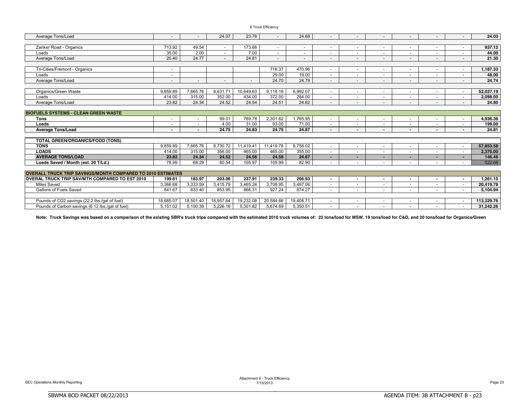|  |  | 8 Truck Efficiency |  |
|--|--|--------------------|--|
|--|--|--------------------|--|

| Average Tons/Load                                                  |           |                          | 24.07                    | 23.76     |           | 24.68                    |                          |                          |                          |                          |                          |                          | 24.03      |
|--------------------------------------------------------------------|-----------|--------------------------|--------------------------|-----------|-----------|--------------------------|--------------------------|--------------------------|--------------------------|--------------------------|--------------------------|--------------------------|------------|
|                                                                    |           |                          |                          |           |           |                          |                          |                          |                          |                          |                          |                          |            |
| Zanker Road - Organics                                             | 713.92    | 49.54                    | $\sim$                   | 173.66    |           | $\overline{\phantom{a}}$ |                          |                          | $\overline{\phantom{0}}$ | $\overline{\phantom{a}}$ | $\overline{\phantom{a}}$ |                          | 937.12     |
| Loads                                                              | 35.00     | 2.00                     | $\sim$                   | 7.00      |           |                          |                          |                          | ٠                        | $\overline{\phantom{a}}$ | $\overline{\phantom{a}}$ |                          | 44.00      |
| Average Tons/Load                                                  | 20.40     | 24.77                    |                          | 24.81     |           | $\overline{\phantom{a}}$ | $\overline{\phantom{a}}$ | $\overline{\phantom{a}}$ | $\overline{\phantom{0}}$ | $\overline{\phantom{a}}$ | $\overline{\phantom{a}}$ |                          | 21.30      |
|                                                                    |           |                          |                          |           |           |                          |                          |                          |                          |                          |                          |                          |            |
| Tri-Cities/Fremont - Organics                                      |           |                          |                          |           | 716.37    | 470.96                   | $\overline{\phantom{a}}$ | $\overline{\phantom{a}}$ | $\overline{\phantom{a}}$ | $\overline{\phantom{a}}$ | $\overline{\phantom{a}}$ |                          | 1,187.33   |
| Loads                                                              |           |                          |                          |           | 29.00     | 19.00                    |                          |                          | ۰                        | $\overline{\phantom{a}}$ |                          |                          | 48.00      |
| Average Tons/Load                                                  |           | $\overline{\phantom{a}}$ | $\overline{\phantom{a}}$ |           | 24.70     | 24.79                    | $\overline{a}$           | $\overline{\phantom{a}}$ | $\overline{\phantom{a}}$ | $\overline{\phantom{a}}$ | $\overline{\phantom{a}}$ |                          | 24.74      |
|                                                                    |           |                          |                          |           |           |                          |                          |                          |                          |                          |                          |                          |            |
| Organics/Green Waste                                               | 9,859.89  | 7,665.76                 | 8,631.71                 | 10,649.63 | 9,118.16  | 6,992.07                 | $\sim$                   |                          | $\overline{\phantom{0}}$ | $\overline{\phantom{0}}$ | ÷                        |                          | 52.027.19  |
| Loads                                                              | 414.00    | 315.00                   | 352.00                   | 434.00    | 372.00    | 284.00                   |                          |                          | ۰                        | $\overline{\phantom{a}}$ | $\overline{\phantom{a}}$ |                          | 2,098.00   |
| Average Tons/Load                                                  | 23.82     | 24.34                    | 24.52                    | 24.54     | 24.51     | 24.62                    |                          |                          | $\overline{\phantom{0}}$ |                          | $\overline{\phantom{a}}$ |                          | 24.80      |
|                                                                    |           |                          |                          |           |           |                          |                          |                          |                          |                          |                          |                          |            |
| <b>BIOFUELS SYSTEMS - CLEAN GREEN WASTE</b>                        |           |                          |                          |           |           |                          |                          |                          |                          |                          |                          |                          |            |
| <b>Tons</b>                                                        |           |                          | 99.01                    | 769.78    | 2,301.62  | 1,765.95                 |                          |                          | ۰                        | $\overline{\phantom{a}}$ | ٠                        |                          | 4,936.36   |
| Loads                                                              |           |                          | 4.00                     | 31.00     | 93.00     | 71.00                    |                          |                          | $\blacksquare$           | $\overline{\phantom{a}}$ | $\overline{\phantom{a}}$ |                          | 199.00     |
| <b>Average Tons/Load</b>                                           |           |                          | 24.75                    | 24.83     | 24.75     | 24.87                    |                          |                          | $\sim$                   | $\overline{\phantom{a}}$ | $\overline{\phantom{a}}$ |                          | 24.81      |
|                                                                    |           |                          |                          |           |           |                          |                          |                          |                          |                          |                          |                          |            |
| <b>TOTAL GREEN/ORGANICS/FOOD (TONS)</b>                            |           |                          |                          |           |           |                          |                          |                          |                          |                          |                          |                          |            |
| <b>TONS</b>                                                        | 9.859.89  | 7.665.76                 | 8.730.72                 | 11.419.41 | 11.419.78 | 8.758.02                 | $\sim$                   | $\overline{\phantom{a}}$ | ٠                        | $\overline{\phantom{a}}$ | $\overline{\phantom{a}}$ |                          | 57,853.58  |
| <b>LOADS</b>                                                       | 414.00    | 315.00                   | 356.00                   | 465.00    | 465.00    | 355.00                   | $\overline{\phantom{a}}$ | $\overline{\phantom{a}}$ | $\overline{\phantom{a}}$ | $\overline{\phantom{a}}$ | $\sim$                   |                          | 2,370.00   |
| <b>AVERAGE TONS/LOAD</b>                                           | 23.82     | 24.34                    | 24.52                    | 24.56     | 24.56     | 24.67                    |                          |                          | ۰                        | $\blacksquare$           | ٠                        |                          | 146.46     |
| Loads Saved / Month (est. 20 T/Ld.)                                | 78.99     | 68.29                    | 80.54                    | 105.97    | 105.99    | 82.90                    |                          |                          | $\overline{\phantom{0}}$ |                          |                          |                          | 522.68     |
|                                                                    |           |                          |                          |           |           |                          |                          |                          |                          |                          |                          |                          |            |
| <b>OVERALL TRUCK TRIP SAVINGS/MONTH COMPARED TO 2010 ESTIMATES</b> |           |                          |                          |           |           |                          |                          |                          |                          |                          |                          |                          |            |
| <b>OVERAL TRUCK TRIP SAV/MTH COMPARED TO EST 2010</b>              | 199.61    | 183.97                   | 203.06                   | 237.91    | 239.33    | 206.93                   | $\sim$                   |                          | ۰                        | $\blacksquare$           | $\blacksquare$           |                          | 1,261.15   |
| Miles Saved                                                        | 3,366.68  | 3,333.59                 | 3,415.79                 | 3,465.24  | 3,708.95  | 3,497.06                 | $\sim$                   | $\overline{\phantom{a}}$ | $\overline{\phantom{a}}$ | $\overline{\phantom{a}}$ | $\sim$                   | $\overline{\phantom{a}}$ | 20,419.78  |
| <b>Gallons of Fuels Saved</b>                                      | 841.67    | 833.40                   | 853.95                   | 866.31    | 927.24    | 874.27                   | $\overline{\phantom{a}}$ | $\overline{\phantom{a}}$ | $\overline{\phantom{a}}$ | $\sim$                   | $\overline{\phantom{a}}$ |                          | 5.104.94   |
|                                                                    |           |                          |                          |           |           |                          |                          |                          |                          |                          |                          |                          |            |
| Pounds of CO2 savings (22.2 lbs./gal of fuel)                      | 18.685.07 | 18.501.40                | 18,957.64                | 19.232.08 | 20.584.66 | 19.408.71                |                          |                          | $\overline{\phantom{a}}$ | $\overline{\phantom{a}}$ |                          |                          | 113.329.76 |
| Pounds of Carbon savings (6.12 lbs./gal of fuel)                   | 5.151.02  | 5.100.39                 | 5.226.16                 | 5.301.82  | 5.674.69  | 5,350.51                 |                          |                          | ٠                        |                          |                          |                          | 31,242.26  |

Note: Truck Savings was based on a comparison of the existing SBR's truck trips compared with the estimated 2010 truck volumes of: 22 tons/load for MSW, 19 tons/load for C&D, and 20 tons/load for Organics/Green

BBBBBBBBBBBBBBBBBBBBBBBBBBBBBBBBBBBBBBBBBBBBBBBBBBBBBBBBBBBBBBBBBBBBBBB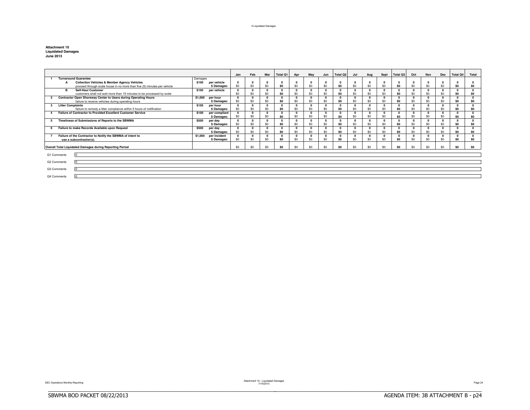#### 9 Liquidated Damages

| <b>Attachment 10</b>      |  |  |  |
|---------------------------|--|--|--|
| <b>Liquidated Damages</b> |  |  |  |
| <b>June 2013</b>          |  |  |  |

|                                                                       |                                                                          |             |               | Jan | Feb          | Mar | <b>Total Q1</b> | Apr        | May      | Jun      | Total Q <sub>2</sub> | Jul      | Aug          | Sept     | Total Q3 | Oct          | Nov      | Dec            | <b>Total Q4</b> | Total          |
|-----------------------------------------------------------------------|--------------------------------------------------------------------------|-------------|---------------|-----|--------------|-----|-----------------|------------|----------|----------|----------------------|----------|--------------|----------|----------|--------------|----------|----------------|-----------------|----------------|
| <b>Turnaround Guarantee</b><br>Damages                                |                                                                          |             |               |     |              |     |                 |            |          |          |                      |          |              |          |          |              |          |                |                 |                |
|                                                                       | <b>Collection Vehicles &amp; Member Agency Vehicles</b>                  | \$100       | per vehicle   |     |              |     |                 |            |          |          |                      |          | 0            |          | $\Omega$ |              | o        |                |                 |                |
|                                                                       | proceed through scale house in no more than five (5) minutes per vehicle |             | \$ Damages:   | \$0 | \$0          | \$0 | S <sub>0</sub>  | \$0        | \$0      | \$0      | \$0                  | \$0      | \$0          | \$0      | \$0      | \$0          | \$0      | \$0            | S <sub>0</sub>  | S <sub>0</sub> |
|                                                                       | <b>B</b><br><b>Self-Haul Customer</b>                                    | \$100       | per vehicle   |     | $\mathbf{r}$ |     |                 |            | $\Omega$ | $\Omega$ | $\Omega$             | $\Omega$ | $\Omega$     |          | $\Omega$ | $\mathbf{0}$ | o        | 0              | $\Omega$        | $\sqrt{2}$     |
|                                                                       | customers shall not wait more than 15 minutes to be processed by scale   |             |               | \$0 | \$0          | \$0 | SO.             | \$0        | \$0      | \$0      | \$0                  | \$0      | \$0          | \$0      | \$O      | \$0          | \$0      | \$0            | S <sub>0</sub>  | S <sub>0</sub> |
|                                                                       | Contractor Open Shoreway Center to Users during Operating Hours          | \$1,000     | per hour      |     | $\mathbf{r}$ |     |                 | $\sqrt{2}$ | $\Omega$ | $\Omega$ | $\Omega$             | $\Omega$ | $\Omega$     | $\Omega$ | $\Omega$ | $\Omega$     |          | $\Omega$       | $\Omega$        | $\Omega$       |
|                                                                       | failure to receive vehicles during operating hours                       |             | \$ Damages:   | \$0 | \$0          | \$0 | SO.             | \$0        | \$0      | \$0      | \$0                  | \$0      | \$0          | \$0      | \$0      | \$0          | \$0      | \$0            | S <sub>0</sub>  | S <sub>0</sub> |
|                                                                       | <b>Litter Complaints</b>                                                 | \$100       | per hour      |     |              |     |                 |            |          |          |                      | $\Omega$ |              |          | $\Omega$ | $\Omega$     |          |                | 0               |                |
|                                                                       | failure to remedy a litter compliance within 5 hours of notification     |             | \$ Damages:   | \$0 | \$0          | \$0 | SO.             | \$0        | \$0      | \$0      | \$0                  | \$0      | \$0          | \$0      | \$O      | \$0          | \$0      | \$0            | S <sub>0</sub>  | S <sub>0</sub> |
|                                                                       | Failure of Contractor to Provided Excellent Customer Service             | \$100       | per compliant |     | $\Omega$     |     |                 |            | $\Omega$ |          |                      | $\Omega$ | $\Omega$     |          | $\Omega$ | $\Omega$     | 0        | 0              | $\Omega$        |                |
|                                                                       |                                                                          |             | \$ Damages:   | \$0 | \$0          | \$0 | SO.             | \$0        | \$0      | \$0      | \$0                  | \$0      | \$0          | \$0      | \$0      | \$0          | \$0      | \$0            | SO.             | \$0            |
| Timeliness of Submissions of Reports to the SBWMA<br>\$500<br>per day |                                                                          |             |               |     |              |     |                 |            |          | $\Omega$ | n                    |          | $\mathbf{0}$ | $\Omega$ |          | $\Omega$     | $\Omega$ |                |                 |                |
| \$ Damages:                                                           |                                                                          |             | \$0           | \$0 | \$0          | SO. | \$0             | \$0        | \$0      | SO.      | \$0                  | \$0      | \$0          | \$0      | \$0      | \$0          | \$0      | SO.            | S <sub>0</sub>  |                |
| Failure to make Records Available upon Request<br>\$500<br>per day    |                                                                          |             |               |     |              |     |                 |            |          | $\Omega$ |                      |          | $\Omega$     |          |          | $\Omega$     | $\Omega$ |                |                 |                |
| \$Damages:                                                            |                                                                          |             | \$0           | \$0 | \$0          | SO. | \$0             | \$0        | SO.      | \$0      | \$0                  | \$0      | \$0          | \$0      | \$0      | \$0          | \$0      | S <sub>0</sub> | S <sub>0</sub>  |                |
|                                                                       | Failure of the Contractor to Notify the SBWMA of intent to               | \$1,000     | per incident  |     |              |     |                 |            |          |          |                      |          |              |          | $\Omega$ |              |          |                |                 |                |
| use a subcontractor(s).                                               |                                                                          | \$ Damages: | \$0           | \$0 | \$0          | SO. | \$0             | \$0        | \$0      | \$0      | \$0                  | \$0      | \$0          | \$0      | \$0      | \$0          | \$0      | S <sub>0</sub> | S <sub>0</sub>  |                |
|                                                                       |                                                                          |             |               |     |              |     |                 |            |          |          |                      |          |              |          |          |              |          |                |                 |                |
|                                                                       | Overall Total Liquidated Damages during Reporting Period                 |             |               | \$0 | \$0          | \$0 | SO.             | \$0        | \$0      | \$0      | \$0                  | \$0      | \$0          | \$0      | \$O      | \$0          | \$0      | \$0            | \$0             | \$n            |
|                                                                       |                                                                          |             |               |     |              |     |                 |            |          |          |                      |          |              |          |          |              |          |                |                 |                |
| Q1 Comments                                                           |                                                                          |             |               |     |              |     |                 |            |          |          |                      |          |              |          |          |              |          |                |                 |                |
|                                                                       |                                                                          |             |               |     |              |     |                 |            |          |          |                      |          |              |          |          |              |          |                |                 |                |
|                                                                       | Q2 Comments                                                              |             |               |     |              |     |                 |            |          |          |                      |          |              |          |          |              |          |                |                 |                |
| Q3 Comments                                                           |                                                                          |             |               |     |              |     |                 |            |          |          |                      |          |              |          |          |              |          |                |                 |                |
|                                                                       |                                                                          |             |               |     |              |     |                 |            |          |          |                      |          |              |          |          |              |          |                |                 |                |
| Q4 Comments                                                           |                                                                          |             |               |     |              |     |                 |            |          |          |                      |          |              |          |          |              |          |                |                 |                |

Attachment 10 - Attachment 10 - Attachment 10 - Liquidated Damages<br>
Page 24 - Attachment 2115/2013 Page 24 - Attachment 2013 Page 24 - Attachment 2115/2013

BBBBBBBBBBBBBBBBBBBBBBBBBBBBBBBBBBBBBBBBBBBBBBBBBBBBBBBBBBBBBBBBBBBBBBBBBBBBBB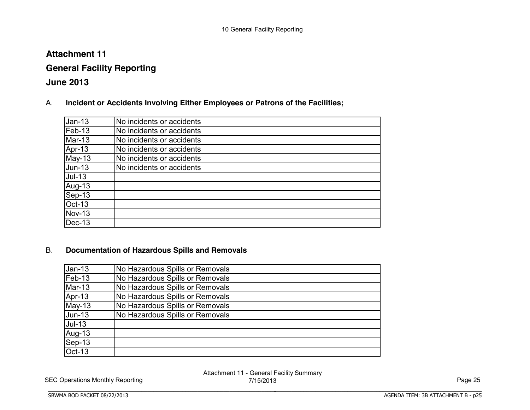# **Attachment 11**

# **General Facility Reporting**

# **June 2013**

A. **Incident or Accidents Involving Either Employees or Patrons of the Facilities;**

| $Jan-13$      | No incidents or accidents |
|---------------|---------------------------|
| Feb-13        | No incidents or accidents |
| Mar-13        | No incidents or accidents |
| Apr-13        | No incidents or accidents |
| May-13        | No incidents or accidents |
| <b>Jun-13</b> | No incidents or accidents |
| $Jul-13$      |                           |
| Aug-13        |                           |
| Sep-13        |                           |
| Oct-13        |                           |
| <b>Nov-13</b> |                           |
| $Dec-13$      |                           |

# B. **Documentation of Hazardous Spills and Removals**

BBBBBBBBBBBBBBBBBBBBBBBBBBBBBBBBBBBBBBBBBBBBBBBBBBBBBBBBBBBBBBBBBBBBBBBBBBBBBB

| $Jan-13$      | No Hazardous Spills or Removals |
|---------------|---------------------------------|
| Feb-13        | No Hazardous Spills or Removals |
| Mar-13        | No Hazardous Spills or Removals |
| Apr-13        | No Hazardous Spills or Removals |
| $May-13$      | No Hazardous Spills or Removals |
| <b>Jun-13</b> | No Hazardous Spills or Removals |
| $Jul-13$      |                                 |
| Aug-13        |                                 |
| Sep-13        |                                 |
| Oct-13        |                                 |

SEC Operations Monthly Reporting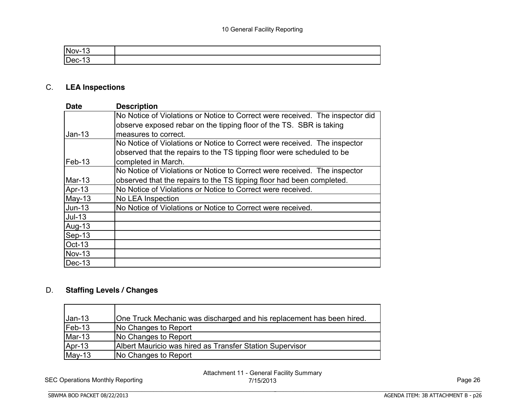| 'N |  |
|----|--|
|    |  |

# C. **LEA Inspections**

| <b>Date</b>   | <b>Description</b>                                                            |
|---------------|-------------------------------------------------------------------------------|
|               | No Notice of Violations or Notice to Correct were received. The inspector did |
|               | observe exposed rebar on the tipping floor of the TS. SBR is taking           |
| $Jan-13$      | measures to correct.                                                          |
|               | No Notice of Violations or Notice to Correct were received. The inspector     |
|               | observed that the repairs to the TS tipping floor were scheduled to be        |
| Feb-13        | completed in March.                                                           |
|               | No Notice of Violations or Notice to Correct were received. The inspector     |
| Mar-13        | observed that the repairs to the TS tipping floor had been completed.         |
| Apr-13        | No Notice of Violations or Notice to Correct were received.                   |
| $May-13$      | No LEA Inspection                                                             |
| $Jun-13$      | No Notice of Violations or Notice to Correct were received.                   |
| $Jul-13$      |                                                                               |
| Aug-13        |                                                                               |
| Sep-13        |                                                                               |
| Oct-13        |                                                                               |
| <b>Nov-13</b> |                                                                               |
| $Dec-13$      |                                                                               |

# D. **Staffing Levels / Changes**

| $Jan-13$ | One Truck Mechanic was discharged and his replacement has been hired. |
|----------|-----------------------------------------------------------------------|
| $Feb-13$ | No Changes to Report                                                  |
| $Mar-13$ | No Changes to Report                                                  |
| Apr-13   | Albert Mauricio was hired as Transfer Station Supervisor              |
| $May-13$ | <b>No Changes to Report</b>                                           |

BBBBBBBBBBBBBBBBBBBBBBBBBBBBBBBBBBBBBBBBBBBBBBBBBBBBBBBBBBBBBBBBBBBBBBBBBBBBBB

SEC Operations Monthly Reporting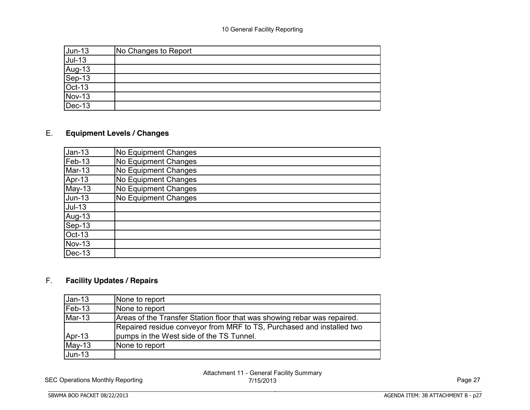| <u>Jun-13</u><br><u>Jul-13</u><br>Aug-13<br>Sep-13<br>Oct-13<br>Oct-13<br>Dec-13 | No Changes to Report |
|----------------------------------------------------------------------------------|----------------------|
|                                                                                  |                      |
|                                                                                  |                      |
|                                                                                  |                      |
|                                                                                  |                      |
|                                                                                  |                      |
|                                                                                  |                      |

# E. **Equipment Levels / Changes**

| $Jan-13$      | No Equipment Changes |
|---------------|----------------------|
| Feb-13        | No Equipment Changes |
| Mar-13        | No Equipment Changes |
| Apr-13        | No Equipment Changes |
| May-13        | No Equipment Changes |
| <b>Jun-13</b> | No Equipment Changes |
| <b>Jul-13</b> |                      |
| Aug-13        |                      |
| Sep-13        |                      |
| Oct-13        |                      |
| <b>Nov-13</b> |                      |
| $Dec-13$      |                      |

# F. **Facility Updates / Repairs**

| $Jan-13$ | None to report                                                           |
|----------|--------------------------------------------------------------------------|
| $Feb-13$ | None to report                                                           |
| $Mar-13$ | Areas of the Transfer Station floor that was showing rebar was repaired. |
|          | Repaired residue conveyor from MRF to TS, Purchased and installed two    |
| Apr-13   | pumps in the West side of the TS Tunnel.                                 |
| $May-13$ | None to report                                                           |
| $Jun-13$ |                                                                          |

SEC Operations Monthly Reporting

BBBBBBBBBBBBBBBBBBBBBBBBBBBBBBBBBBBBBBBBBBBBBBBBBBBBBBBBBBBBBBBBBBBBBBBBBBBBBB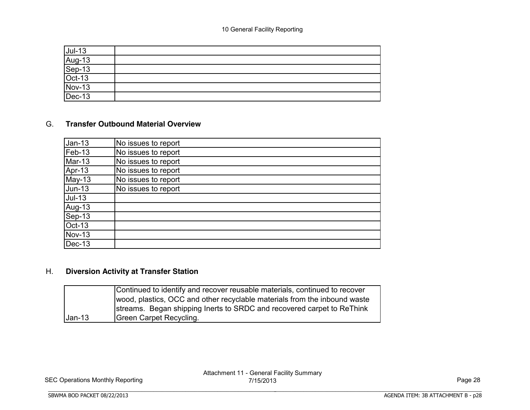| Jul-13<br>Aug-13<br>Sep-13<br>Oct-13<br>Nov-13<br>Dec-13 |  |
|----------------------------------------------------------|--|

### G. **Transfer Outbound Material Overview**

| $Jan-13$      | No issues to report |
|---------------|---------------------|
| Feb-13        | No issues to report |
| Mar-13        | No issues to report |
| Apr-13        | No issues to report |
| May-13        | No issues to report |
| <b>Jun-13</b> | No issues to report |
| $Jul-13$      |                     |
| Aug-13        |                     |
| Sep-13        |                     |
| <b>Oct-13</b> |                     |
| <b>Nov-13</b> |                     |
| $Dec-13$      |                     |

# H. **Diversion Activity at Transfer Station**

BBBBBBBBBBBBBBBBBBBBBBBBBBBBBBBBBBBBBBBBBBBBBBBBBBBBBBBBBBBBBBBBBBBBBBBBBBBBBB

|          | Continued to identify and recover reusable materials, continued to recover |
|----------|----------------------------------------------------------------------------|
|          | wood, plastics, OCC and other recyclable materials from the inbound waste  |
|          | streams. Began shipping Inerts to SRDC and recovered carpet to ReThink     |
| $Jan-13$ | Green Carpet Recycling.                                                    |

SEC Operations Monthly Reporting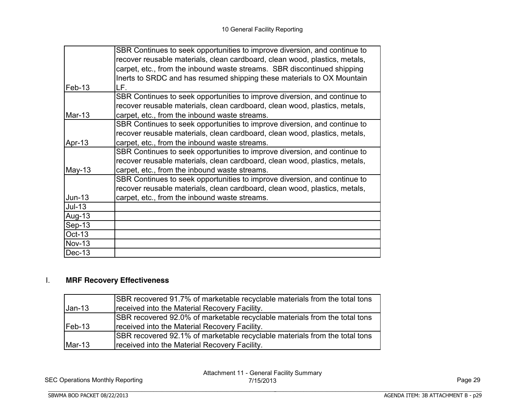|               | SBR Continues to seek opportunities to improve diversion, and continue to  |
|---------------|----------------------------------------------------------------------------|
|               | recover reusable materials, clean cardboard, clean wood, plastics, metals, |
|               | carpet, etc., from the inbound waste streams. SBR discontinued shipping    |
|               | Inerts to SRDC and has resumed shipping these materials to OX Mountain     |
| $Feb-13$      | LF.                                                                        |
|               | SBR Continues to seek opportunities to improve diversion, and continue to  |
|               | recover reusable materials, clean cardboard, clean wood, plastics, metals, |
| Mar-13        | carpet, etc., from the inbound waste streams.                              |
|               | SBR Continues to seek opportunities to improve diversion, and continue to  |
|               | recover reusable materials, clean cardboard, clean wood, plastics, metals, |
| Apr-13        | carpet, etc., from the inbound waste streams.                              |
|               | SBR Continues to seek opportunities to improve diversion, and continue to  |
|               | recover reusable materials, clean cardboard, clean wood, plastics, metals, |
| $May-13$      | carpet, etc., from the inbound waste streams.                              |
|               | SBR Continues to seek opportunities to improve diversion, and continue to  |
|               | recover reusable materials, clean cardboard, clean wood, plastics, metals, |
| Jun-13        | carpet, etc., from the inbound waste streams.                              |
| $Jul-13$      |                                                                            |
| Aug-13        |                                                                            |
| $Sep-13$      |                                                                            |
| Oct-13        |                                                                            |
| <b>Nov-13</b> |                                                                            |
| Dec-13        |                                                                            |

# I. **MRF Recovery Effectiveness**

|          | SBR recovered 91.7% of marketable recyclable materials from the total tons  |
|----------|-----------------------------------------------------------------------------|
| $Jan-13$ | received into the Material Recovery Facility.                               |
|          | ISBR recovered 92.0% of marketable recyclable materials from the total tons |
| $Feb-13$ | received into the Material Recovery Facility.                               |
|          | ISBR recovered 92.1% of marketable recyclable materials from the total tons |
| $Mar-13$ | received into the Material Recovery Facility.                               |

SEC Operations Monthly Reporting

BBBBBBBBBBBBBBBBBBBBBBBBBBBBBBBBBBBBBBBBBBBBBBBBBBBBBBBBBBBBBBBBBBBBBBBBBBBBBB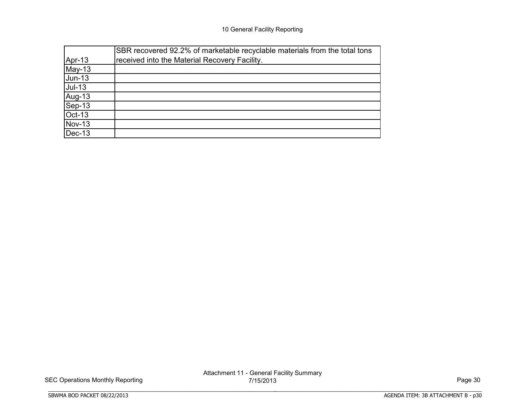|               | SBR recovered 92.2% of marketable recyclable materials from the total tons |
|---------------|----------------------------------------------------------------------------|
| Apr-13        | received into the Material Recovery Facility.                              |
| $May-13$      |                                                                            |
| $Jun-13$      |                                                                            |
| $Jul-13$      |                                                                            |
| Aug-13        |                                                                            |
| Sep-13        |                                                                            |
| <b>Oct-13</b> |                                                                            |
| <b>Nov-13</b> |                                                                            |
| $Dec-13$      |                                                                            |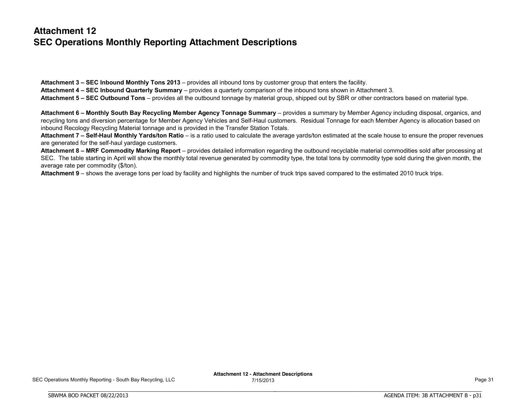# **Attachment 12 SEC Operations Monthly Reporting Attachment Descriptions**

**Attachment 3 – SEC Inbound Monthly Tons 2013** – provides all inbound tons by customer group that enters the facility. **Attachment 4 – SEC Inbound Quarterly Summary** – provides a quarterly comparison of the inbound tons shown in Attachment 3. **Attachment 5 – SEC Outbound Tons** – provides all the outbound tonnage by material group, shipped out by SBR or other contractors based on material type.

Attachment 6 - Monthly South Bay Recycling Member Agency Tonnage Summary - provides a summary by Member Agency including disposal, organics, and recycling tons and diversion percentage for Member Agency Vehicles and Self-Haul customers. Residual Tonnage for each Member Agency is allocation based on inbound Recology Recycling Material tonnage and is provided in the Transfer Station Totals.

Attachment 7 - Self-Haul Monthly Yards/ton Ratio - is a ratio used to calculate the average vards/ton estimated at the scale house to ensure the proper revenues are generated for the self-haul yardage customers.

Attachment 8 - MRF Commodity Marking Report - provides detailed information regarding the outbound recyclable material commodities sold after processing at SEC. The table starting in April will show the monthly total revenue generated by commodity type, the total tons by commodity type sold during the given month, the average rate per commodity (\$/ton).

**Attachment 9** – shows the average tons per load by facility and highlights the number of truck trips saved compared to the estimated 2010 truck trips.

BBBBBBBBBBBBBBBBBBBBBBBBBBBBBBBBBBBBBBBBBBBBBBBBBBBBBBBBBBBBBBBBBBBBBBBBBBBBBB